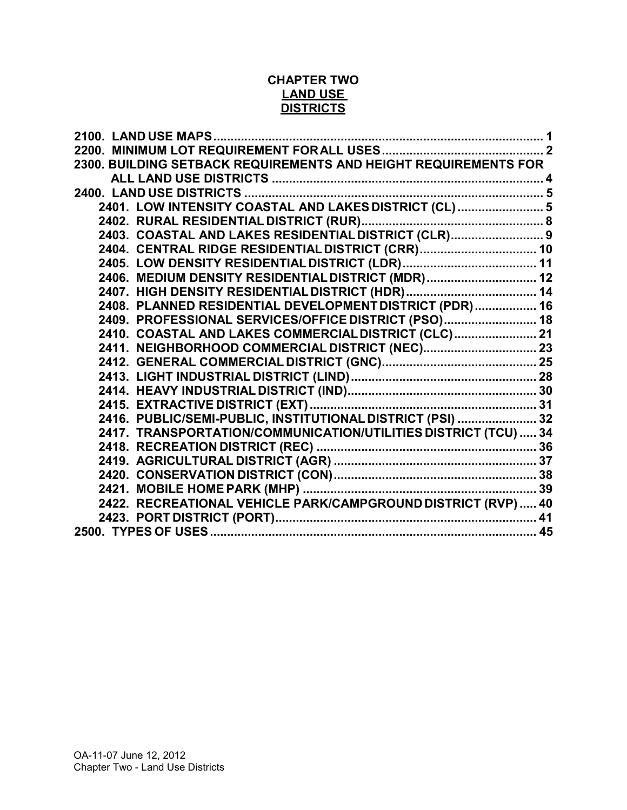## **CHAPTER TWO LAND USE DISTRICTS**

| 2300. BUILDING SETBACK REQUIREMENTS AND HEIGHT REQUIREMENTS FOR |  |
|-----------------------------------------------------------------|--|
|                                                                 |  |
|                                                                 |  |
| 2401. LOW INTENSITY COASTAL AND LAKES DISTRICT (CL)  5          |  |
|                                                                 |  |
|                                                                 |  |
| 2404. CENTRAL RIDGE RESIDENTIAL DISTRICT (CRR) 10               |  |
|                                                                 |  |
| 2406. MEDIUM DENSITY RESIDENTIAL DISTRICT (MDR) 12              |  |
|                                                                 |  |
| 2408. PLANNED RESIDENTIAL DEVELOPMENT DISTRICT (PDR)  16        |  |
| 2409. PROFESSIONAL SERVICES/OFFICE DISTRICT (PSO) 18            |  |
| 2410. COASTAL AND LAKES COMMERCIAL DISTRICT (CLC) 21            |  |
|                                                                 |  |
|                                                                 |  |
|                                                                 |  |
|                                                                 |  |
|                                                                 |  |
| 2416. PUBLIC/SEMI-PUBLIC, INSTITUTIONAL DISTRICT (PSI)  32      |  |
| 2417. TRANSPORTATION/COMMUNICATION/UTILITIES DISTRICT (TCU)  34 |  |
|                                                                 |  |
|                                                                 |  |
|                                                                 |  |
|                                                                 |  |
| 2422. RECREATIONAL VEHICLE PARK/CAMPGROUND DISTRICT (RVP) 40    |  |
|                                                                 |  |
|                                                                 |  |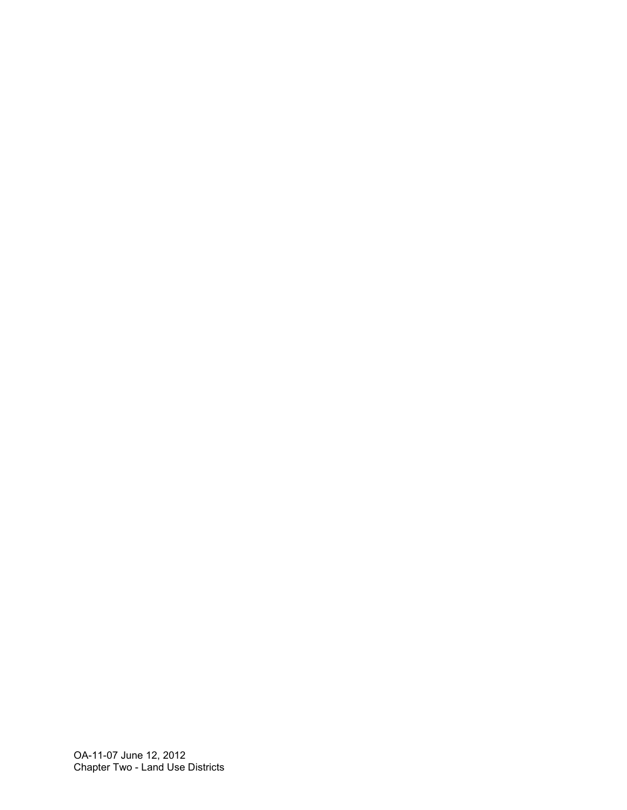OA-11-07 June 12, 2012 Chapter Two - Land Use Districts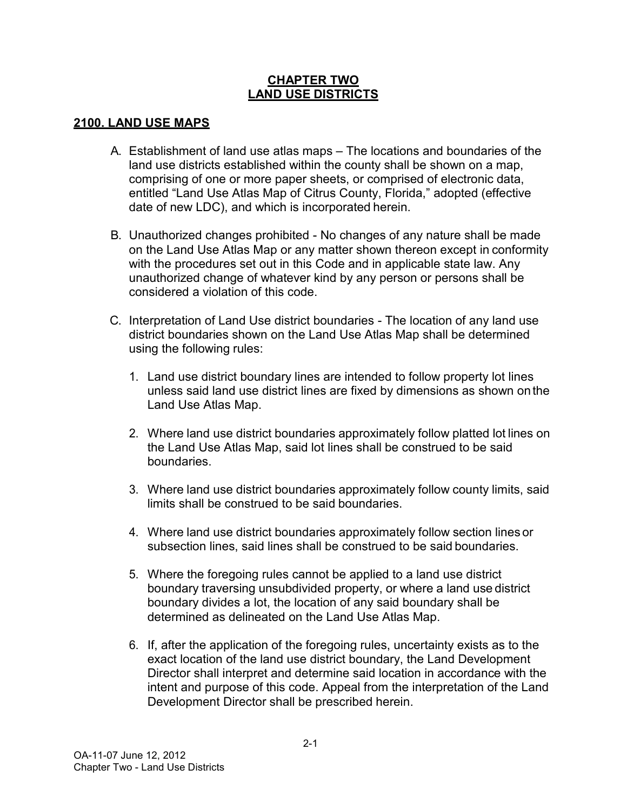## **CHAPTER TWO LAND USE DISTRICTS**

## <span id="page-2-0"></span>**2100. LAND USE MAPS**

- A. Establishment of land use atlas maps The locations and boundaries of the land use districts established within the county shall be shown on a map, comprising of one or more paper sheets, or comprised of electronic data, entitled "Land Use Atlas Map of Citrus County, Florida," adopted (effective date of new LDC), and which is incorporated herein.
- B. Unauthorized changes prohibited No changes of any nature shall be made on the Land Use Atlas Map or any matter shown thereon except in conformity with the procedures set out in this Code and in applicable state law. Any unauthorized change of whatever kind by any person or persons shall be considered a violation of this code.
- C. Interpretation of Land Use district boundaries The location of any land use district boundaries shown on the Land Use Atlas Map shall be determined using the following rules:
	- 1. Land use district boundary lines are intended to follow property lot lines unless said land use district lines are fixed by dimensions as shown onthe Land Use Atlas Map.
	- 2. Where land use district boundaries approximately follow platted lot lines on the Land Use Atlas Map, said lot lines shall be construed to be said boundaries.
	- 3. Where land use district boundaries approximately follow county limits, said limits shall be construed to be said boundaries.
	- 4. Where land use district boundaries approximately follow section lines or subsection lines, said lines shall be construed to be said boundaries.
	- 5. Where the foregoing rules cannot be applied to a land use district boundary traversing unsubdivided property, or where a land use district boundary divides a lot, the location of any said boundary shall be determined as delineated on the Land Use Atlas Map.
	- 6. If, after the application of the foregoing rules, uncertainty exists as to the exact location of the land use district boundary, the Land Development Director shall interpret and determine said location in accordance with the intent and purpose of this code. Appeal from the interpretation of the Land Development Director shall be prescribed herein.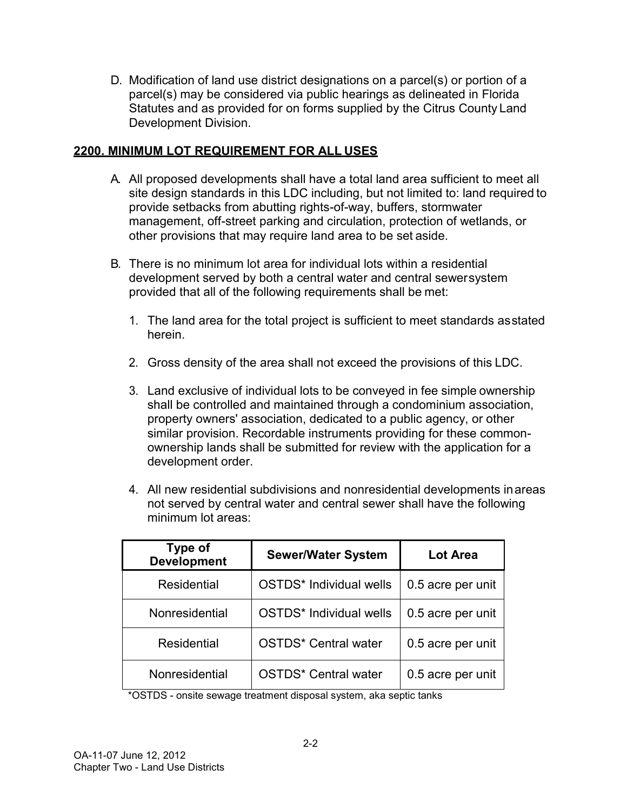D. Modification of land use district designations on a parcel(s) or portion of a parcel(s) may be considered via public hearings as delineated in Florida Statutes and as provided for on forms supplied by the Citrus County Land Development Division.

## <span id="page-3-0"></span>**2200. MINIMUM LOT REQUIREMENT FOR ALL USES**

- A. All proposed developments shall have a total land area sufficient to meet all site design standards in this LDC including, but not limited to: land required to provide setbacks from abutting rights-of-way, buffers, stormwater management, off-street parking and circulation, protection of wetlands, or other provisions that may require land area to be set aside.
- B. There is no minimum lot area for individual lots within a residential development served by both a central water and central sewersystem provided that all of the following requirements shall be met:
	- 1. The land area for the total project is sufficient to meet standards asstated herein.
	- 2. Gross density of the area shall not exceed the provisions of this LDC.
	- 3. Land exclusive of individual lots to be conveyed in fee simple ownership shall be controlled and maintained through a condominium association, property owners' association, dedicated to a public agency, or other similar provision. Recordable instruments providing for these commonownership lands shall be submitted for review with the application for a development order.
	- 4. All new residential subdivisions and nonresidential developments inareas not served by central water and central sewer shall have the following minimum lot areas:

| Type of<br><b>Development</b> | <b>Sewer/Water System</b>   | Lot Area          |
|-------------------------------|-----------------------------|-------------------|
| <b>Residential</b>            | OSTDS* Individual wells     | 0.5 acre per unit |
| Nonresidential                | OSTDS* Individual wells     | 0.5 acre per unit |
| <b>Residential</b>            | <b>OSTDS* Central water</b> | 0.5 acre per unit |
| Nonresidential                | <b>OSTDS* Central water</b> | 0.5 acre per unit |

\*OSTDS - onsite sewage treatment disposal system, aka septic tanks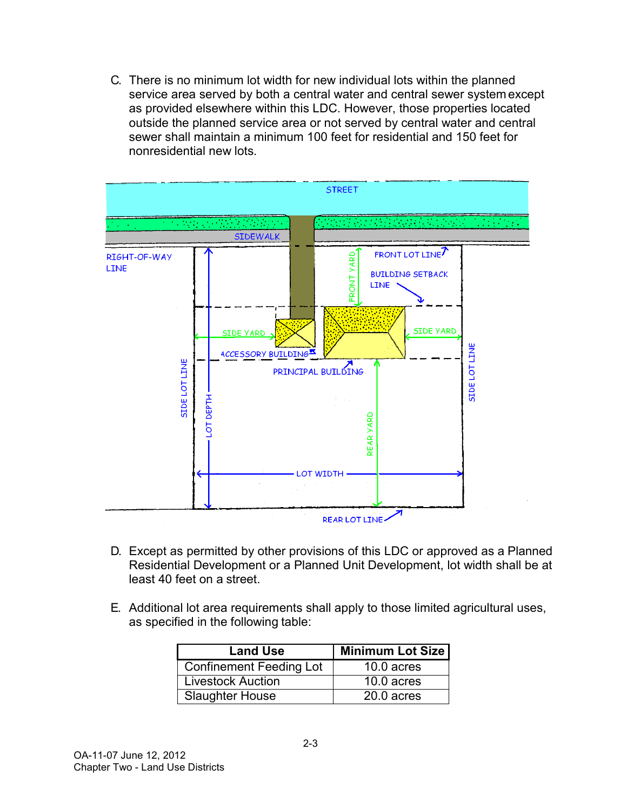C. There is no minimum lot width for new individual lots within the planned service area served by both a central water and central sewer system except as provided elsewhere within this LDC. However, those properties located outside the planned service area or not served by central water and central sewer shall maintain a minimum 100 feet for residential and 150 feet for nonresidential new lots.



- D. Except as permitted by other provisions of this LDC or approved as a Planned Residential Development or a Planned Unit Development, lot width shall be at least 40 feet on a street.
- E. Additional lot area requirements shall apply to those limited agricultural uses, as specified in the following table:

| <b>Land Use</b>                | <b>Minimum Lot Size</b> |
|--------------------------------|-------------------------|
| <b>Confinement Feeding Lot</b> | $10.0$ acres            |
| <b>Livestock Auction</b>       | $10.0$ acres            |
| <b>Slaughter House</b>         | 20.0 acres              |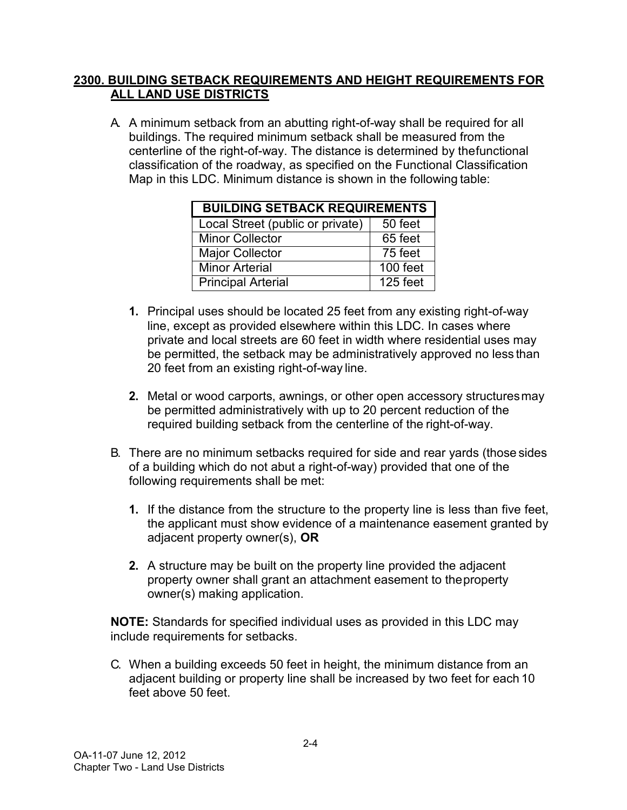## <span id="page-5-0"></span>**2300. BUILDING SETBACK REQUIREMENTS AND HEIGHT REQUIREMENTS FOR ALL LAND USE DISTRICTS**

A. A minimum setback from an abutting right-of-way shall be required for all buildings. The required minimum setback shall be measured from the centerline of the right-of-way. The distance is determined by thefunctional classification of the roadway, as specified on the Functional Classification Map in this LDC. Minimum distance is shown in the following table:

| <b>BUILDING SETBACK REQUIREMENTS</b> |          |
|--------------------------------------|----------|
| Local Street (public or private)     | 50 feet  |
| <b>Minor Collector</b>               | 65 feet  |
| <b>Major Collector</b>               | 75 feet  |
| <b>Minor Arterial</b>                | 100 feet |
| <b>Principal Arterial</b>            | 125 feet |

- **1.** Principal uses should be located 25 feet from any existing right-of-way line, except as provided elsewhere within this LDC. In cases where private and local streets are 60 feet in width where residential uses may be permitted, the setback may be administratively approved no less than 20 feet from an existing right-of-way line.
- **2.** Metal or wood carports, awnings, or other open accessory structuresmay be permitted administratively with up to 20 percent reduction of the required building setback from the centerline of the right-of-way.
- B. There are no minimum setbacks required for side and rear yards (those sides of a building which do not abut a right-of-way) provided that one of the following requirements shall be met:
	- **1.** If the distance from the structure to the property line is less than five feet, the applicant must show evidence of a maintenance easement granted by adjacent property owner(s), **OR**
	- **2.** A structure may be built on the property line provided the adjacent property owner shall grant an attachment easement to theproperty owner(s) making application.

**NOTE:** Standards for specified individual uses as provided in this LDC may include requirements for setbacks.

C. When a building exceeds 50 feet in height, the minimum distance from an adjacent building or property line shall be increased by two feet for each 10 feet above 50 feet.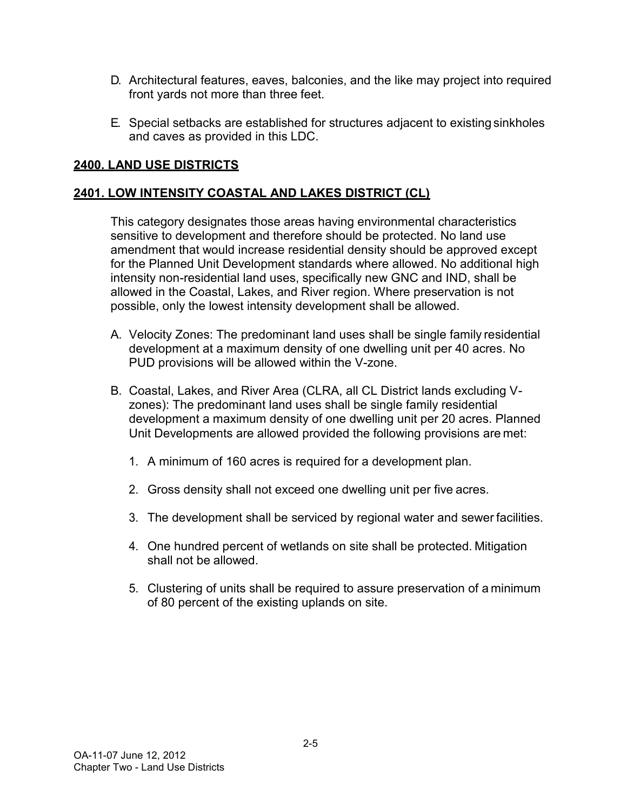- D. Architectural features, eaves, balconies, and the like may project into required front yards not more than three feet.
- E. Special setbacks are established for structures adjacent to existing sinkholes and caves as provided in this LDC.

## <span id="page-6-0"></span>**2400. LAND USE DISTRICTS**

# <span id="page-6-1"></span>**2401. LOW INTENSITY COASTAL AND LAKES DISTRICT (CL)**

This category designates those areas having environmental characteristics sensitive to development and therefore should be protected. No land use amendment that would increase residential density should be approved except for the Planned Unit Development standards where allowed. No additional high intensity non-residential land uses, specifically new GNC and IND, shall be allowed in the Coastal, Lakes, and River region. Where preservation is not possible, only the lowest intensity development shall be allowed.

- A. Velocity Zones: The predominant land uses shall be single family residential development at a maximum density of one dwelling unit per 40 acres. No PUD provisions will be allowed within the V-zone.
- B. Coastal, Lakes, and River Area (CLRA, all CL District lands excluding Vzones): The predominant land uses shall be single family residential development a maximum density of one dwelling unit per 20 acres. Planned Unit Developments are allowed provided the following provisions are met:
	- 1. A minimum of 160 acres is required for a development plan.
	- 2. Gross density shall not exceed one dwelling unit per five acres.
	- 3. The development shall be serviced by regional water and sewer facilities.
	- 4. One hundred percent of wetlands on site shall be protected. Mitigation shall not be allowed.
	- 5. Clustering of units shall be required to assure preservation of a minimum of 80 percent of the existing uplands on site.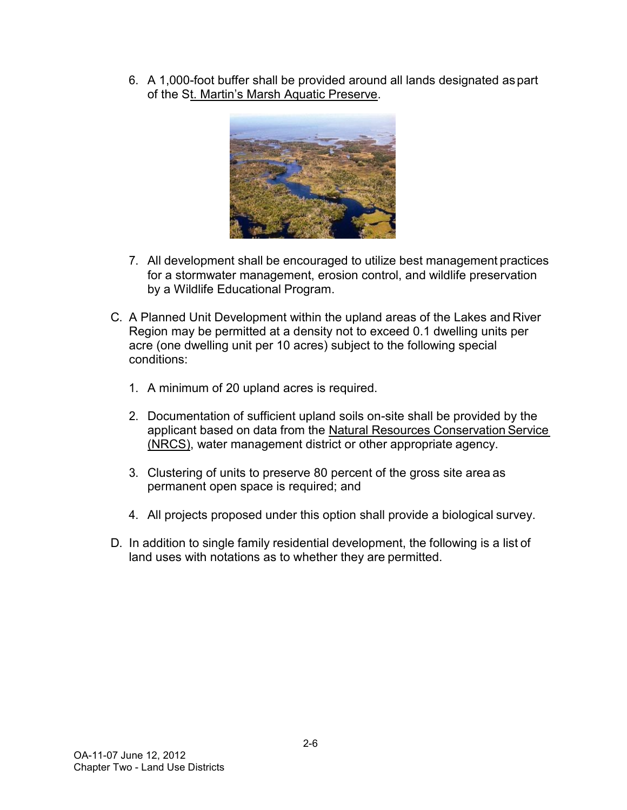6. A 1,000-foot buffer shall be provided around all lands designated aspart of the S[t. Martin's](http://www.dep.state.fl.us/coastal/sites/stmartins/) Marsh Aquatic Preserve.



- 7. All development shall be encouraged to utilize best management practices for a stormwater management, erosion control, and wildlife preservation by a Wildlife Educational Program.
- C. A Planned Unit Development within the upland areas of the Lakes and River Region may be permitted at a density not to exceed 0.1 dwelling units per acre (one dwelling unit per 10 acres) subject to the following special conditions:
	- 1. A minimum of 20 upland acres is required.
	- 2. Documentation of sufficient upland soils on-site shall be provided by the applicant based on data from the Natural Resources [Conservation](http://www.nrcs.usda.gov/) Servic[e](http://www.nrcs.usda.gov/) [\(NRCS\),](http://www.nrcs.usda.gov/) water management district or other appropriate agency.
	- 3. Clustering of units to preserve 80 percent of the gross site area as permanent open space is required; and
	- 4. All projects proposed under this option shall provide a biological survey.
- D. In addition to single family residential development, the following is a list of land uses with notations as to whether they are permitted.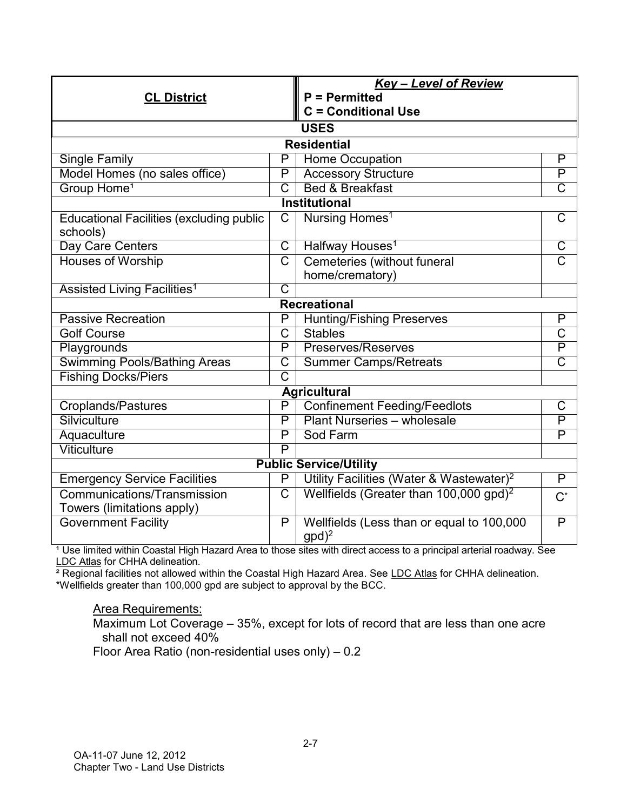| <b>CL District</b>                                          |                         | <b>Key - Level of Review</b><br>$P = Permitted$       |                         |
|-------------------------------------------------------------|-------------------------|-------------------------------------------------------|-------------------------|
|                                                             |                         | <b>C</b> = Conditional Use                            |                         |
|                                                             |                         |                                                       |                         |
|                                                             |                         | <b>USES</b>                                           |                         |
|                                                             |                         | <b>Residential</b>                                    |                         |
| <b>Single Family</b>                                        | P                       | <b>Home Occupation</b>                                | $\overline{P}$          |
| Model Homes (no sales office)                               | P                       | <b>Accessory Structure</b>                            | $\overline{P}$          |
| Group Home <sup>1</sup>                                     | $\overline{C}$          | <b>Bed &amp; Breakfast</b>                            | $\overline{\mathsf{C}}$ |
|                                                             |                         | <b>Institutional</b>                                  |                         |
| <b>Educational Facilities (excluding public</b><br>schools) | C                       | Nursing Homes <sup>1</sup>                            | $\overline{\text{C}}$   |
| Day Care Centers                                            | $\overline{C}$          | Halfway Houses <sup>1</sup>                           | С                       |
| <b>Houses of Worship</b>                                    | $\overline{C}$          | Cemeteries (without funeral                           | $\overline{\text{C}}$   |
|                                                             |                         | home/crematory)                                       |                         |
| Assisted Living Facilities <sup>1</sup>                     | $\overline{\text{C}}$   |                                                       |                         |
|                                                             |                         | <b>Recreational</b>                                   |                         |
| <b>Passive Recreation</b>                                   | P                       | <b>Hunting/Fishing Preserves</b>                      | $\overline{P}$          |
| <b>Golf Course</b>                                          | $\overline{\mathsf{C}}$ | <b>Stables</b>                                        | $\overline{\mathsf{C}}$ |
| Playgrounds                                                 | $\overline{P}$          | <b>Preserves/Reserves</b>                             | $\overline{P}$          |
| <b>Swimming Pools/Bathing Areas</b>                         | $\overline{\text{C}}$   | <b>Summer Camps/Retreats</b>                          | $\overline{\mathbb{C}}$ |
| <b>Fishing Docks/Piers</b>                                  | $\overline{\text{C}}$   |                                                       |                         |
|                                                             |                         | <b>Agricultural</b>                                   |                         |
| Croplands/Pastures                                          | $\overline{P}$          | <b>Confinement Feeding/Feedlots</b>                   | $\overline{\text{C}}$   |
| Silviculture                                                | P                       | <b>Plant Nurseries - wholesale</b>                    | $\overline{P}$          |
| Aquaculture                                                 | P                       | Sod Farm                                              | $\overline{\mathsf{P}}$ |
| <b>Viticulture</b>                                          | $\overline{\mathsf{P}}$ |                                                       |                         |
|                                                             |                         | <b>Public Service/Utility</b>                         |                         |
| <b>Emergency Service Facilities</b>                         | P                       | Utility Facilities (Water & Wastewater) <sup>2</sup>  | $\overline{P}$          |
| Communications/Transmission                                 | $\overline{C}$          | Wellfields (Greater than 100,000 gpd) <sup>2</sup>    | $C^*$                   |
| Towers (limitations apply)                                  |                         |                                                       |                         |
| <b>Government Facility</b>                                  | $\mathsf{P}$            | Wellfields (Less than or equal to 100,000<br>$gpd)^2$ | $\mathsf{P}$            |

<sup>1</sup> Use limited within Coastal High Hazard Area to those sites with direct access to a principal arterial roadway. See [LDC Atlas](http://gis.citrusbocc.com/ccimap.html) for CHHA delineation.

<sup>2</sup> Regional facilities not allowed within the Coastal High Hazard Area. See [LDC Atlas](http://gis.citrusbocc.com/ccimap.html) for CHHA delineation. \*Wellfields greater than 100,000 gpd are subject to approval by the BCC.

Area Requirements:

Maximum Lot Coverage – 35%, except for lots of record that are less than one acre shall not exceed 40%

Floor Area Ratio (non-residential uses only) – 0.2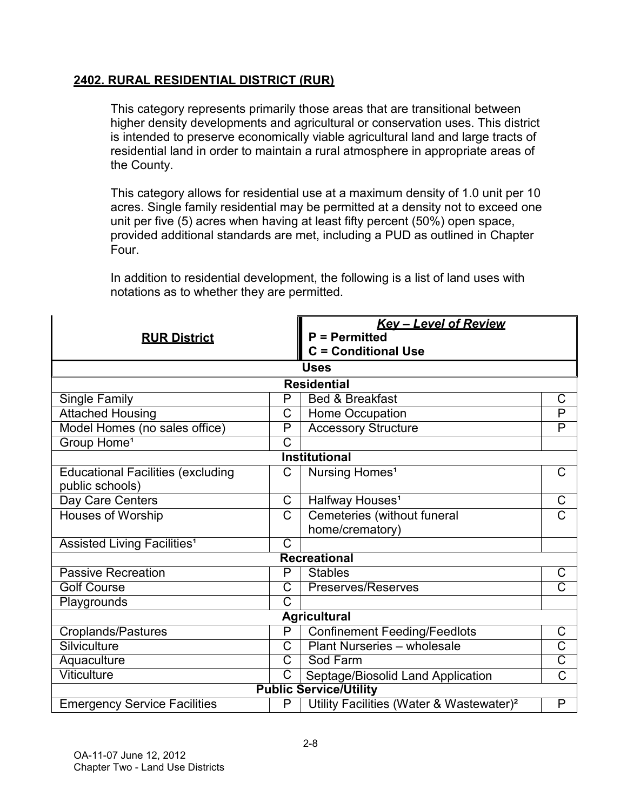## <span id="page-9-0"></span>**2402. RURAL RESIDENTIAL DISTRICT (RUR)**

This category represents primarily those areas that are transitional between higher density developments and agricultural or conservation uses. This district is intended to preserve economically viable agricultural land and large tracts of residential land in order to maintain a rural atmosphere in appropriate areas of the County.

This category allows for residential use at a maximum density of 1.0 unit per 10 acres. Single family residential may be permitted at a density not to exceed one unit per five (5) acres when having at least fifty percent (50%) open space, provided additional standards are met, including a PUD as outlined in Chapter Four.

In addition to residential development, the following is a list of land uses with notations as to whether they are permitted.

|                                          |                       | <b>Key - Level of Review</b>                         |                       |  |
|------------------------------------------|-----------------------|------------------------------------------------------|-----------------------|--|
| <b>RUR District</b>                      |                       | $P = Permitted$                                      |                       |  |
|                                          |                       | <b>C</b> = Conditional Use                           |                       |  |
|                                          |                       | <b>Uses</b>                                          |                       |  |
|                                          |                       | <b>Residential</b>                                   |                       |  |
| <b>Single Family</b>                     | P                     | <b>Bed &amp; Breakfast</b>                           | C                     |  |
| <b>Attached Housing</b>                  | C                     | Home Occupation                                      | $\overline{P}$        |  |
| Model Homes (no sales office)            | $\mathsf{P}$          | <b>Accessory Structure</b>                           | P                     |  |
| Group Home <sup>1</sup>                  | $\overline{\text{C}}$ |                                                      |                       |  |
|                                          |                       | <b>Institutional</b>                                 |                       |  |
| <b>Educational Facilities (excluding</b> | $\mathsf{C}$          | Nursing Homes <sup>1</sup>                           | $\mathsf{C}$          |  |
| public schools)                          |                       |                                                      |                       |  |
| Day Care Centers                         | C                     | Halfway Houses <sup>1</sup>                          | С                     |  |
| <b>Houses of Worship</b>                 | $\mathsf{C}$          | Cemeteries (without funeral                          | $\mathsf{C}$          |  |
|                                          |                       | home/crematory)                                      |                       |  |
| Assisted Living Facilities <sup>1</sup>  | $\mathsf{C}$          |                                                      |                       |  |
|                                          |                       | <b>Recreational</b>                                  |                       |  |
| <b>Passive Recreation</b>                | P                     | <b>Stables</b>                                       | C                     |  |
| <b>Golf Course</b>                       | C                     | <b>Preserves/Reserves</b>                            | $\overline{\text{C}}$ |  |
| Playgrounds                              | $\overline{\text{C}}$ |                                                      |                       |  |
|                                          |                       | <b>Agricultural</b>                                  |                       |  |
| <b>Croplands/Pastures</b>                | P                     | <b>Confinement Feeding/Feedlots</b>                  | $\mathsf C$           |  |
| Silviculture                             | C                     | <b>Plant Nurseries - wholesale</b>                   | $\overline{\text{C}}$ |  |
| Aquaculture                              | $\overline{\text{C}}$ | Sod Farm                                             | $\overline{\text{C}}$ |  |
| Viticulture                              | C                     | Septage/Biosolid Land Application                    | C                     |  |
| <b>Public Service/Utility</b>            |                       |                                                      |                       |  |
| <b>Emergency Service Facilities</b>      | P                     | Utility Facilities (Water & Wastewater) <sup>2</sup> | $\mathsf{P}$          |  |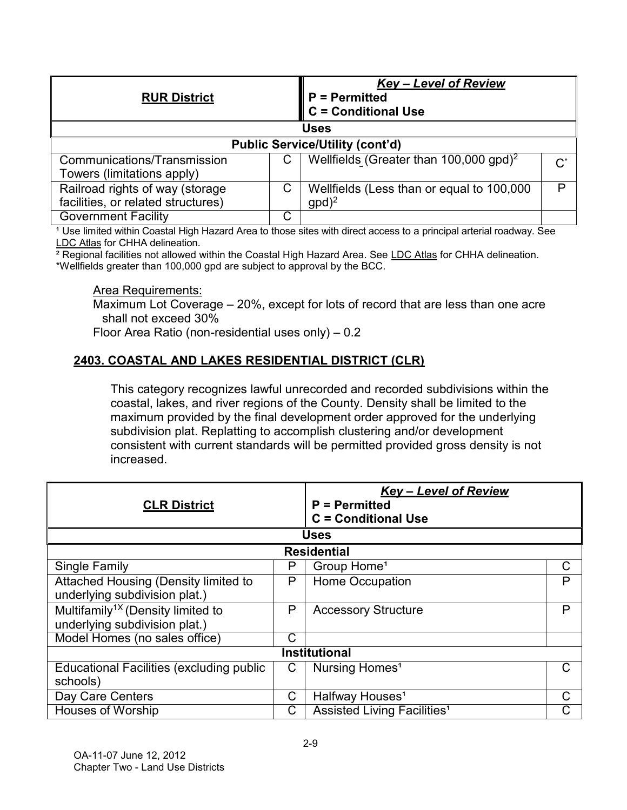| <b>RUR District</b>                                                   |   | <u>Key – Level of Review</u><br>$P = Permitted$<br><b>C</b> = Conditional Use |       |
|-----------------------------------------------------------------------|---|-------------------------------------------------------------------------------|-------|
|                                                                       |   | <b>Uses</b>                                                                   |       |
|                                                                       |   | <b>Public Service/Utility (cont'd)</b>                                        |       |
| Communications/Transmission<br>Towers (limitations apply)             | С | Wellfields (Greater than $100,000$ gpd) <sup>2</sup>                          | $C^*$ |
| Railroad rights of way (storage<br>facilities, or related structures) | С | Wellfields (Less than or equal to 100,000<br>$gpd)^2$                         | D     |
| <b>Government Facility</b>                                            | С |                                                                               |       |

<sup>1</sup> Use limited within Coastal High Hazard Area to those sites with direct access to a principal arterial roadway. See [LDC Atlas](http://gis.citrusbocc.com/ccimap.html) for CHHA delineation.

<sup>2</sup> Regional facilities not allowed within the Coastal High Hazard Area. See [LDC Atlas](http://gis.citrusbocc.com/ccimap.html) for CHHA delineation.

\*Wellfields greater than 100,000 gpd are subject to approval by the BCC.

### Area Requirements:

Maximum Lot Coverage – 20%, except for lots of record that are less than one acre shall not exceed 30%

Floor Area Ratio (non-residential uses only) – 0.2

## <span id="page-10-0"></span>**2403. COASTAL AND LAKES RESIDENTIAL DISTRICT (CLR)**

This category recognizes lawful unrecorded and recorded subdivisions within the coastal, lakes, and river regions of the County. Density shall be limited to the maximum provided by the final development order approved for the underlying subdivision plat. Replatting to accomplish clustering and/or development consistent with current standards will be permitted provided gross density is not increased.

| <b>CLR District</b>                             |   | <u> Key – Level of Review</u><br>$P = Permitted$<br><b>C</b> = Conditional Use |   |
|-------------------------------------------------|---|--------------------------------------------------------------------------------|---|
|                                                 |   | <b>Uses</b>                                                                    |   |
|                                                 |   | <b>Residential</b>                                                             |   |
| Single Family                                   | Р | Group Home <sup>1</sup>                                                        | С |
| Attached Housing (Density limited to            | P | Home Occupation                                                                | P |
| underlying subdivision plat.)                   |   |                                                                                |   |
| Multifamily <sup>1X</sup> (Density limited to   | P | <b>Accessory Structure</b>                                                     | P |
| underlying subdivision plat.)                   |   |                                                                                |   |
| Model Homes (no sales office)                   | С |                                                                                |   |
|                                                 |   | <b>Institutional</b>                                                           |   |
| <b>Educational Facilities (excluding public</b> | С | Nursing Homes <sup>1</sup>                                                     | C |
| schools)                                        |   |                                                                                |   |
| Day Care Centers                                | С | Halfway Houses <sup>1</sup>                                                    | C |
| <b>Houses of Worship</b>                        | С | Assisted Living Facilities <sup>1</sup>                                        | С |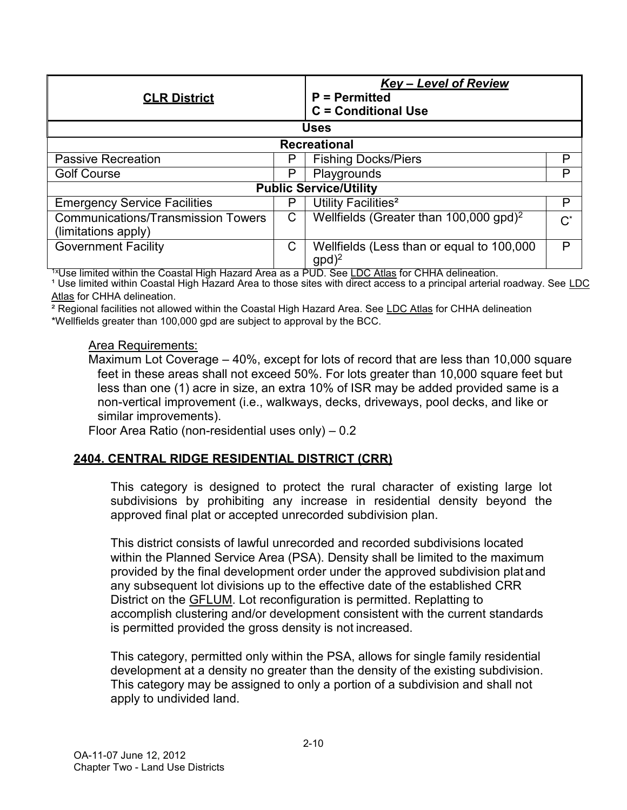| <b>CLR District</b>                                              |   | <u>Key – Level of Review</u><br>$P = Permitted$<br><b>C</b> = Conditional Use |       |
|------------------------------------------------------------------|---|-------------------------------------------------------------------------------|-------|
|                                                                  |   | <b>Uses</b>                                                                   |       |
|                                                                  |   | <b>Recreational</b>                                                           |       |
| <b>Passive Recreation</b>                                        | Р | <b>Fishing Docks/Piers</b>                                                    | P     |
| <b>Golf Course</b>                                               | P | Playgrounds                                                                   | P     |
|                                                                  |   | <b>Public Service/Utility</b>                                                 |       |
| <b>Emergency Service Facilities</b>                              | Р | Utility Facilities <sup>2</sup>                                               | P     |
| <b>Communications/Transmission Towers</b><br>(limitations apply) | C | Wellfields (Greater than $100,000$ gpd) <sup>2</sup>                          | $C^*$ |
| <b>Government Facility</b>                                       | C | Wellfields (Less than or equal to 100,000<br>$gpd)^2$                         | P     |

<sup>1x</sup>Use limited within the Coastal High Hazard Area as a [PUD. S](http://www.citrusbocc.com/plandev/landdev/applications/conditional-use.pdf)ee <u>LDC Atlas</u> for CHHA delineation.

<sup>1</sup> Use limited within Coastal High Hazard Area to those sites with direct access to a principal arterial roadway. See [LDC](http://gis.citrusbocc.com/ccimap.html) [Atlas](http://gis.citrusbocc.com/ccimap.html) for CHHA delineation.

² Regional facilities not allowed within the Coastal High Hazard Area. See [LDC Atlas](http://gis.citrusbocc.com/ccimap.html) for CHHA delineation \*Wellfields greater than 100,000 gpd are subject to approval by the BCC.

#### Area Requirements:

Maximum Lot Coverage – 40%, except for lots of record that are less than 10,000 square feet in these areas shall not exceed 50%. For lots greater than 10,000 square feet but less than one (1) acre in size, an extra 10% of ISR may be added provided same is a non-vertical improvement (i.e., walkways, decks, driveways, pool decks, and like or similar improvements).

Floor Area Ratio (non-residential uses only) – 0.2

## <span id="page-11-0"></span>**2404. CENTRAL RIDGE RESIDENTIAL DISTRICT (CRR)**

This category is designed to protect the rural character of existing large lot subdivisions by prohibiting any increase in residential density beyond the approved final plat or accepted unrecorded subdivision plan.

This district consists of lawful unrecorded and recorded subdivisions located within the Planned Service Area (PSA). Density shall be limited to the maximum provided by the final development order under the approved subdivision plat and any subsequent lot divisions up to the effective date of the established CRR District on the GFLUM. Lot reconfiguration is permitted. Replatting to accomplish clustering and/or development consistent with the current standards is permitted provided the gross density is not increased.

This category, permitted only within the PSA, allows for single family residential development at a density no greater than the density of the existing subdivision. This category may be assigned to only a portion of a subdivision and shall not apply to undivided land.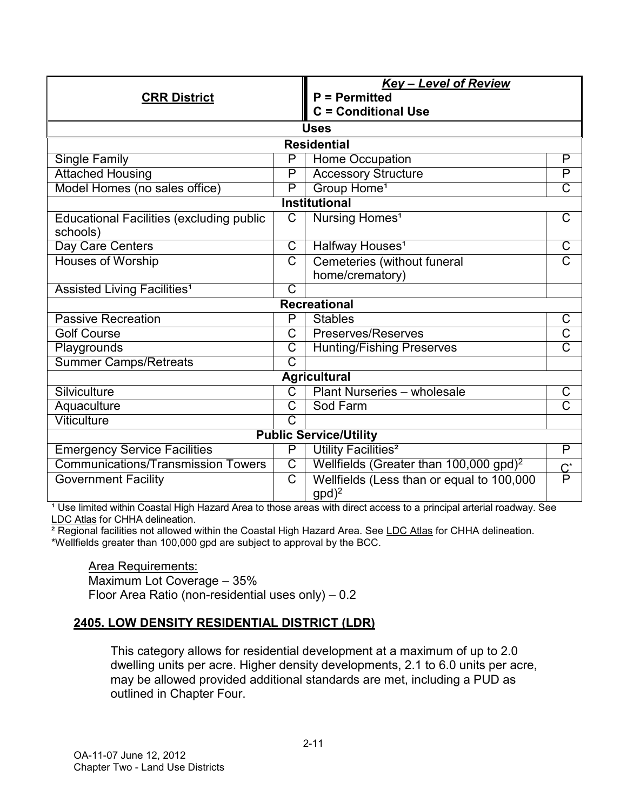|                                                             |                         | <u>Key - Level of Review</u>                         |                         |
|-------------------------------------------------------------|-------------------------|------------------------------------------------------|-------------------------|
| <b>CRR District</b>                                         |                         | $P = Permitted$                                      |                         |
|                                                             |                         | <b>C</b> = Conditional Use                           |                         |
|                                                             |                         | <b>Uses</b>                                          |                         |
|                                                             |                         |                                                      |                         |
|                                                             |                         | <b>Residential</b>                                   |                         |
| <b>Single Family</b>                                        | P                       | <b>Home Occupation</b>                               | $\overline{P}$          |
| <b>Attached Housing</b>                                     | P                       | <b>Accessory Structure</b>                           | $\overline{\mathsf{P}}$ |
| Model Homes (no sales office)                               | P                       | Group Home <sup>1</sup>                              | $\overline{\mathsf{C}}$ |
|                                                             |                         | <b>Institutional</b>                                 |                         |
| <b>Educational Facilities (excluding public</b><br>schools) | $\mathsf{C}$            | Nursing Homes <sup>1</sup>                           | C                       |
| Day Care Centers                                            | C                       | Halfway Houses <sup>1</sup>                          | С                       |
| <b>Houses of Worship</b>                                    | $\overline{\text{C}}$   | Cemeteries (without funeral                          | $\overline{\text{C}}$   |
|                                                             |                         | home/crematory)                                      |                         |
| <b>Assisted Living Facilities<sup>1</sup></b>               | $\overline{\text{C}}$   |                                                      |                         |
|                                                             |                         | <b>Recreational</b>                                  |                         |
| <b>Passive Recreation</b>                                   | P                       | <b>Stables</b>                                       | $\overline{\text{C}}$   |
| <b>Golf Course</b>                                          | $\overline{\text{C}}$   | <b>Preserves/Reserves</b>                            | $\overline{\text{C}}$   |
| Playgrounds                                                 | $\overline{\mathsf{C}}$ | <b>Hunting/Fishing Preserves</b>                     | $\overline{\text{C}}$   |
| <b>Summer Camps/Retreats</b>                                | $\overline{\text{C}}$   |                                                      |                         |
|                                                             |                         | <b>Agricultural</b>                                  |                         |
| Silviculture                                                | $\overline{\mathrm{C}}$ | Plant Nurseries - wholesale                          | $\overline{\text{C}}$   |
| Aquaculture                                                 | $\overline{\text{C}}$   | Sod Farm                                             | $\overline{\text{C}}$   |
| Viticulture                                                 | $\overline{\text{C}}$   |                                                      |                         |
|                                                             |                         | <b>Public Service/Utility</b>                        |                         |
| <b>Emergency Service Facilities</b>                         | P                       | Utility Facilities <sup>2</sup>                      | $\overline{P}$          |
| <b>Communications/Transmission Towers</b>                   | $\overline{\mathsf{C}}$ | Wellfields (Greater than $100,000$ gpd) <sup>2</sup> | $\overline{\text{C}}^*$ |
| <b>Government Facility</b>                                  | $\overline{\text{C}}$   | Wellfields (Less than or equal to 100,000            | $\overline{P}$          |
|                                                             |                         | $gpd)^2$                                             |                         |

<sup>1</sup> Use limited within Coastal High Hazard Area to those areas with direct access to a principal arterial roadway. See [LDC Atlas](http://gis.citrusbocc.com/ccimap.html) for CHHA delineation.

<sup>2</sup> Regional facilities not allowed within the Coastal High Hazard Area. See [LDC Atlas](http://gis.citrusbocc.com/ccimap.html) for CHHA delineation.

\*Wellfields greater than 100,000 gpd are subject to approval by the BCC.

Area Requirements: Maximum Lot Coverage – 35% Floor Area Ratio (non-residential uses only) – 0.2

# <span id="page-12-0"></span>**2405. LOW DENSITY RESIDENTIAL DISTRICT (LDR)**

This category allows for residential development at a maximum of up to 2.0 dwelling units per acre. Higher density developments, 2.1 to 6.0 units per acre, may be allowed provided additional standards are met, including a PUD as outlined in Chapter Four.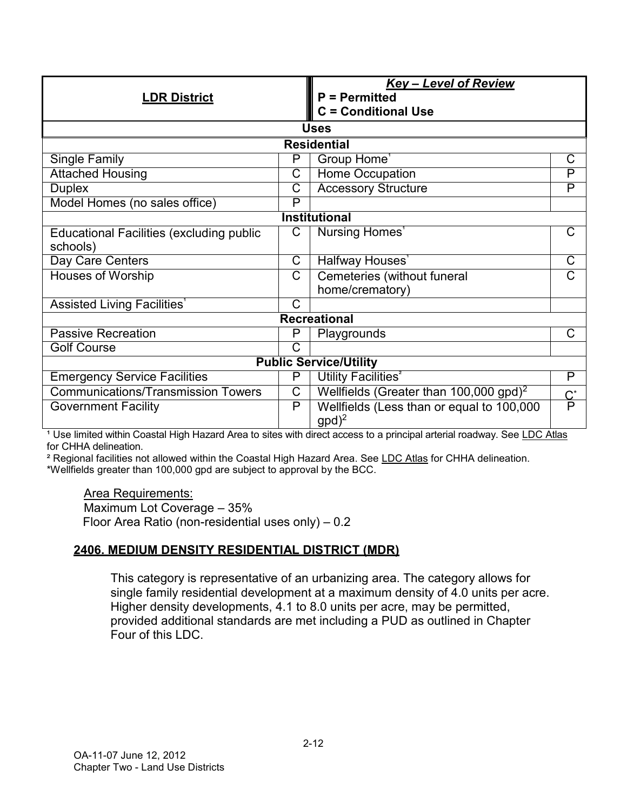| <b>LDR District</b>                                         |                       | <b>Key - Level of Review</b><br>$P = Permitted$<br><b>C</b> = Conditional Use |                 |
|-------------------------------------------------------------|-----------------------|-------------------------------------------------------------------------------|-----------------|
|                                                             |                       | <b>Uses</b>                                                                   |                 |
|                                                             |                       | <b>Residential</b>                                                            |                 |
| <b>Single Family</b>                                        | P                     | Group Home <sup>1</sup>                                                       | С               |
| <b>Attached Housing</b>                                     | C                     | <b>Home Occupation</b>                                                        | P               |
| <b>Duplex</b>                                               | C                     | <b>Accessory Structure</b>                                                    | P               |
| Model Homes (no sales office)                               | P                     |                                                                               |                 |
|                                                             |                       | <b>Institutional</b>                                                          |                 |
| <b>Educational Facilities (excluding public</b><br>schools) | C                     | Nursing Homes <sup>1</sup>                                                    | C               |
| Day Care Centers                                            | C                     | Halfway Houses <sup>1</sup>                                                   | C               |
| <b>Houses of Worship</b>                                    | C                     | Cemeteries (without funeral<br>home/crematory)                                | C               |
| Assisted Living Facilities <sup>1</sup>                     | $\overline{C}$        |                                                                               |                 |
|                                                             |                       | <b>Recreational</b>                                                           |                 |
| <b>Passive Recreation</b>                                   | P                     | Playgrounds                                                                   | C               |
| <b>Golf Course</b>                                          | $\overline{\text{C}}$ |                                                                               |                 |
|                                                             |                       | <b>Public Service/Utility</b>                                                 |                 |
| <b>Emergency Service Facilities</b>                         | P                     | Utility Facilities <sup>2</sup>                                               | P               |
| <b>Communications/Transmission Towers</b>                   | C                     | Wellfields (Greater than $100,000$ gpd) <sup>2</sup>                          | $\frac{C^*}{P}$ |
| <b>Government Facility</b>                                  | P                     | Wellfields (Less than or equal to 100,000<br>$gpd)^2$                         |                 |

<sup>1</sup> Use limited within Coastal High Hazard Area to sites with direct access to a principal arterial roadway. See [LDC Atlas](http://gis.citrusbocc.com/ccimap.html) for CHHA delineation.

² Regional facilities not allowed within the Coastal High Hazard Area. See [LDC Atlas](http://gis.citrusbocc.com/ccimap.html) for CHHA delineation.

\*Wellfields greater than 100,000 gpd are subject to approval by the BCC.

Area Requirements:

Maximum Lot Coverage – 35% Floor Area Ratio (non-residential uses only) – 0.2

## <span id="page-13-0"></span>**2406. MEDIUM DENSITY RESIDENTIAL DISTRICT (MDR)**

This category is representative of an urbanizing area. The category allows for single family residential development at a maximum density of 4.0 units per acre. Higher density developments, 4.1 to 8.0 units per acre, may be permitted, provided additional standards are met including a PUD as outlined in Chapter Four of this LDC.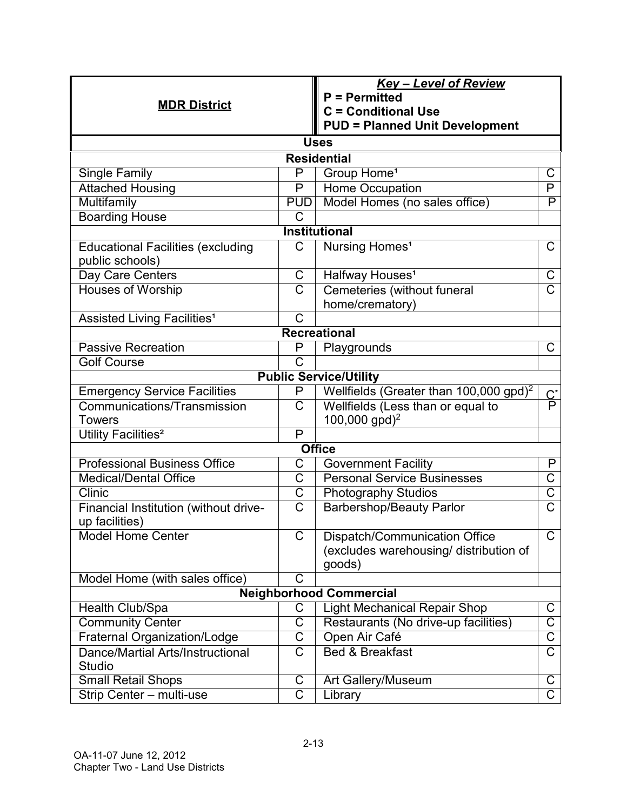| <b>MDR District</b>                                         |                         | <u>Kev – Level of Review</u><br>$P = Permitted$<br><b>C</b> = Conditional Use<br><b>PUD = Planned Unit Development</b> |                               |
|-------------------------------------------------------------|-------------------------|------------------------------------------------------------------------------------------------------------------------|-------------------------------|
|                                                             |                         | <b>Uses</b>                                                                                                            |                               |
|                                                             |                         | <b>Residential</b>                                                                                                     |                               |
| <b>Single Family</b>                                        | P                       | Group Home <sup>1</sup>                                                                                                | С                             |
| <b>Attached Housing</b>                                     | $\overline{P}$          | <b>Home Occupation</b>                                                                                                 | P                             |
| <b>Multifamily</b>                                          | <b>PUD</b>              | Model Homes (no sales office)                                                                                          | P                             |
| <b>Boarding House</b>                                       | C                       |                                                                                                                        |                               |
|                                                             |                         | <b>Institutional</b>                                                                                                   |                               |
| <b>Educational Facilities (excluding</b><br>public schools) | $\mathsf{C}$            | Nursing Homes <sup>1</sup>                                                                                             | C                             |
| Day Care Centers                                            | $\overline{C}$          | Halfway Houses <sup>1</sup>                                                                                            | $\overline{\text{C}}$         |
| <b>Houses of Worship</b>                                    | $\overline{\text{C}}$   | Cemeteries (without funeral<br>home/crematory)                                                                         | $\overline{\text{C}}$         |
| <b>Assisted Living Facilities<sup>1</sup></b>               | $\overline{\text{C}}$   |                                                                                                                        |                               |
|                                                             |                         | <b>Recreational</b>                                                                                                    |                               |
| <b>Passive Recreation</b>                                   | P                       | Playgrounds                                                                                                            | $\overline{\text{C}}$         |
| <b>Golf Course</b>                                          | C                       |                                                                                                                        |                               |
|                                                             |                         | <b>Public Service/Utility</b>                                                                                          |                               |
| <b>Emergency Service Facilities</b>                         | P                       | Wellfields (Greater than $100,000$ gpd) <sup>2</sup>                                                                   |                               |
| Communications/Transmission                                 | $\mathsf{C}$            | Wellfields (Less than or equal to                                                                                      | $\frac{\text{C}^*}{\text{P}}$ |
| <b>Towers</b>                                               |                         | 100,000 gpd) <sup>2</sup>                                                                                              |                               |
| Utility Facilities <sup>2</sup>                             | $\overline{P}$          |                                                                                                                        |                               |
|                                                             |                         | <b>Office</b>                                                                                                          |                               |
| <b>Professional Business Office</b>                         | $\overline{\text{C}}$   | <b>Government Facility</b>                                                                                             | $\overline{P}$                |
| <b>Medical/Dental Office</b>                                | $\overline{\text{C}}$   | <b>Personal Service Businesses</b>                                                                                     | $\overline{\text{C}}$         |
| Clinic                                                      | $\mathsf C$             | <b>Photography Studios</b>                                                                                             | $\overline{\text{C}}$         |
| Financial Institution (without drive-<br>up facilities)     | $\overline{\mathsf{C}}$ | <b>Barbershop/Beauty Parlor</b>                                                                                        | $\overline{\text{C}}$         |
| <b>Model Home Center</b>                                    | C                       | Dispatch/Communication Office<br>(excludes warehousing/ distribution of<br>goods)                                      | C                             |
| Model Home (with sales office)                              | $\mathsf{C}$            |                                                                                                                        |                               |
|                                                             |                         | <b>Neighborhood Commercial</b>                                                                                         |                               |
| <b>Health Club/Spa</b>                                      | C                       | <b>Light Mechanical Repair Shop</b>                                                                                    | С                             |
| <b>Community Center</b>                                     | $\overline{\text{C}}$   | Restaurants (No drive-up facilities)                                                                                   | $\overline{\mathsf{C}}$       |
| <b>Fraternal Organization/Lodge</b>                         | $\overline{\text{C}}$   | Open Air Café                                                                                                          | $\overline{\text{C}}$         |
| Dance/Martial Arts/Instructional<br><b>Studio</b>           | C                       | <b>Bed &amp; Breakfast</b>                                                                                             | $\overline{\text{C}}$         |
| Small Retail Shops                                          | C                       | Art Gallery/Museum                                                                                                     | С                             |
| Strip Center - multi-use                                    | $\overline{\text{C}}$   | Library                                                                                                                | $\overline{\mathsf{C}}$       |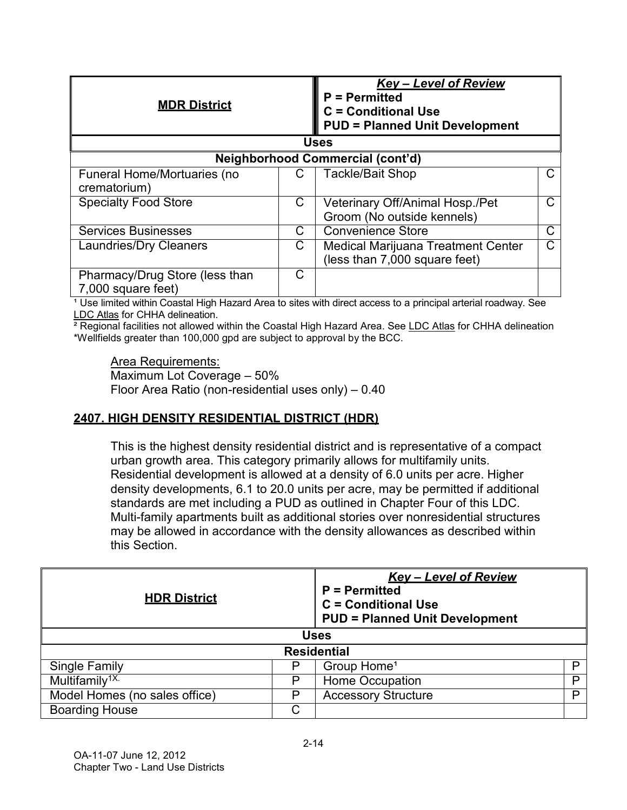| <b>MDR District</b>                                  |   | <u>Key - Level of Review</u><br>$P = Permitted$<br><b>C</b> = Conditional Use<br><b>PUD = Planned Unit Development</b> |  |
|------------------------------------------------------|---|------------------------------------------------------------------------------------------------------------------------|--|
|                                                      |   | <b>Uses</b>                                                                                                            |  |
|                                                      |   | Neighborhood Commercial (cont'd)                                                                                       |  |
| Funeral Home/Mortuaries (no<br>crematorium)          |   | <b>Tackle/Bait Shop</b>                                                                                                |  |
| <b>Specialty Food Store</b>                          | C | Veterinary Off/Animal Hosp./Pet<br>Groom (No outside kennels)                                                          |  |
| <b>Services Businesses</b>                           | C | <b>Convenience Store</b>                                                                                               |  |
| <b>Laundries/Dry Cleaners</b>                        | C | Medical Marijuana Treatment Center<br>(less than 7,000 square feet)                                                    |  |
| Pharmacy/Drug Store (less than<br>7,000 square feet) | С |                                                                                                                        |  |

<sup>1</sup> Use limited within Coastal High Hazard Area to sites with direct access to a principal arterial roadway. See [LDC Atlas](http://gis.citrusbocc.com/ccimap.html) for CHHA delineation.

<sup>2</sup> Regional facilities not allowed within the Coastal High Hazard Area. See [LDC Atlas](http://gis.citrusbocc.com/ccimap.html) for CHHA delineation \*Wellfields greater than 100,000 gpd are subject to approval by the BCC.

#### Area Requirements:

Maximum Lot Coverage – 50% Floor Area Ratio (non-residential uses only) – 0.40

### <span id="page-15-0"></span>**2407. HIGH DENSITY RESIDENTIAL DISTRICT (HDR)**

This is the highest density residential district and is representative of a compact urban growth area. This category primarily allows for multifamily units. Residential development is allowed at a density of 6.0 units per acre. Higher density developments, 6.1 to 20.0 units per acre, may be permitted if additional standards are met including a PUD as outlined in Chapter Four of this LDC. Multi-family apartments built as additional stories over nonresidential structures may be allowed in accordance with the density allowances as described within this Section.

| <b>HDR District</b>           |   | <u>Key – Level of Review</u><br>$P = Permitted$<br><b>C</b> = Conditional Use<br><b>PUD = Planned Unit Development</b> |   |  |
|-------------------------------|---|------------------------------------------------------------------------------------------------------------------------|---|--|
|                               |   | <b>Uses</b>                                                                                                            |   |  |
| <b>Residential</b>            |   |                                                                                                                        |   |  |
| <b>Single Family</b>          |   | Group Home <sup>1</sup>                                                                                                | P |  |
| Multifamily <sup>1X</sup>     | P | <b>Home Occupation</b>                                                                                                 | P |  |
| Model Homes (no sales office) | P | <b>Accessory Structure</b>                                                                                             | P |  |
| <b>Boarding House</b>         |   |                                                                                                                        |   |  |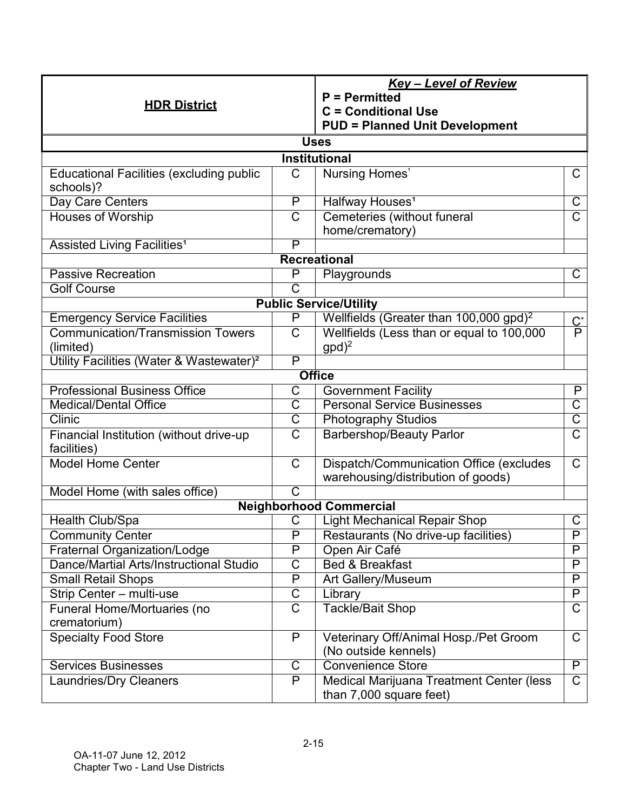|                                                       |                         | <u> Key – Level of Review</u>                                       |                         |  |
|-------------------------------------------------------|-------------------------|---------------------------------------------------------------------|-------------------------|--|
|                                                       |                         | $P = Permitted$                                                     |                         |  |
| <b>HDR District</b>                                   |                         | <b>C</b> = Conditional Use                                          |                         |  |
|                                                       |                         | <b>PUD = Planned Unit Development</b>                               |                         |  |
|                                                       |                         | <b>Uses</b>                                                         |                         |  |
|                                                       |                         | <b>Institutional</b>                                                |                         |  |
| <b>Educational Facilities (excluding public</b>       | C                       | Nursing Homes <sup>1</sup>                                          | $\mathsf C$             |  |
| schools)?                                             |                         |                                                                     |                         |  |
| Day Care Centers                                      | P                       | Halfway Houses <sup>1</sup>                                         | C                       |  |
| Houses of Worship                                     | $\mathsf{C}$            | Cemeteries (without funeral<br>home/crematory)                      | $\overline{C}$          |  |
| <b>Assisted Living Facilities<sup>1</sup></b>         | $\overline{\mathsf{P}}$ |                                                                     |                         |  |
|                                                       |                         | <b>Recreational</b>                                                 |                         |  |
| <b>Passive Recreation</b>                             | P                       | Playgrounds                                                         | $\overline{C}$          |  |
| <b>Golf Course</b>                                    | $\overline{\text{C}}$   |                                                                     |                         |  |
|                                                       |                         | <b>Public Service/Utility</b>                                       |                         |  |
| <b>Emergency Service Facilities</b>                   | P                       | Wellfields (Greater than 100,000 gpd) <sup>2</sup>                  | $\frac{C^*}{P}$         |  |
| <b>Communication/Transmission Towers</b><br>(limited) | $\overline{C}$          | Wellfields (Less than or equal to 100,000<br>$gpd)^2$               |                         |  |
| Utility Facilities (Water & Wastewater) <sup>2</sup>  | $\overline{\mathsf{P}}$ |                                                                     |                         |  |
|                                                       |                         | <b>Office</b>                                                       |                         |  |
| <b>Professional Business Office</b>                   | C                       | <b>Government Facility</b>                                          | P                       |  |
| <b>Medical/Dental Office</b>                          | $\overline{C}$          | <b>Personal Service Businesses</b>                                  | $\overline{\text{C}}$   |  |
| Clinic                                                | $\overline{\text{C}}$   | <b>Photography Studios</b>                                          | $\overline{\mathsf{C}}$ |  |
| Financial Institution (without drive-up               | $\overline{C}$          | <b>Barbershop/Beauty Parlor</b>                                     | $\overline{\text{C}}$   |  |
| facilities)                                           |                         |                                                                     |                         |  |
| <b>Model Home Center</b>                              | $\mathsf{C}$            | Dispatch/Communication Office (excludes                             | $\overline{C}$          |  |
|                                                       |                         | warehousing/distribution of goods)                                  |                         |  |
| Model Home (with sales office)                        | $\overline{C}$          |                                                                     |                         |  |
|                                                       |                         | <b>Neighborhood Commercial</b>                                      |                         |  |
| <b>Health Club/Spa</b>                                | C                       | <b>Light Mechanical Repair Shop</b>                                 | $\mathsf C$             |  |
| <b>Community Center</b>                               | P                       | Restaurants (No drive-up facilities)                                | P                       |  |
| <b>Fraternal Organization/Lodge</b>                   | P                       | Open Air Café                                                       | $\overline{P}$          |  |
| Dance/Martial Arts/Instructional Studio               | C                       | <b>Bed &amp; Breakfast</b>                                          | $\overline{P}$          |  |
| <b>Small Retail Shops</b>                             | P                       | <b>Art Gallery/Museum</b>                                           | $\overline{P}$          |  |
| Strip Center - multi-use                              | C                       | Library                                                             | $\mathsf{P}$            |  |
| Funeral Home/Mortuaries (no                           | $\mathsf C$             | <b>Tackle/Bait Shop</b>                                             | $\mathsf{C}$            |  |
| crematorium)                                          |                         |                                                                     |                         |  |
| <b>Specialty Food Store</b>                           | P                       | Veterinary Off/Animal Hosp./Pet Groom<br>(No outside kennels)       | $\mathsf{C}$            |  |
| <b>Services Businesses</b>                            | C                       | <b>Convenience Store</b>                                            | $\overline{P}$          |  |
| <b>Laundries/Dry Cleaners</b>                         | P                       | Medical Marijuana Treatment Center (less<br>than 7,000 square feet) | $\mathsf{C}$            |  |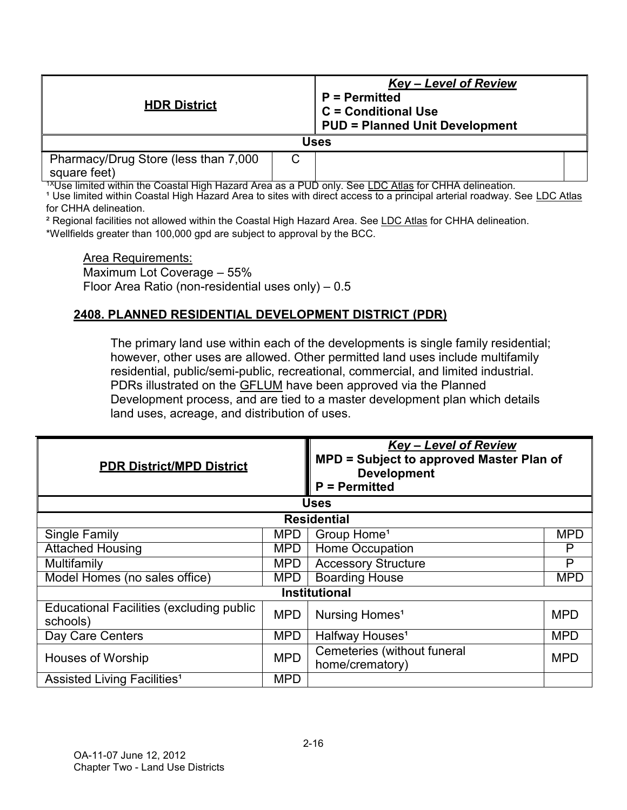| <b>HDR District</b> |  |                                                                                                                                                                                                                                               |
|---------------------|--|-----------------------------------------------------------------------------------------------------------------------------------------------------------------------------------------------------------------------------------------------|
|                     |  |                                                                                                                                                                                                                                               |
| C                   |  |                                                                                                                                                                                                                                               |
|                     |  |                                                                                                                                                                                                                                               |
|                     |  | <u>Key – Level of Review</u><br>$P = Permitted$<br><b>C</b> = Conditional Use<br><b>PUD = Planned Unit Development</b><br><b>Uses</b><br>18 lee limited within the Coastal High Hazard Area as a DHD only. See LDC Atlas for CHHA delineation |

 $^\text{\tiny{1X}}$ Use limited within the Coastal High Hazard Area as a PUD only. See <u>LDC Atlas</u> for CHHA delineation.

 $^{\rm 1}$  Use limited within Coastal High Hazard Area to sites with direct access to a principal arterial roadway. See <u>LDC Atlas</u> for CHHA delineation.

<sup>2</sup> Regional facilities not allowed within the Coastal High Hazard Area. See [LDC Atlas](http://gis.citrusbocc.com/ccimap.html) for CHHA delineation. \*Wellfields greater than 100,000 gpd are subject to approval by the BCC.

Area Requirements: Maximum Lot Coverage – 55% Floor Area Ratio (non-residential uses only)  $-0.5$ 

# <span id="page-17-0"></span>**2408. PLANNED RESIDENTIAL DEVELOPMENT DISTRICT (PDR)**

The primary land use within each of the developments is single family residential; however, other uses are allowed. Other permitted land uses include multifamily residential, public/semi-public, recreational, commercial, and limited industrial. PDRs illustrated on the **GFLUM** have been approved via the Planned Development process, and are tied to a master development plan which details land uses, acreage, and distribution of uses.

| <b>PDR District/MPD District</b>                     |            | <b>Key - Level of Review</b><br>MPD = Subject to approved Master Plan of<br><b>Development</b><br>$P = Permitted$ |            |
|------------------------------------------------------|------------|-------------------------------------------------------------------------------------------------------------------|------------|
|                                                      |            | <b>Uses</b>                                                                                                       |            |
|                                                      |            | <b>Residential</b>                                                                                                |            |
| <b>Single Family</b>                                 | MPD        | Group Home <sup>1</sup>                                                                                           | <b>MPD</b> |
| <b>Attached Housing</b>                              | MPD        | <b>Home Occupation</b>                                                                                            | P          |
| Multifamily                                          | MPD        | <b>Accessory Structure</b>                                                                                        | P          |
| Model Homes (no sales office)                        | MPD        | <b>Boarding House</b>                                                                                             | <b>MPD</b> |
|                                                      |            | <b>Institutional</b>                                                                                              |            |
| Educational Facilities (excluding public<br>schools) | <b>MPD</b> | Nursing Homes <sup>1</sup>                                                                                        | <b>MPD</b> |
| Day Care Centers                                     | <b>MPD</b> | Halfway Houses <sup>1</sup>                                                                                       | <b>MPD</b> |
| <b>Houses of Worship</b>                             | <b>MPD</b> | Cemeteries (without funeral<br>home/crematory)                                                                    | <b>MPD</b> |
| Assisted Living Facilities <sup>1</sup>              | <b>MPD</b> |                                                                                                                   |            |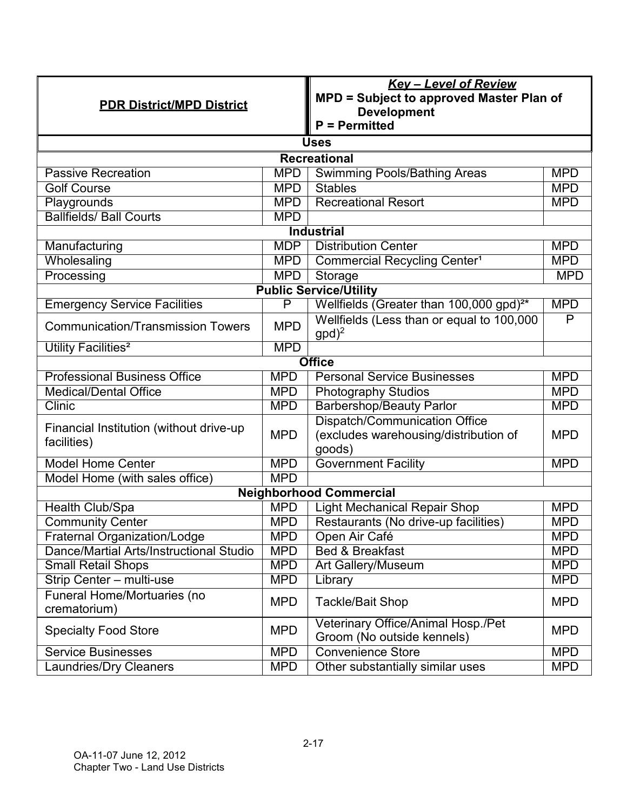| <b>PDR District/MPD District</b>                       |            | <u> Key – Level of Review</u><br><b>MPD = Subject to approved Master Plan of</b><br><b>Development</b><br>$P = Permitted$ |            |  |
|--------------------------------------------------------|------------|---------------------------------------------------------------------------------------------------------------------------|------------|--|
|                                                        |            | <b>Uses</b>                                                                                                               |            |  |
| <b>Recreational</b>                                    |            |                                                                                                                           |            |  |
| <b>Passive Recreation</b>                              | <b>MPD</b> | <b>Swimming Pools/Bathing Areas</b>                                                                                       | <b>MPD</b> |  |
| <b>Golf Course</b>                                     | <b>MPD</b> | <b>Stables</b>                                                                                                            | <b>MPD</b> |  |
| Playgrounds                                            | <b>MPD</b> | <b>Recreational Resort</b>                                                                                                | <b>MPD</b> |  |
| <b>Ballfields/ Ball Courts</b>                         | <b>MPD</b> |                                                                                                                           |            |  |
|                                                        |            | <b>Industrial</b>                                                                                                         |            |  |
| Manufacturing                                          | <b>MDP</b> | <b>Distribution Center</b>                                                                                                | <b>MPD</b> |  |
| Wholesaling                                            | <b>MPD</b> | <b>Commercial Recycling Center<sup>1</sup></b>                                                                            | <b>MPD</b> |  |
| Processing                                             | <b>MPD</b> | Storage                                                                                                                   | <b>MPD</b> |  |
|                                                        |            | <b>Public Service/Utility</b>                                                                                             |            |  |
| <b>Emergency Service Facilities</b>                    | P          | Wellfields (Greater than 100,000 gpd) <sup>2*</sup>                                                                       | <b>MPD</b> |  |
| <b>Communication/Transmission Towers</b>               | <b>MPD</b> | Wellfields (Less than or equal to 100,000<br>$gpd)^2$                                                                     | P          |  |
| Utility Facilities <sup>2</sup>                        | <b>MPD</b> |                                                                                                                           |            |  |
|                                                        |            | <b>Office</b>                                                                                                             |            |  |
| <b>Professional Business Office</b>                    | <b>MPD</b> | <b>Personal Service Businesses</b>                                                                                        | <b>MPD</b> |  |
| <b>Medical/Dental Office</b>                           | <b>MPD</b> | <b>Photography Studios</b>                                                                                                | <b>MPD</b> |  |
| Clinic                                                 | <b>MPD</b> | <b>Barbershop/Beauty Parlor</b>                                                                                           | <b>MPD</b> |  |
| Financial Institution (without drive-up<br>facilities) | <b>MPD</b> | <b>Dispatch/Communication Office</b><br>(excludes warehousing/distribution of<br>goods)                                   | <b>MPD</b> |  |
| <b>Model Home Center</b>                               | <b>MPD</b> | <b>Government Facility</b>                                                                                                | <b>MPD</b> |  |
| Model Home (with sales office)                         | <b>MPD</b> |                                                                                                                           |            |  |
|                                                        |            | <b>Neighborhood Commercial</b>                                                                                            |            |  |
| <b>Health Club/Spa</b>                                 | <b>MPD</b> | <b>Light Mechanical Repair Shop</b>                                                                                       | <b>MPD</b> |  |
| <b>Community Center</b>                                | <b>MPD</b> | Restaurants (No drive-up facilities)                                                                                      | <b>MPD</b> |  |
| <b>Fraternal Organization/Lodge</b>                    | <b>MPD</b> | Open Air Café                                                                                                             | <b>MPD</b> |  |
| Dance/Martial Arts/Instructional Studio                | <b>MPD</b> | Bed & Breakfast                                                                                                           | <b>MPD</b> |  |
| <b>Small Retail Shops</b>                              | <b>MPD</b> | Art Gallery/Museum                                                                                                        | <b>MPD</b> |  |
| Strip Center - multi-use                               | <b>MPD</b> | Library                                                                                                                   | <b>MPD</b> |  |
| Funeral Home/Mortuaries (no<br>crematorium)            | <b>MPD</b> | <b>Tackle/Bait Shop</b>                                                                                                   | <b>MPD</b> |  |
| <b>Specialty Food Store</b>                            | <b>MPD</b> | Veterinary Office/Animal Hosp./Pet<br>Groom (No outside kennels)                                                          | <b>MPD</b> |  |
| <b>Service Businesses</b>                              | <b>MPD</b> | <b>Convenience Store</b>                                                                                                  | <b>MPD</b> |  |
| <b>Laundries/Dry Cleaners</b>                          | <b>MPD</b> | Other substantially similar uses                                                                                          | <b>MPD</b> |  |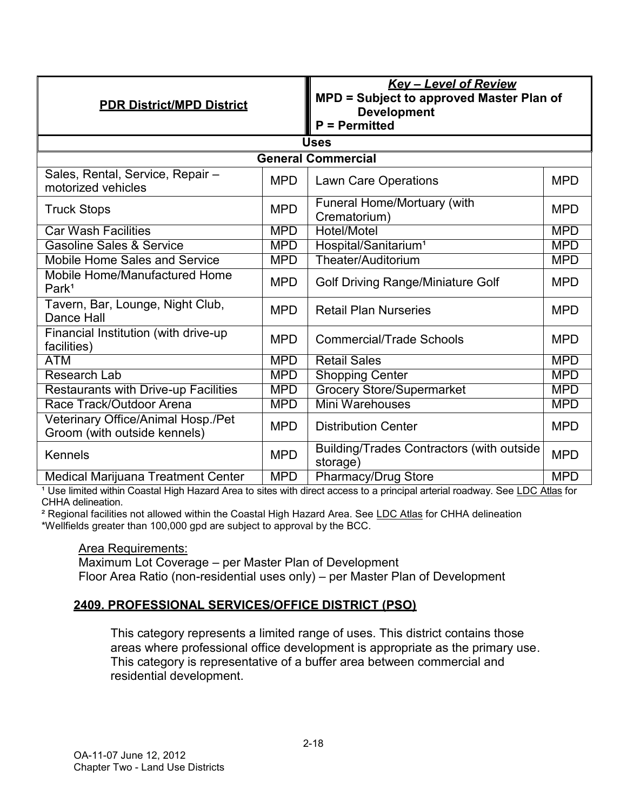| <b>PDR District/MPD District</b>                                   |            | <u>Key – Level of Review</u><br><b>MPD = Subject to approved Master Plan of</b><br><b>Development</b><br>$P = Permitted$ |            |  |  |
|--------------------------------------------------------------------|------------|--------------------------------------------------------------------------------------------------------------------------|------------|--|--|
| <b>Uses</b>                                                        |            |                                                                                                                          |            |  |  |
|                                                                    |            | <b>General Commercial</b>                                                                                                |            |  |  |
| Sales, Rental, Service, Repair -<br>motorized vehicles             | <b>MPD</b> | <b>Lawn Care Operations</b>                                                                                              | <b>MPD</b> |  |  |
| <b>Truck Stops</b>                                                 | <b>MPD</b> | Funeral Home/Mortuary (with<br>Crematorium)                                                                              | <b>MPD</b> |  |  |
| <b>Car Wash Facilities</b>                                         | <b>MPD</b> | <b>Hotel/Motel</b>                                                                                                       | <b>MPD</b> |  |  |
| <b>Gasoline Sales &amp; Service</b>                                | <b>MPD</b> | Hospital/Sanitarium <sup>1</sup>                                                                                         | <b>MPD</b> |  |  |
| <b>Mobile Home Sales and Service</b>                               | <b>MPD</b> | Theater/Auditorium                                                                                                       | <b>MPD</b> |  |  |
| Mobile Home/Manufactured Home<br>Park <sup>1</sup>                 | <b>MPD</b> | <b>Golf Driving Range/Miniature Golf</b>                                                                                 | <b>MPD</b> |  |  |
| Tavern, Bar, Lounge, Night Club,<br>Dance Hall                     | <b>MPD</b> | <b>Retail Plan Nurseries</b>                                                                                             | <b>MPD</b> |  |  |
| Financial Institution (with drive-up<br>facilities)                | <b>MPD</b> | <b>Commercial/Trade Schools</b>                                                                                          | <b>MPD</b> |  |  |
| <b>ATM</b>                                                         | <b>MPD</b> | <b>Retail Sales</b>                                                                                                      | <b>MPD</b> |  |  |
| <b>Research Lab</b>                                                | <b>MPD</b> | <b>Shopping Center</b>                                                                                                   | <b>MPD</b> |  |  |
| <b>Restaurants with Drive-up Facilities</b>                        | <b>MPD</b> | <b>Grocery Store/Supermarket</b>                                                                                         | <b>MPD</b> |  |  |
| Race Track/Outdoor Arena                                           | <b>MPD</b> | Mini Warehouses                                                                                                          | <b>MPD</b> |  |  |
| Veterinary Office/Animal Hosp./Pet<br>Groom (with outside kennels) | <b>MPD</b> | <b>Distribution Center</b>                                                                                               | <b>MPD</b> |  |  |
| <b>Kennels</b>                                                     | <b>MPD</b> | <b>Building/Trades Contractors (with outside</b><br>storage)                                                             | <b>MPD</b> |  |  |
| Medical Marijuana Treatment Center                                 | <b>MPD</b> | <b>Pharmacy/Drug Store</b>                                                                                               | <b>MPD</b> |  |  |

<sup>1</sup> Use limited within Coastal High Hazard Area to sites with direct access to a principal arterial roadway. See [LDC Atlas](http://gis.citrusbocc.com/ccimap.html) for CHHA delineation.

<sup>2</sup> Regional facilities not allowed within the Coastal High Hazard Area. See [LDC Atlas](http://gis.citrusbocc.com/ccimap.html) for CHHA delineation \*Wellfields greater than 100,000 gpd are subject to approval by the BCC.

Area Requirements:

Maximum Lot Coverage – per Master Plan of Development Floor Area Ratio (non-residential uses only) – per Master Plan of Development

### <span id="page-19-0"></span>**2409. PROFESSIONAL SERVICES/OFFICE DISTRICT (PSO)**

This category represents a limited range of uses. This district contains those areas where professional office development is appropriate as the primary use. This category is representative of a buffer area between commercial and residential development.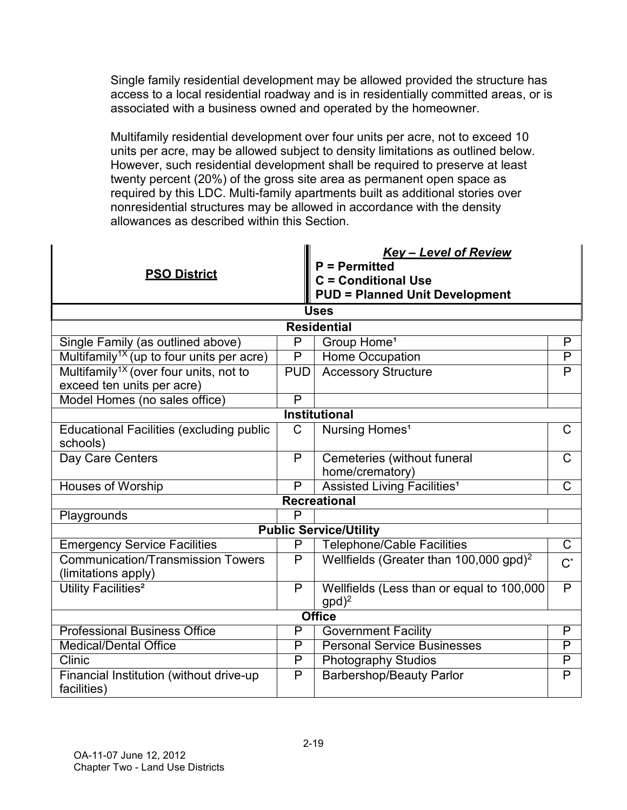Single family residential development may be allowed provided the structure has access to a local residential roadway and is in residentially committed areas, or is associated with a business owned and operated by the homeowner.

Multifamily residential development over four units per acre, not to exceed 10 units per acre, may be allowed subject to density limitations as outlined below. However, such residential development shall be required to preserve at least twenty percent (20%) of the gross site area as permanent open space as required by this LDC. Multi-family apartments built as additional stories over nonresidential structures may be allowed in accordance with the density allowances as described within this Section.

| <b>PSO District</b>                                                              |                         | <u>Key – Level of Review</u><br>$P = Permitted$<br><b>C</b> = Conditional Use<br><b>PUD = Planned Unit Development</b> |                         |  |  |
|----------------------------------------------------------------------------------|-------------------------|------------------------------------------------------------------------------------------------------------------------|-------------------------|--|--|
|                                                                                  |                         | <b>Uses</b>                                                                                                            |                         |  |  |
| <b>Residential</b>                                                               |                         |                                                                                                                        |                         |  |  |
| Single Family (as outlined above)                                                | P                       | Group Home <sup>1</sup>                                                                                                | $\mathsf{P}$            |  |  |
| Multifamily <sup>1X</sup> (up to four units per acre)                            | $\overline{P}$          | <b>Home Occupation</b>                                                                                                 | $\overline{P}$          |  |  |
| Multifamily <sup>1X</sup> (over four units, not to<br>exceed ten units per acre) | <b>PUD</b>              | <b>Accessory Structure</b>                                                                                             | P                       |  |  |
| Model Homes (no sales office)                                                    | $\overline{\mathsf{P}}$ |                                                                                                                        |                         |  |  |
|                                                                                  |                         | <b>Institutional</b>                                                                                                   |                         |  |  |
| <b>Educational Facilities (excluding public</b><br>schools)                      | $\mathsf{C}$            | Nursing Homes <sup>1</sup>                                                                                             | C                       |  |  |
| Day Care Centers                                                                 | P                       | Cemeteries (without funeral<br>home/crematory)                                                                         | C                       |  |  |
| <b>Houses of Worship</b>                                                         | $\overline{P}$          | Assisted Living Facilities <sup>1</sup>                                                                                | $\mathsf C$             |  |  |
| <b>Recreational</b>                                                              |                         |                                                                                                                        |                         |  |  |
| Playgrounds                                                                      | $\overline{\mathsf{P}}$ |                                                                                                                        |                         |  |  |
|                                                                                  |                         | <b>Public Service/Utility</b>                                                                                          |                         |  |  |
| <b>Emergency Service Facilities</b>                                              | P                       | Telephone/Cable Facilities                                                                                             | C                       |  |  |
| <b>Communication/Transmission Towers</b><br>(limitations apply)                  | P                       | Wellfields (Greater than $100,000$ gpd) <sup>2</sup>                                                                   | $C^*$                   |  |  |
| Utility Facilities <sup>2</sup>                                                  | P                       | Wellfields (Less than or equal to 100,000<br>$gpd)^2$                                                                  | P                       |  |  |
|                                                                                  |                         | <b>Office</b>                                                                                                          |                         |  |  |
| <b>Professional Business Office</b>                                              | $\overline{P}$          | <b>Government Facility</b>                                                                                             | $\overline{P}$          |  |  |
| <b>Medical/Dental Office</b>                                                     | P                       | <b>Personal Service Businesses</b>                                                                                     | $\overline{P}$          |  |  |
| Clinic                                                                           | P                       | <b>Photography Studios</b>                                                                                             | $\overline{\mathsf{P}}$ |  |  |
| Financial Institution (without drive-up<br>facilities)                           | P                       | <b>Barbershop/Beauty Parlor</b>                                                                                        | $\overline{P}$          |  |  |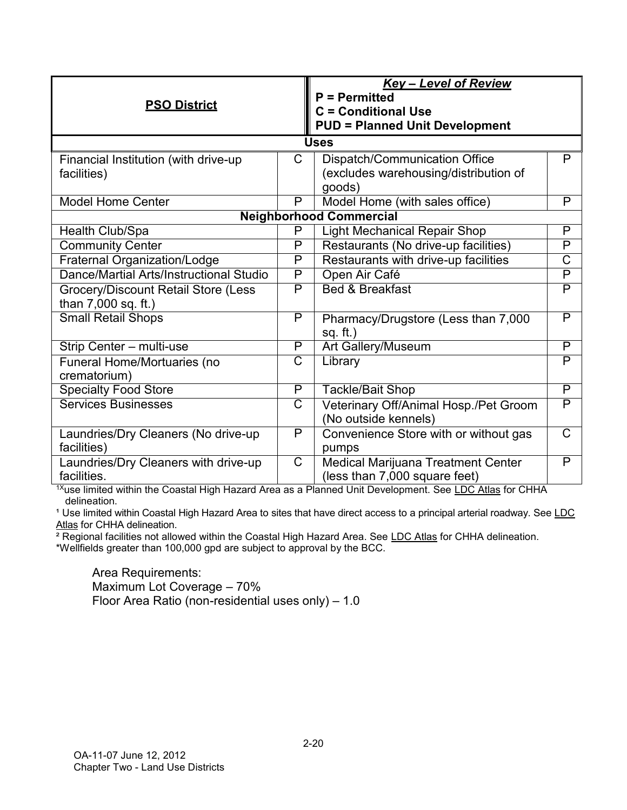| <b>PSO District</b>                                        |                       | <b>Key - Level of Review</b><br>$P = Permitted$<br><b>C</b> = Conditional Use<br><b>PUD = Planned Unit Development</b> |                       |
|------------------------------------------------------------|-----------------------|------------------------------------------------------------------------------------------------------------------------|-----------------------|
|                                                            |                       | <b>Uses</b>                                                                                                            |                       |
| Financial Institution (with drive-up<br>facilities)        | C                     | Dispatch/Communication Office<br>(excludes warehousing/distribution of<br>goods)                                       | P                     |
| <b>Model Home Center</b>                                   | P                     | Model Home (with sales office)                                                                                         | P                     |
|                                                            |                       | <b>Neighborhood Commercial</b>                                                                                         |                       |
| <b>Health Club/Spa</b>                                     | $\overline{P}$        | <b>Light Mechanical Repair Shop</b>                                                                                    | P                     |
| <b>Community Center</b>                                    | P                     | Restaurants (No drive-up facilities)                                                                                   | P                     |
| Fraternal Organization/Lodge                               | P                     | Restaurants with drive-up facilities                                                                                   | $\overline{\text{C}}$ |
| <b>Dance/Martial Arts/Instructional Studio</b>             | $\overline{P}$        | Open Air Café                                                                                                          | P                     |
| Grocery/Discount Retail Store (Less<br>than 7,000 sq. ft.) | $\overline{P}$        | <b>Bed &amp; Breakfast</b>                                                                                             | $\overline{P}$        |
| <b>Small Retail Shops</b>                                  | P                     | Pharmacy/Drugstore (Less than 7,000<br>$sq.$ ft.)                                                                      | P                     |
| Strip Center - multi-use                                   | P                     | <b>Art Gallery/Museum</b>                                                                                              | P                     |
| Funeral Home/Mortuaries (no<br>crematorium)                | $\overline{\text{C}}$ | Library                                                                                                                | $\overline{P}$        |
| <b>Specialty Food Store</b>                                | P                     | <b>Tackle/Bait Shop</b>                                                                                                | P                     |
| <b>Services Businesses</b>                                 | $\overline{C}$        | Veterinary Off/Animal Hosp./Pet Groom<br>(No outside kennels)                                                          | P                     |
| Laundries/Dry Cleaners (No drive-up<br>facilities)         | $\mathsf{P}$          | Convenience Store with or without gas<br>pumps                                                                         | $\overline{C}$        |
| Laundries/Dry Cleaners with drive-up<br>facilities.        | $\mathsf{C}$          | Medical Marijuana Treatment Center<br>(less than 7,000 square feet)                                                    | P                     |

<sup>1X</sup>use limited within the Coastal High Hazard Area as a Planned Unit Development. See [LDC Atlas](http://gis.citrusbocc.com/ccimap.html) for CHHA delineation.

<sup>1</sup> Use limited within Coastal High Hazard Area to sites that have direct access to a principal arterial roadway. See [LDC](http://gis.citrusbocc.com/ccimap.html) [Atlas](http://gis.citrusbocc.com/ccimap.html) for CHHA delineation.

<sup>2</sup> Regional facilities not allowed within the Coastal High Hazard Area. See <u>LDC Atlas</u> for CHHA delineation.

\*Wellfields greater than 100,000 gpd are subject to approval by the BCC.

Area Requirements: Maximum Lot Coverage – 70% Floor Area Ratio (non-residential uses only) – 1.0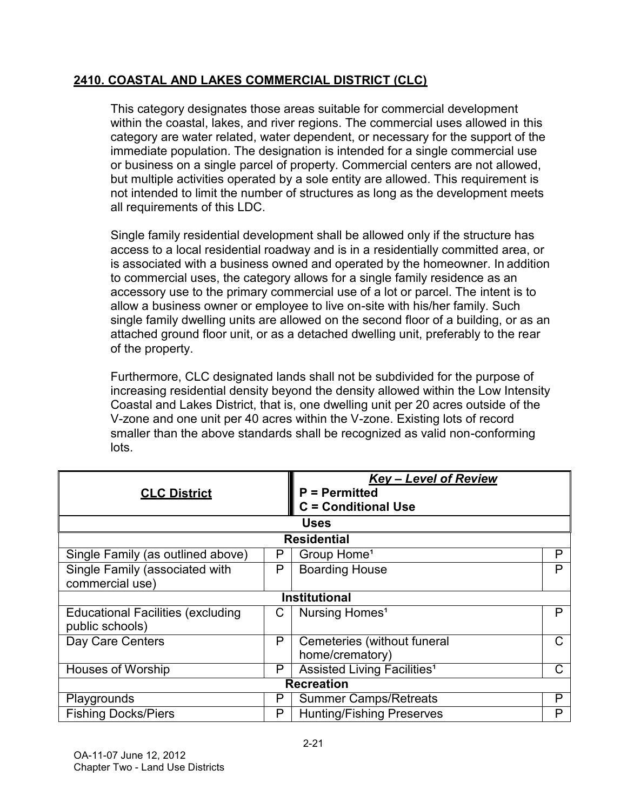# <span id="page-22-0"></span>**2410. COASTAL AND LAKES COMMERCIAL DISTRICT (CLC)**

This category designates those areas suitable for commercial development within the coastal, lakes, and river regions. The commercial uses allowed in this category are water related, water dependent, or necessary for the support of the immediate population. The designation is intended for a single commercial use or business on a single parcel of property. Commercial centers are not allowed, but multiple activities operated by a sole entity are allowed. This requirement is not intended to limit the number of structures as long as the development meets all requirements of this LDC.

Single family residential development shall be allowed only if the structure has access to a local residential roadway and is in a residentially committed area, or is associated with a business owned and operated by the homeowner. In addition to commercial uses, the category allows for a single family residence as an accessory use to the primary commercial use of a lot or parcel. The intent is to allow a business owner or employee to live on-site with his/her family. Such single family dwelling units are allowed on the second floor of a building, or as an attached ground floor unit, or as a detached dwelling unit, preferably to the rear of the property.

Furthermore, CLC designated lands shall not be subdivided for the purpose of increasing residential density beyond the density allowed within the Low Intensity Coastal and Lakes District, that is, one dwelling unit per 20 acres outside of the V-zone and one unit per 40 acres within the V-zone. Existing lots of record smaller than the above standards shall be recognized as valid non-conforming lots.

| <b>CLC District</b>                      |   | <u>Key – Level of Review</u><br>$P = Permitted$<br><b>C</b> = Conditional Use |   |  |
|------------------------------------------|---|-------------------------------------------------------------------------------|---|--|
|                                          |   | <b>Uses</b>                                                                   |   |  |
|                                          |   | <b>Residential</b>                                                            |   |  |
| Single Family (as outlined above)        | Р | Group Home <sup>1</sup>                                                       | P |  |
| Single Family (associated with           | P | <b>Boarding House</b>                                                         | P |  |
| commercial use)                          |   |                                                                               |   |  |
| <b>Institutional</b>                     |   |                                                                               |   |  |
| <b>Educational Facilities (excluding</b> | С | Nursing Homes <sup>1</sup>                                                    | P |  |
| public schools)                          |   |                                                                               |   |  |
| Day Care Centers                         | P | Cemeteries (without funeral                                                   |   |  |
|                                          |   | home/crematory)                                                               |   |  |
| <b>Houses of Worship</b>                 | P | Assisted Living Facilities <sup>1</sup>                                       |   |  |
| <b>Recreation</b>                        |   |                                                                               |   |  |
| Playgrounds                              | P | <b>Summer Camps/Retreats</b>                                                  | P |  |
| <b>Fishing Docks/Piers</b>               | P | <b>Hunting/Fishing Preserves</b>                                              | P |  |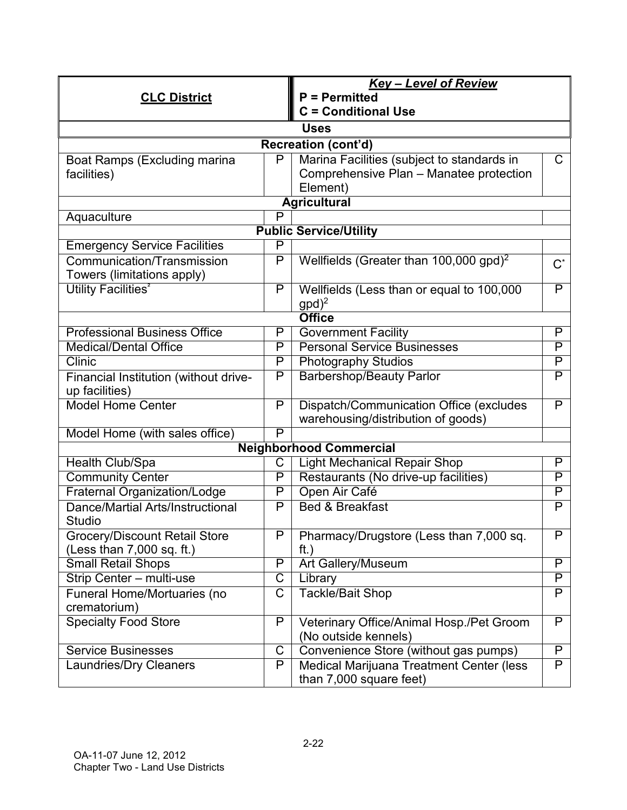| <b>CLC District</b>                                               |                | <u>Key – Level of Review</u><br>$P = Permitted$<br><b>C</b> = Conditional Use         |                         |  |  |  |
|-------------------------------------------------------------------|----------------|---------------------------------------------------------------------------------------|-------------------------|--|--|--|
|                                                                   |                | <b>Uses</b>                                                                           |                         |  |  |  |
| <b>Recreation (cont'd)</b>                                        |                |                                                                                       |                         |  |  |  |
| Boat Ramps (Excluding marina<br>facilities)                       | P              | Marina Facilities (subject to standards in<br>Comprehensive Plan - Manatee protection | C                       |  |  |  |
|                                                                   |                | Element)<br><b>Agricultural</b>                                                       |                         |  |  |  |
| Aquaculture                                                       | P              |                                                                                       |                         |  |  |  |
|                                                                   |                | <b>Public Service/Utility</b>                                                         |                         |  |  |  |
| <b>Emergency Service Facilities</b>                               | P              |                                                                                       |                         |  |  |  |
| <b>Communication/Transmission</b><br>Towers (limitations apply)   | P              | Wellfields (Greater than $100,000$ gpd) <sup>2</sup>                                  | $C^*$                   |  |  |  |
| Utility Facilities <sup>2</sup>                                   | P              | Wellfields (Less than or equal to 100,000<br>$gpd)^2$                                 | P                       |  |  |  |
|                                                                   |                | <b>Office</b>                                                                         |                         |  |  |  |
| <b>Professional Business Office</b>                               | P              | <b>Government Facility</b>                                                            | P                       |  |  |  |
| <b>Medical/Dental Office</b>                                      | P              | <b>Personal Service Businesses</b>                                                    | P                       |  |  |  |
| Clinic                                                            | $\overline{P}$ | <b>Photography Studios</b>                                                            | $\overline{\mathsf{P}}$ |  |  |  |
| Financial Institution (without drive-<br>up facilities)           | P              | <b>Barbershop/Beauty Parlor</b>                                                       | P                       |  |  |  |
| <b>Model Home Center</b>                                          | P              | Dispatch/Communication Office (excludes<br>warehousing/distribution of goods)         | P                       |  |  |  |
| Model Home (with sales office)                                    | $\overline{P}$ |                                                                                       |                         |  |  |  |
|                                                                   |                | <b>Neighborhood Commercial</b>                                                        |                         |  |  |  |
| <b>Health Club/Spa</b>                                            | C              | <b>Light Mechanical Repair Shop</b>                                                   | P                       |  |  |  |
| <b>Community Center</b>                                           | P              | Restaurants (No drive-up facilities)                                                  | P                       |  |  |  |
| <b>Fraternal Organization/Lodge</b>                               | P              | Open Air Café                                                                         | $\overline{\mathsf{P}}$ |  |  |  |
| Dance/Martial Arts/Instructional<br><b>Studio</b>                 | P              | <b>Bed &amp; Breakfast</b>                                                            | P                       |  |  |  |
| <b>Grocery/Discount Retail Store</b><br>(Less than 7,000 sq. ft.) | $\overline{P}$ | Pharmacy/Drugstore (Less than 7,000 sq.<br>ft.                                        | ٢                       |  |  |  |
| <b>Small Retail Shops</b>                                         | $\overline{P}$ | <b>Art Gallery/Museum</b>                                                             | $\overline{P}$          |  |  |  |
| Strip Center - multi-use                                          | С              | Library                                                                               | P                       |  |  |  |
| Funeral Home/Mortuaries (no<br>crematorium)                       | C              | <b>Tackle/Bait Shop</b>                                                               | P                       |  |  |  |
| <b>Specialty Food Store</b>                                       | P              | Veterinary Office/Animal Hosp./Pet Groom<br>(No outside kennels)                      | P                       |  |  |  |
| <b>Service Businesses</b>                                         | C              | Convenience Store (without gas pumps)                                                 | P                       |  |  |  |
| <b>Laundries/Dry Cleaners</b>                                     | P              | Medical Marijuana Treatment Center (less<br>than 7,000 square feet)                   | P                       |  |  |  |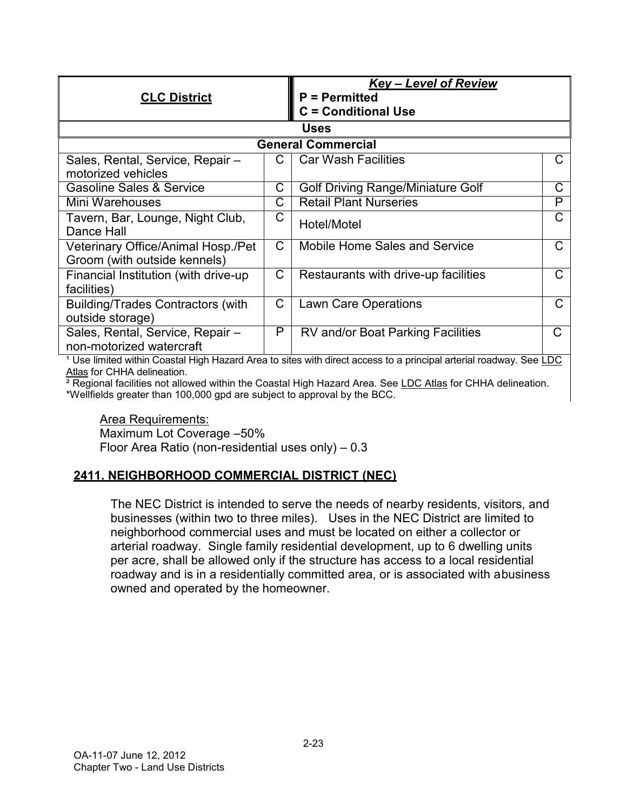| <b>CLC District</b>                                                |   | <u>Key – Level of Review</u><br>$P = Permitted$<br><b>C</b> = Conditional Use                                                                                                                                                                                               |   |
|--------------------------------------------------------------------|---|-----------------------------------------------------------------------------------------------------------------------------------------------------------------------------------------------------------------------------------------------------------------------------|---|
|                                                                    |   | <b>Uses</b>                                                                                                                                                                                                                                                                 |   |
|                                                                    |   | <b>General Commercial</b>                                                                                                                                                                                                                                                   |   |
| Sales, Rental, Service, Repair -<br>motorized vehicles             | C | <b>Car Wash Facilities</b>                                                                                                                                                                                                                                                  |   |
| <b>Gasoline Sales &amp; Service</b>                                | C | <b>Golf Driving Range/Miniature Golf</b>                                                                                                                                                                                                                                    |   |
| <b>Mini Warehouses</b>                                             | С | <b>Retail Plant Nurseries</b>                                                                                                                                                                                                                                               | P |
| Tavern, Bar, Lounge, Night Club,<br>Dance Hall                     | С | Hotel/Motel                                                                                                                                                                                                                                                                 |   |
| Veterinary Office/Animal Hosp./Pet<br>Groom (with outside kennels) | C | <b>Mobile Home Sales and Service</b>                                                                                                                                                                                                                                        |   |
| Financial Institution (with drive-up<br>facilities)                | С | Restaurants with drive-up facilities                                                                                                                                                                                                                                        |   |
| <b>Building/Trades Contractors (with</b><br>outside storage)       | С | <b>Lawn Care Operations</b>                                                                                                                                                                                                                                                 |   |
| Sales, Rental, Service, Repair-<br>non-motorized watercraft        | P | <b>RV and/or Boat Parking Facilities</b><br>$\sim$ 1. A set of the set of the set of the set of the set of the set of the set of the set of the set of the set of the set of the set of the set of the set of the set of the set of the set of the set of the set of the se | C |

Use limited within Coastal High Hazard Area to sites with direct access to a principal arterial roadway. See [LDC](http://gis.citrusbocc.com/ccimap.html) [Atlas](http://gis.citrusbocc.com/ccimap.html) for CHHA delineation.

² Regional facilities not allowed within the Coastal High Hazard Area. See [LDC Atlas](http://gis.citrusbocc.com/ccimap.html) for CHHA delineation. \*Wellfields greater than 100,000 gpd are subject to approval by the BCC.

Area Requirements:

Maximum Lot Coverage –50%

Floor Area Ratio (non-residential uses only) – 0.3

### <span id="page-24-0"></span>**2411. NEIGHBORHOOD COMMERCIAL DISTRICT (NEC)**

The NEC District is intended to serve the needs of nearby residents, visitors, and businesses (within two to three miles). Uses in the NEC District are limited to neighborhood commercial uses and must be located on either a collector or arterial roadway. Single family residential development, up to 6 dwelling units per acre, shall be allowed only if the structure has access to a local residential roadway and is in a residentially committed area, or is associated with abusiness owned and operated by the homeowner.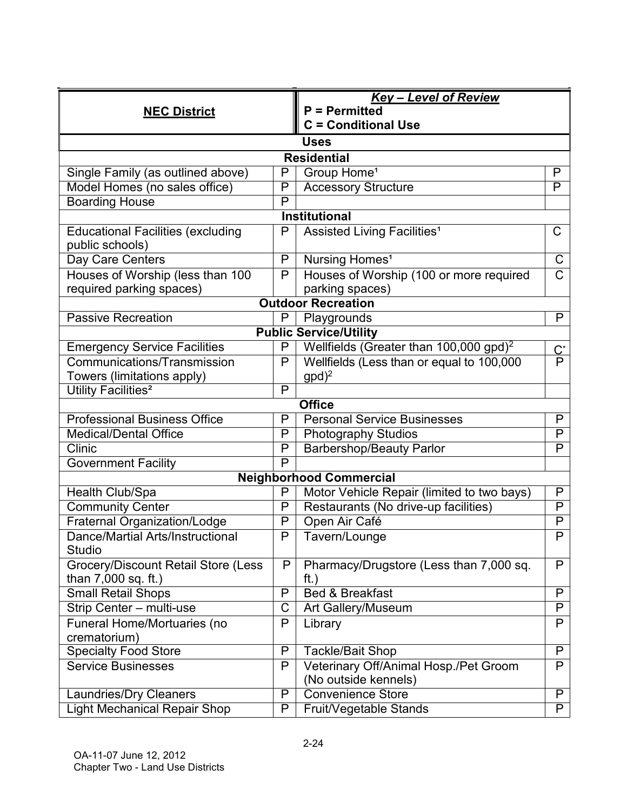|                                                             |                                           | <u>Kev - Level of Review</u>                       |                         |
|-------------------------------------------------------------|-------------------------------------------|----------------------------------------------------|-------------------------|
| <b>NEC District</b>                                         |                                           | $P = Permitted$                                    |                         |
|                                                             |                                           | <b>C</b> = Conditional Use                         |                         |
|                                                             |                                           | <b>Uses</b>                                        |                         |
|                                                             |                                           | <b>Residential</b>                                 |                         |
| Single Family (as outlined above)                           | P                                         | Group Home <sup>1</sup>                            | $\mathsf{P}$            |
| Model Homes (no sales office)                               | P                                         | <b>Accessory Structure</b>                         | P                       |
| <b>Boarding House</b>                                       | P                                         |                                                    |                         |
|                                                             |                                           | <b>Institutional</b>                               |                         |
| <b>Educational Facilities (excluding</b><br>public schools) | P                                         | Assisted Living Facilities <sup>1</sup>            | C                       |
| Day Care Centers                                            | P                                         | Nursing Homes <sup>1</sup>                         | C                       |
| Houses of Worship (less than 100                            | P                                         | Houses of Worship (100 or more required            | $\overline{\text{C}}$   |
| required parking spaces)                                    |                                           | parking spaces)                                    |                         |
|                                                             |                                           | <b>Outdoor Recreation</b>                          |                         |
| <b>Passive Recreation</b>                                   | P                                         | Playgrounds                                        | $\overline{P}$          |
|                                                             |                                           | <b>Public Service/Utility</b>                      |                         |
| <b>Emergency Service Facilities</b>                         | P                                         | Wellfields (Greater than 100,000 gpd) <sup>2</sup> | $\frac{C^*}{P}$         |
| Communications/Transmission                                 | P                                         | Wellfields (Less than or equal to 100,000          |                         |
| Towers (limitations apply)                                  |                                           | $(qpd)^2$                                          |                         |
| Utility Facilities <sup>2</sup>                             | P                                         |                                                    |                         |
|                                                             |                                           | <b>Office</b>                                      |                         |
| <b>Professional Business Office</b>                         | P                                         | <b>Personal Service Businesses</b>                 | P                       |
| <b>Medical/Dental Office</b>                                | P                                         | <b>Photography Studios</b>                         | P                       |
| Clinic                                                      | $\overline{P}$<br>$\overline{\mathsf{P}}$ | <b>Barbershop/Beauty Parlor</b>                    | P                       |
| <b>Government Facility</b>                                  |                                           |                                                    |                         |
|                                                             |                                           | <b>Neighborhood Commercial</b>                     |                         |
| <b>Health Club/Spa</b>                                      | P                                         | Motor Vehicle Repair (limited to two bays)         | P<br>P                  |
| <b>Community Center</b>                                     | P                                         | Restaurants (No drive-up facilities)               |                         |
| <b>Fraternal Organization/Lodge</b>                         | P                                         | Open Air Café                                      | $\overline{\mathsf{P}}$ |
| <b>Dance/Martial Arts/Instructional</b><br><b>Studio</b>    | P                                         | Tavern/Lounge                                      | $\overline{P}$          |
| Grocery/Discount Retail Store (Less                         | P                                         | Pharmacy/Drugstore (Less than 7,000 sq.            | P                       |
| than 7,000 sq. ft.)                                         |                                           | ft.)                                               |                         |
| <b>Small Retail Shops</b>                                   | P                                         | <b>Bed &amp; Breakfast</b>                         | P                       |
| Strip Center - multi-use                                    | C                                         | Art Gallery/Museum                                 | $\overline{\mathsf{P}}$ |
| Funeral Home/Mortuaries (no<br>crematorium)                 | P                                         | Library                                            | P                       |
| <b>Specialty Food Store</b>                                 | P                                         | <b>Tackle/Bait Shop</b>                            | P                       |
| <b>Service Businesses</b>                                   | P                                         | Veterinary Off/Animal Hosp./Pet Groom              | P                       |
|                                                             |                                           | (No outside kennels)                               |                         |
| Laundries/Dry Cleaners                                      | P                                         | <b>Convenience Store</b>                           | P                       |
| Light Mechanical Repair Shop                                | P                                         | <b>Fruit/Vegetable Stands</b>                      | P                       |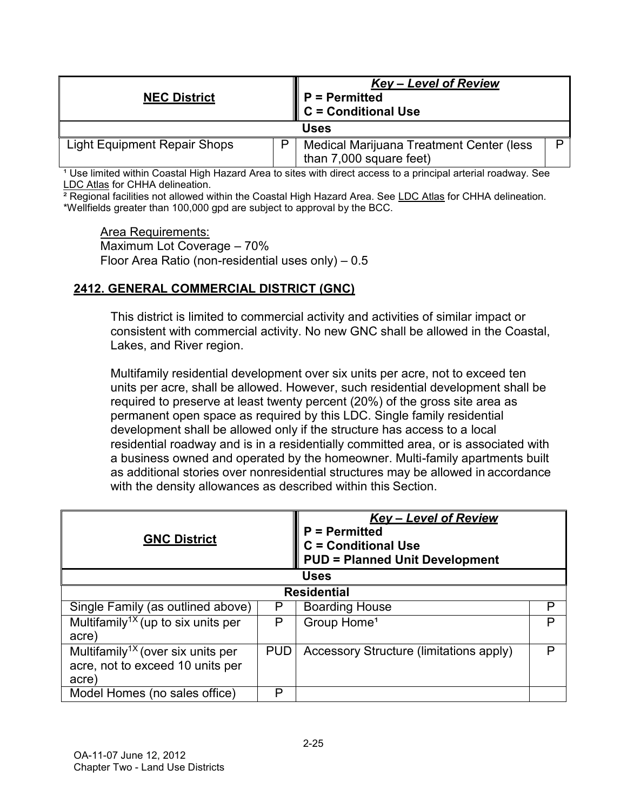| <b>NEC District</b>                 |   | <u>Key - Level of Review</u><br>$P = Permitted$<br>$\mathbf{C}$ = Conditional Use<br><b>Uses</b> |  |
|-------------------------------------|---|--------------------------------------------------------------------------------------------------|--|
|                                     |   |                                                                                                  |  |
| <b>Light Equipment Repair Shops</b> | D | Medical Marijuana Treatment Center (less<br>than 7,000 square feet)                              |  |

<sup>1</sup> Use limited within Coastal High Hazard Area to sites with direct access to a principal arterial roadway. See [LDC Atlas](http://gis.citrusbocc.com/ccimap.html) for CHHA delineation.

² Regional facilities not allowed within the Coastal High Hazard Area. See [LDC Atlas](http://gis.citrusbocc.com/ccimap.html) for CHHA delineation*.* \*Wellfields greater than 100,000 gpd are subject to approval by the BCC.

Area Requirements:

Maximum Lot Coverage – 70% Floor Area Ratio (non-residential uses only) – 0.5

## <span id="page-26-0"></span>**2412. GENERAL COMMERCIAL DISTRICT (GNC)**

This district is limited to commercial activity and activities of similar impact or consistent with commercial activity. No new GNC shall be allowed in the Coastal, Lakes, and River region.

Multifamily residential development over six units per acre, not to exceed ten units per acre, shall be allowed. However, such residential development shall be required to preserve at least twenty percent (20%) of the gross site area as permanent open space as required by this LDC. Single family residential development shall be allowed only if the structure has access to a local residential roadway and is in a residentially committed area, or is associated with a business owned and operated by the homeowner. Multi-family apartments built as additional stories over nonresidential structures may be allowed in accordance with the density allowances as described within this Section.

| <b>GNC District</b>                                                                        |            | <u>Key – Level of Review</u><br>$P = Permitted$<br><b>C</b> = Conditional Use<br><b>PUD = Planned Unit Development</b> |   |
|--------------------------------------------------------------------------------------------|------------|------------------------------------------------------------------------------------------------------------------------|---|
|                                                                                            |            | <b>Uses</b>                                                                                                            |   |
|                                                                                            |            | <b>Residential</b>                                                                                                     |   |
| Single Family (as outlined above)                                                          | Р          | <b>Boarding House</b>                                                                                                  | P |
| Multifamily <sup>1X</sup> (up to six units per<br>acre)                                    | P          | Group Home <sup>1</sup>                                                                                                | P |
| Multifamily <sup>1X</sup> (over six units per<br>acre, not to exceed 10 units per<br>acre) | <b>PUD</b> | Accessory Structure (limitations apply)                                                                                | P |
| Model Homes (no sales office)                                                              | Р          |                                                                                                                        |   |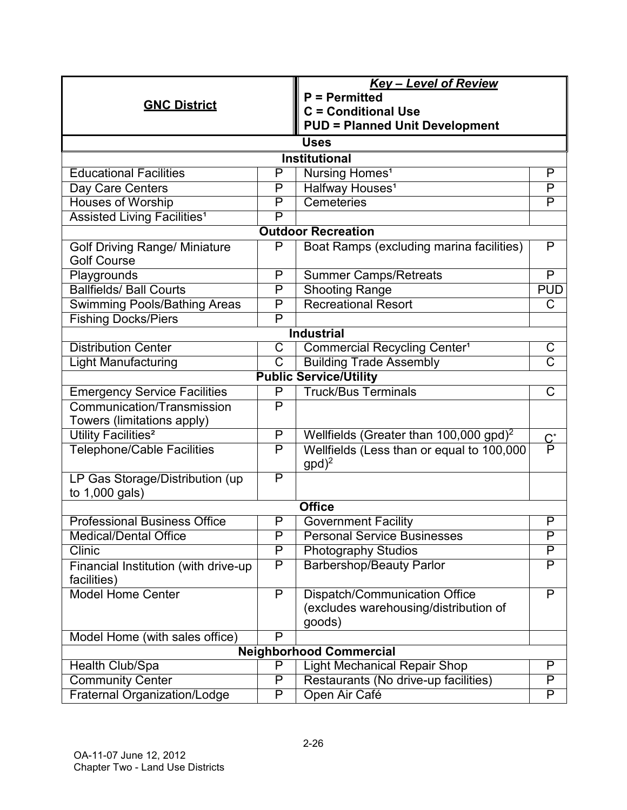| <b>GNC District</b>                                        |                         | <u>Key - Level of Review</u><br>$P = Permitted$<br><b>C</b> = Conditional Use<br><b>PUD = Planned Unit Development</b> |                         |
|------------------------------------------------------------|-------------------------|------------------------------------------------------------------------------------------------------------------------|-------------------------|
|                                                            |                         | <b>Uses</b>                                                                                                            |                         |
|                                                            |                         | <b>Institutional</b>                                                                                                   |                         |
| <b>Educational Facilities</b>                              | P                       | Nursing Homes <sup>1</sup>                                                                                             | Ρ                       |
| Day Care Centers                                           | P                       | Halfway Houses <sup>1</sup>                                                                                            | P                       |
| <b>Houses of Worship</b>                                   | P                       | Cemeteries                                                                                                             | P                       |
| <b>Assisted Living Facilities<sup>1</sup></b>              | P                       |                                                                                                                        |                         |
|                                                            |                         | <b>Outdoor Recreation</b>                                                                                              |                         |
| <b>Golf Driving Range/ Miniature</b><br><b>Golf Course</b> | P                       | Boat Ramps (excluding marina facilities)                                                                               | $\mathsf{P}$            |
| Playgrounds                                                | P                       | <b>Summer Camps/Retreats</b>                                                                                           | $\overline{P}$          |
| <b>Ballfields/ Ball Courts</b>                             | P                       | <b>Shooting Range</b>                                                                                                  | <b>PUD</b>              |
| <b>Swimming Pools/Bathing Areas</b>                        | $\overline{\mathsf{P}}$ | <b>Recreational Resort</b>                                                                                             | $\overline{C}$          |
| <b>Fishing Docks/Piers</b>                                 | P                       |                                                                                                                        |                         |
|                                                            |                         | <b>Industrial</b>                                                                                                      |                         |
| <b>Distribution Center</b>                                 | $\overline{\text{C}}$   | <b>Commercial Recycling Center<sup>1</sup></b>                                                                         | C                       |
| <b>Light Manufacturing</b>                                 | $\overline{\mathsf{C}}$ | <b>Building Trade Assembly</b>                                                                                         | $\overline{\text{C}}$   |
|                                                            |                         | <b>Public Service/Utility</b>                                                                                          |                         |
| <b>Emergency Service Facilities</b>                        | P                       | <b>Truck/Bus Terminals</b>                                                                                             | $\overline{\text{C}}$   |
| Communication/Transmission                                 | P                       |                                                                                                                        |                         |
| Towers (limitations apply)                                 |                         |                                                                                                                        |                         |
| Utility Facilities <sup>2</sup>                            | $\overline{\mathsf{P}}$ | Wellfields (Greater than 100,000 gpd) <sup>2</sup>                                                                     | $\frac{C^*}{P}$         |
| <b>Telephone/Cable Facilities</b>                          | P                       | Wellfields (Less than or equal to 100,000<br>$gpd)^2$                                                                  |                         |
| LP Gas Storage/Distribution (up                            | $\overline{\mathsf{P}}$ |                                                                                                                        |                         |
| to 1,000 gals)                                             |                         |                                                                                                                        |                         |
|                                                            |                         | <b>Office</b>                                                                                                          |                         |
| <b>Professional Business Office</b>                        | $\overline{\mathsf{P}}$ | <b>Government Facility</b>                                                                                             | P                       |
| Medical/Dental Office                                      | P                       | <b>Personal Service Businesses</b>                                                                                     | P                       |
| Clinic                                                     | $\overline{\mathsf{P}}$ | <b>Photography Studios</b>                                                                                             | $\overline{\mathsf{P}}$ |
| Financial Institution (with drive-up<br>facilities)        | P                       | <b>Barbershop/Beauty Parlor</b>                                                                                        | P                       |
| <b>Model Home Center</b>                                   | P                       | Dispatch/Communication Office<br>(excludes warehousing/distribution of<br>goods)                                       | P                       |
| Model Home (with sales office)                             | $\overline{\mathsf{P}}$ |                                                                                                                        |                         |
|                                                            |                         | <b>Neighborhood Commercial</b>                                                                                         |                         |
| Health Club/Spa                                            | Ρ                       | <b>Light Mechanical Repair Shop</b>                                                                                    | Ρ                       |
| <b>Community Center</b>                                    | P                       | Restaurants (No drive-up facilities)                                                                                   | P                       |
| <b>Fraternal Organization/Lodge</b>                        | P                       | Open Air Café                                                                                                          | P                       |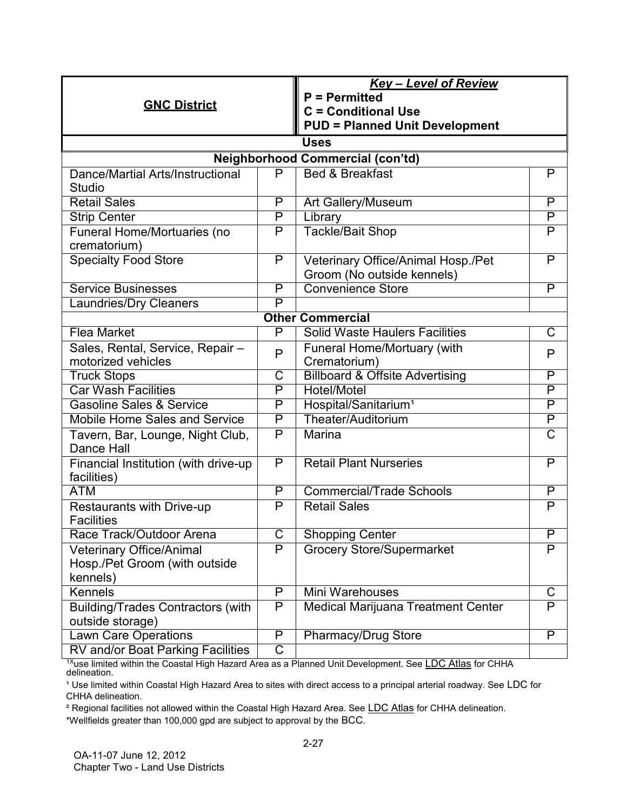| <b>GNC District</b>                                   |                         | <u> Key – Level of Review</u>              |                         |
|-------------------------------------------------------|-------------------------|--------------------------------------------|-------------------------|
|                                                       |                         | $P = Permitted$<br>C = Conditional Use     |                         |
|                                                       |                         | <b>PUD = Planned Unit Development</b>      |                         |
|                                                       |                         | <b>Uses</b>                                |                         |
|                                                       |                         | <b>Neighborhood Commercial (con'td)</b>    |                         |
| Dance/Martial Arts/Instructional                      | P                       | <b>Bed &amp; Breakfast</b>                 | P                       |
| <b>Studio</b>                                         |                         |                                            |                         |
| <b>Retail Sales</b>                                   | $\overline{\mathsf{P}}$ | Art Gallery/Museum                         | $\overline{\mathsf{P}}$ |
| <b>Strip Center</b>                                   | $\overline{\mathsf{P}}$ | Library                                    | P                       |
| Funeral Home/Mortuaries (no                           | P                       | <b>Tackle/Bait Shop</b>                    | P                       |
| crematorium)                                          |                         |                                            |                         |
| <b>Specialty Food Store</b>                           | P                       | Veterinary Office/Animal Hosp./Pet         | P                       |
|                                                       |                         | Groom (No outside kennels)                 |                         |
| <b>Service Businesses</b>                             | $\overline{\mathsf{P}}$ | Convenience Store                          | $\overline{P}$          |
| <b>Laundries/Dry Cleaners</b>                         | P                       |                                            |                         |
|                                                       |                         | <b>Other Commercial</b>                    |                         |
| <b>Flea Market</b>                                    | P                       | <b>Solid Waste Haulers Facilities</b>      | C                       |
| Sales, Rental, Service, Repair-                       | P                       | Funeral Home/Mortuary (with                | P                       |
| motorized vehicles                                    |                         | Crematorium)                               |                         |
| <b>Truck Stops</b>                                    | C                       | <b>Billboard &amp; Offsite Advertising</b> | P                       |
| <b>Car Wash Facilities</b>                            | P                       | Hotel/Motel                                | $\overline{\mathsf{P}}$ |
| <b>Gasoline Sales &amp; Service</b>                   | P                       | Hospital/Sanitarium <sup>1</sup>           | P                       |
| <b>Mobile Home Sales and Service</b>                  | P                       | Theater/Auditorium                         | $\overline{\mathsf{P}}$ |
| Tavern, Bar, Lounge, Night Club,<br><b>Dance Hall</b> | $\overline{P}$          | <b>Marina</b>                              | $\overline{\mathsf{C}}$ |
| Financial Institution (with drive-up                  | P                       | <b>Retail Plant Nurseries</b>              | P                       |
| facilities)                                           |                         |                                            |                         |
| <b>ATM</b>                                            | $\overline{\mathsf{P}}$ | <b>Commercial/Trade Schools</b>            | P                       |
| <b>Restaurants with Drive-up</b><br><b>Facilities</b> | P                       | <b>Retail Sales</b>                        | P                       |
| Race Track/Outdoor Arena                              | $\overline{\text{C}}$   | <b>Shopping Center</b>                     | $\overline{P}$          |
| <b>Veterinary Office/Animal</b>                       | $\overline{\mathsf{P}}$ | <b>Grocery Store/Supermarket</b>           | P                       |
| Hosp./Pet Groom (with outside                         |                         |                                            |                         |
| kennels)                                              |                         |                                            |                         |
| Kennels                                               | P                       | <b>Mini Warehouses</b>                     | C                       |
| <b>Building/Trades Contractors (with</b>              | P                       | Medical Marijuana Treatment Center         | $\overline{P}$          |
| outside storage)                                      |                         |                                            |                         |
| <b>Lawn Care Operations</b>                           | P                       | <b>Pharmacy/Drug Store</b>                 | P                       |
| RV and/or Boat Parking Facilities                     | $\overline{\mathsf{C}}$ |                                            |                         |

<sup>1X</sup>use limited within the Coastal High Hazard Area as a Planned Unit Development. See [LDC Atlas](http://gis.citrusbocc.com/ccimap.html) for CHHA delineation.

<sup>1</sup> Use limited within Coastal High Hazard Area to sites with direct access to a principal arterial roadway. See LDC for CHHA delineation.

<sup>2</sup> Regional facilities not allowed within the Coastal High Hazard Area. See [LDC Atlas](http://gis.citrusbocc.com/ccimap.html) for CHHA delineation.

\*Wellfields greater than 100,000 gpd are subject to approval by the BCC.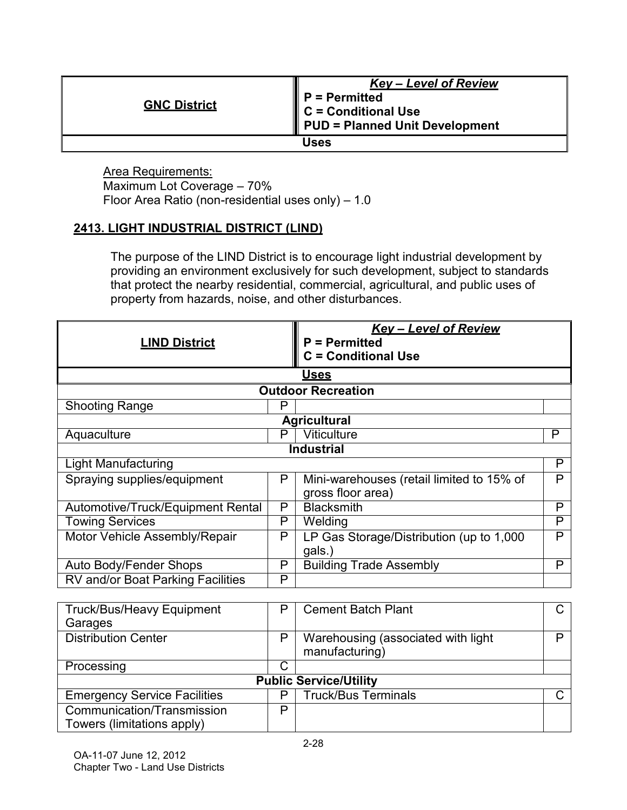| <b>GNC District</b> | <u><b>Key – Level of Review</b></u><br>$P = Permitted$<br>$\parallel$ C = Conditional Use<br>$\parallel$ PUD = Planned Unit Development |  |
|---------------------|-----------------------------------------------------------------------------------------------------------------------------------------|--|
| <b>Uses</b>         |                                                                                                                                         |  |

Area Requirements: Maximum Lot Coverage – 70% Floor Area Ratio (non-residential uses only) – 1.0

## <span id="page-29-0"></span>**2413. LIGHT INDUSTRIAL DISTRICT (LIND)**

The purpose of the LIND District is to encourage light industrial development by providing an environment exclusively for such development, subject to standards that protect the nearby residential, commercial, agricultural, and public uses of property from hazards, noise, and other disturbances.

| <b>LIND District</b>                                     |                         | <u> Key – Level of Review</u><br>$P = Permitted$<br><b>C</b> = Conditional Use |                         |
|----------------------------------------------------------|-------------------------|--------------------------------------------------------------------------------|-------------------------|
|                                                          |                         | <u>Uses</u>                                                                    |                         |
|                                                          |                         | <b>Outdoor Recreation</b>                                                      |                         |
| <b>Shooting Range</b>                                    | P                       |                                                                                |                         |
|                                                          |                         | <b>Agricultural</b>                                                            |                         |
| Aquaculture                                              | P                       | Viticulture                                                                    | $\overline{P}$          |
|                                                          |                         | <b>Industrial</b>                                                              |                         |
| <b>Light Manufacturing</b>                               |                         |                                                                                | P                       |
| Spraying supplies/equipment                              | P                       | Mini-warehouses (retail limited to 15% of<br>gross floor area)                 | P                       |
| Automotive/Truck/Equipment Rental                        | P                       | <b>Blacksmith</b>                                                              | $\overline{P}$          |
| <b>Towing Services</b>                                   | P                       | Welding                                                                        | $\overline{\mathsf{P}}$ |
| Motor Vehicle Assembly/Repair                            | P                       | LP Gas Storage/Distribution (up to 1,000<br>gals.)                             | P                       |
| Auto Body/Fender Shops                                   | $\overline{\mathsf{P}}$ | <b>Building Trade Assembly</b>                                                 | $\overline{\mathsf{P}}$ |
| RV and/or Boat Parking Facilities                        | P                       |                                                                                |                         |
|                                                          |                         |                                                                                |                         |
| <b>Truck/Bus/Heavy Equipment</b><br>Garages              | P                       | <b>Cement Batch Plant</b>                                                      | $\mathsf{C}$            |
| <b>Distribution Center</b>                               | P                       | Warehousing (associated with light<br>manufacturing)                           | P                       |
| Processing                                               | $\overline{\text{C}}$   |                                                                                |                         |
|                                                          |                         | <b>Public Service/Utility</b>                                                  |                         |
| <b>Emergency Service Facilities</b>                      | P                       | <b>Truck/Bus Terminals</b>                                                     | C                       |
| Communication/Transmission<br>Towers (limitations apply) | P                       |                                                                                |                         |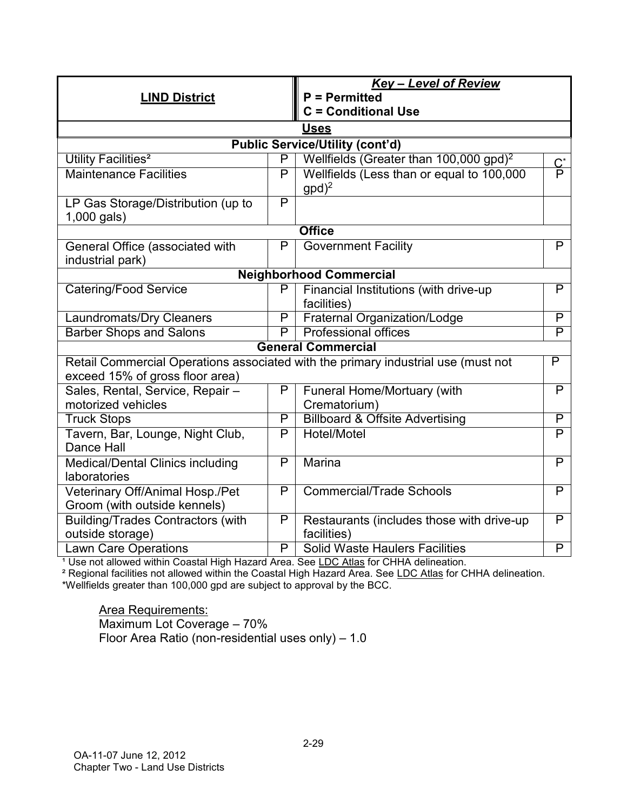|                                                                 |                         | <u>Key - Level of Review</u>                                                      |                 |  |  |
|-----------------------------------------------------------------|-------------------------|-----------------------------------------------------------------------------------|-----------------|--|--|
| <b>LIND District</b>                                            |                         | $P = Permitted$                                                                   |                 |  |  |
|                                                                 |                         | C = Conditional Use                                                               |                 |  |  |
|                                                                 |                         | <b>Uses</b>                                                                       |                 |  |  |
|                                                                 |                         | <b>Public Service/Utility (cont'd)</b>                                            |                 |  |  |
| Utility Facilities <sup>2</sup>                                 |                         | Wellfields (Greater than 100,000 gpd) <sup>2</sup>                                | $\frac{C^*}{P}$ |  |  |
| <b>Maintenance Facilities</b>                                   | P                       | Wellfields (Less than or equal to 100,000<br>$gpd)^2$                             |                 |  |  |
| LP Gas Storage/Distribution (up to<br>$1,000$ gals)             | P                       |                                                                                   |                 |  |  |
|                                                                 |                         | <b>Office</b>                                                                     |                 |  |  |
| General Office (associated with<br>industrial park)             | $\overline{\mathsf{P}}$ | <b>Government Facility</b>                                                        | P               |  |  |
|                                                                 |                         | <b>Neighborhood Commercial</b>                                                    |                 |  |  |
| <b>Catering/Food Service</b>                                    | P                       | Financial Institutions (with drive-up<br>facilities)                              | P               |  |  |
| <b>Laundromats/Dry Cleaners</b>                                 | $\overline{P}$          | <b>Fraternal Organization/Lodge</b>                                               | P               |  |  |
| <b>Barber Shops and Salons</b>                                  | P                       | Professional offices                                                              | P               |  |  |
| <b>General Commercial</b>                                       |                         |                                                                                   |                 |  |  |
| exceed 15% of gross floor area)                                 |                         | Retail Commercial Operations associated with the primary industrial use (must not | $\overline{P}$  |  |  |
| Sales, Rental, Service, Repair-<br>motorized vehicles           | P                       | Funeral Home/Mortuary (with<br>Crematorium)                                       | P               |  |  |
| <b>Truck Stops</b>                                              | P                       | <b>Billboard &amp; Offsite Advertising</b>                                        | P               |  |  |
| Tavern, Bar, Lounge, Night Club,<br><b>Dance Hall</b>           | P                       | <b>Hotel/Motel</b>                                                                | $\overline{P}$  |  |  |
| <b>Medical/Dental Clinics including</b><br>laboratories         | P                       | <b>Marina</b>                                                                     | $\overline{P}$  |  |  |
| Veterinary Off/Animal Hosp./Pet<br>Groom (with outside kennels) | P                       | <b>Commercial/Trade Schools</b>                                                   | P               |  |  |
| <b>Building/Trades Contractors (with</b><br>outside storage)    | P                       | Restaurants (includes those with drive-up<br>facilities)                          | P               |  |  |
| <b>Lawn Care Operations</b>                                     | P                       | <b>Solid Waste Haulers Facilities</b>                                             | $\overline{P}$  |  |  |

<span id="page-30-0"></span><sup>1</sup> Use not allowed within Coastal High Hazard Area. See <u>LDC Atlas</u> for CHHA delineation.

 $^{\rm 2}$  Regional facilities not allowed within the Coastal High Hazard Area. See <u>LDC Atlas</u> for CHHA delineation.

\*Wellfields greater than 100,000 gpd are subject to approval by the BCC.

Area Requirements:

Maximum Lot Coverage – 70%

Floor Area Ratio (non-residential uses only)  $-1.0$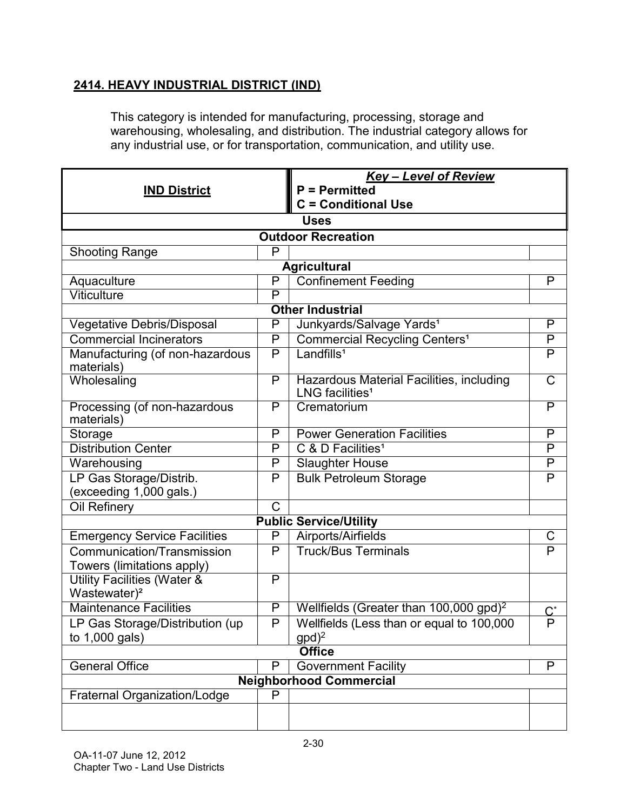## **2414. HEAVY INDUSTRIAL DISTRICT (IND)**

This category is intended for manufacturing, processing, storage and warehousing, wholesaling, and distribution. The industrial category allows for any industrial use, or for transportation, communication, and utility use.

| <b>IND District</b>                                                |                         | <u> Key – Level of Review</u><br>$P = Permitted$<br><b>C</b> = Conditional Use |                         |
|--------------------------------------------------------------------|-------------------------|--------------------------------------------------------------------------------|-------------------------|
|                                                                    |                         | <b>Uses</b>                                                                    |                         |
|                                                                    |                         | <b>Outdoor Recreation</b>                                                      |                         |
| <b>Shooting Range</b>                                              | P                       |                                                                                |                         |
|                                                                    |                         | <b>Agricultural</b>                                                            |                         |
| Aquaculture                                                        | P                       | <b>Confinement Feeding</b>                                                     | P                       |
| Viticulture                                                        | $\overline{\mathsf{P}}$ |                                                                                |                         |
|                                                                    |                         | <b>Other Industrial</b>                                                        |                         |
| <b>Vegetative Debris/Disposal</b>                                  | $\overline{P}$          | Junkyards/Salvage Yards <sup>1</sup>                                           | P                       |
| <b>Commercial Incinerators</b>                                     | $\overline{P}$          | <b>Commercial Recycling Centers<sup>1</sup></b>                                | $\overline{P}$          |
| Manufacturing (of non-hazardous<br>materials)                      | P                       | Landfills <sup>1</sup>                                                         | P                       |
| Wholesaling                                                        | $\overline{P}$          | Hazardous Material Facilities, including<br>LNG facilities <sup>1</sup>        | $\mathsf{C}$            |
| Processing (of non-hazardous<br>materials)                         | P                       | Crematorium                                                                    | P                       |
| Storage                                                            | P                       | <b>Power Generation Facilities</b>                                             | P                       |
| <b>Distribution Center</b>                                         | P                       | C & D Facilities <sup>1</sup>                                                  | P                       |
| Warehousing                                                        | P                       | <b>Slaughter House</b>                                                         | P                       |
| LP Gas Storage/Distrib.<br>(exceeding 1,000 gals.)                 | P                       | <b>Bulk Petroleum Storage</b>                                                  | P                       |
| <b>Oil Refinery</b>                                                | $\mathsf{C}$            |                                                                                |                         |
|                                                                    |                         | <b>Public Service/Utility</b>                                                  |                         |
| <b>Emergency Service Facilities</b>                                | P                       | Airports/Airfields                                                             | C                       |
| Communication/Transmission<br>Towers (limitations apply)           | P                       | <b>Truck/Bus Terminals</b>                                                     | $\overline{\mathsf{P}}$ |
| <b>Utility Facilities (Water &amp;</b><br>Wastewater) <sup>2</sup> | P                       |                                                                                |                         |
| <b>Maintenance Facilities</b>                                      | $\overline{P}$          | Wellfields (Greater than 100,000 gpd) <sup>2</sup>                             | $C^*$                   |
| LP Gas Storage/Distribution (up                                    | P                       | Wellfields (Less than or equal to 100,000                                      | P                       |
| to 1,000 gals)                                                     |                         | $(qpd)^2$                                                                      |                         |
|                                                                    |                         | <b>Office</b>                                                                  |                         |
| <b>General Office</b>                                              | P                       | <b>Government Facility</b>                                                     | P                       |
|                                                                    |                         | <b>Neighborhood Commercial</b>                                                 |                         |
| <b>Fraternal Organization/Lodge</b>                                | P                       |                                                                                |                         |
|                                                                    |                         |                                                                                |                         |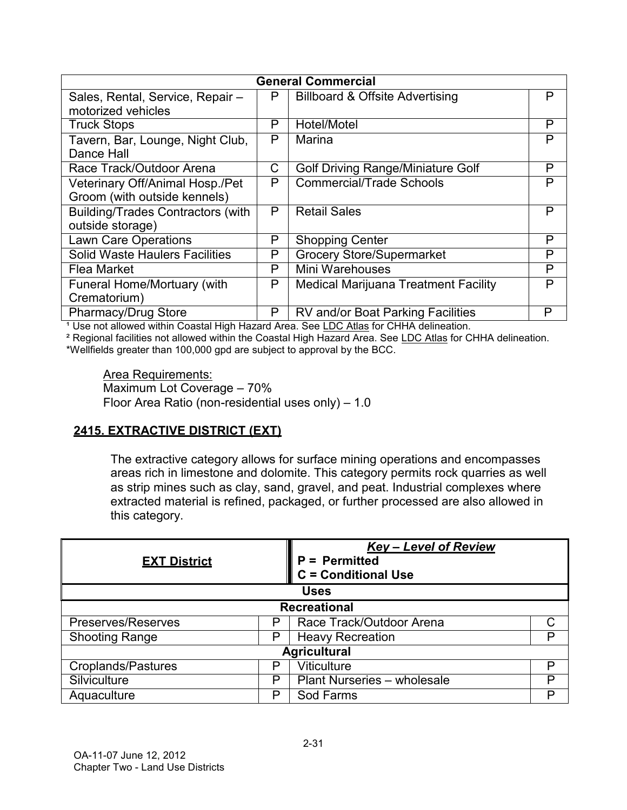| <b>General Commercial</b>                |   |                                             |   |  |  |
|------------------------------------------|---|---------------------------------------------|---|--|--|
| Sales, Rental, Service, Repair-          | P | <b>Billboard &amp; Offsite Advertising</b>  | P |  |  |
| motorized vehicles                       |   |                                             |   |  |  |
| <b>Truck Stops</b>                       | P | Hotel/Motel                                 | P |  |  |
| Tavern, Bar, Lounge, Night Club,         | P | Marina                                      | P |  |  |
| Dance Hall                               |   |                                             |   |  |  |
| Race Track/Outdoor Arena                 | C | <b>Golf Driving Range/Miniature Golf</b>    | P |  |  |
| Veterinary Off/Animal Hosp./Pet          | P | <b>Commercial/Trade Schools</b>             | P |  |  |
| Groom (with outside kennels)             |   |                                             |   |  |  |
| <b>Building/Trades Contractors (with</b> | P | <b>Retail Sales</b>                         | Р |  |  |
| outside storage)                         |   |                                             |   |  |  |
| <b>Lawn Care Operations</b>              | P | <b>Shopping Center</b>                      | P |  |  |
| <b>Solid Waste Haulers Facilities</b>    | P | <b>Grocery Store/Supermarket</b>            | P |  |  |
| <b>Flea Market</b>                       | P | Mini Warehouses                             | P |  |  |
| <b>Funeral Home/Mortuary (with</b>       | P | <b>Medical Marijuana Treatment Facility</b> | P |  |  |
| Crematorium)                             |   |                                             |   |  |  |
| <b>Pharmacy/Drug Store</b>               | P | <b>RV and/or Boat Parking Facilities</b>    | P |  |  |

<sup>1</sup> Use not allowed within Coastal High Hazard Area. See [LDC Atlas](http://gis.citrusbocc.com/ccimap.html) for CHHA delineation.

² Regional facilities not allowed within the Coastal High Hazard Area. See [LDC Atlas](http://gis.citrusbocc.com/ccimap.html) for CHHA delineation. \*Wellfields greater than 100,000 gpd are subject to approval by the BCC.

Area Requirements: Maximum Lot Coverage – 70% Floor Area Ratio (non-residential uses only) – 1.0

## <span id="page-32-0"></span>**2415. EXTRACTIVE DISTRICT (EXT)**

The extractive category allows for surface mining operations and encompasses areas rich in limestone and dolomite. This category permits rock quarries as well as strip mines such as clay, sand, gravel, and peat. Industrial complexes where extracted material is refined, packaged, or further processed are also allowed in this category.

|                           |   | <b>Key - Level of Review</b>       |   |
|---------------------------|---|------------------------------------|---|
| <b>EXT District</b>       |   | $P = Permitted$                    |   |
|                           |   | <b>C</b> = Conditional Use         |   |
|                           |   | <b>Uses</b>                        |   |
|                           |   | <b>Recreational</b>                |   |
| <b>Preserves/Reserves</b> | P | Race Track/Outdoor Arena           | C |
| <b>Shooting Range</b>     | Р | <b>Heavy Recreation</b>            | P |
|                           |   | <b>Agricultural</b>                |   |
| <b>Croplands/Pastures</b> |   | <b>Viticulture</b>                 | P |
| Silviculture              | P | <b>Plant Nurseries - wholesale</b> | P |
| Aquaculture               | P | Sod Farms                          | D |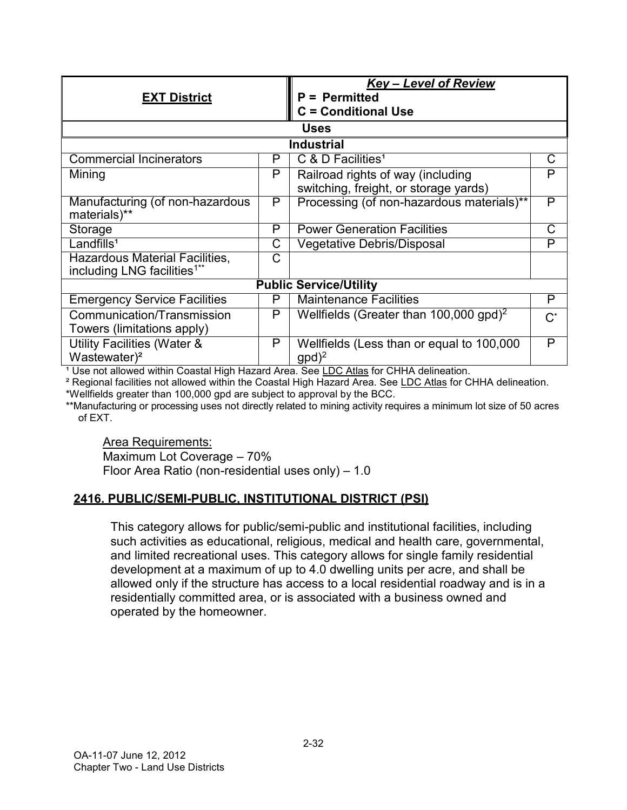| <b>EXT District</b>                                                       |   | <b>Key - Level of Review</b><br>$P = Permitted$<br><b>C</b> = Conditional Use |       |
|---------------------------------------------------------------------------|---|-------------------------------------------------------------------------------|-------|
|                                                                           |   | <b>Uses</b>                                                                   |       |
|                                                                           |   | <b>Industrial</b>                                                             |       |
| <b>Commercial Incinerators</b>                                            | P | C & D Facilities <sup>1</sup>                                                 | С     |
| Mining                                                                    | P | Railroad rights of way (including<br>switching, freight, or storage yards)    | P     |
| Manufacturing (of non-hazardous<br>materials)**                           | P | Processing (of non-hazardous materials)**                                     | P     |
| Storage                                                                   | P | <b>Power Generation Facilities</b>                                            | С     |
| Landfills <sup>1</sup>                                                    | C | <b>Vegetative Debris/Disposal</b>                                             | P     |
| Hazardous Material Facilities,<br>including LNG facilities <sup>1**</sup> | C |                                                                               |       |
|                                                                           |   | <b>Public Service/Utility</b>                                                 |       |
| <b>Emergency Service Facilities</b>                                       | P | <b>Maintenance Facilities</b>                                                 | P     |
| Communication/Transmission<br>Towers (limitations apply)                  | P | Wellfields (Greater than 100,000 gpd) <sup>2</sup>                            | $C^*$ |
| <b>Utility Facilities (Water &amp;</b><br>Wastewater) <sup>2</sup>        | P | Wellfields (Less than or equal to 100,000<br>$(9pd)^2$                        | P     |

<sup>1</sup> Use not allowed within Coastal High Hazard Area. See [LDC Atlas](http://gis.citrusbocc.com/ccimap.html) for CHHA delineation.

<sup>2</sup> Regional facilities not allowed within the Coastal High Hazard Area. See [LDC Atlas](http://gis.citrusbocc.com/ccimap.html) for CHHA delineation.

\*Wellfields greater than 100,000 gpd are subject to approval by the BCC.

\*\*Manufacturing or processing uses not directly related to mining activity requires a minimum lot size of 50 acres of EXT.

Area Requirements:

Maximum Lot Coverage – 70% Floor Area Ratio (non-residential uses only) – 1.0

### <span id="page-33-0"></span>**2416. PUBLIC/SEMI-PUBLIC, INSTITUTIONAL DISTRICT (PSI)**

This category allows for public/semi-public and institutional facilities, including such activities as educational, religious, medical and health care, governmental, and limited recreational uses. This category allows for single family residential development at a maximum of up to 4.0 dwelling units per acre, and shall be allowed only if the structure has access to a local residential roadway and is in a residentially committed area, or is associated with a business owned and operated by the homeowner.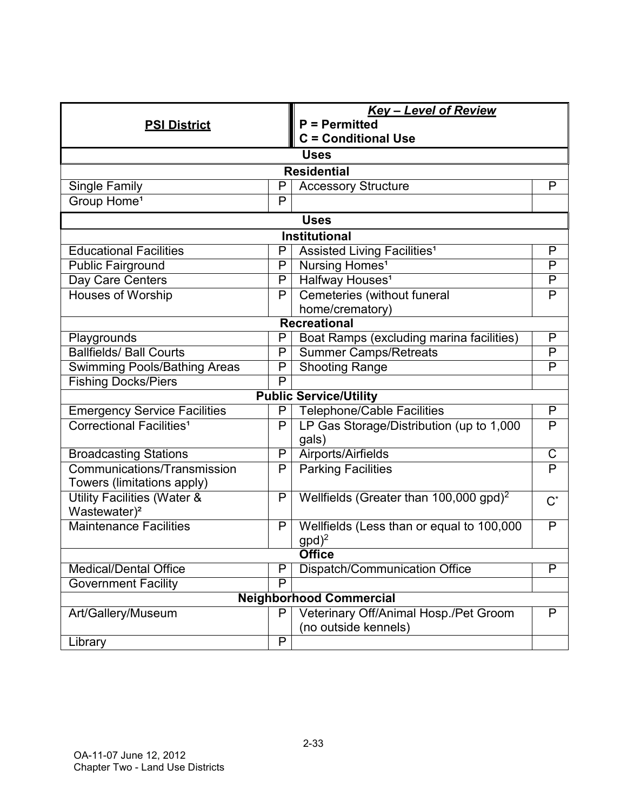| <b>PSI District</b>                                                |                | <u> Key – Level of Review</u><br>$P = Permitted$              |                         |  |  |
|--------------------------------------------------------------------|----------------|---------------------------------------------------------------|-------------------------|--|--|
|                                                                    |                | <b>C</b> = Conditional Use                                    |                         |  |  |
|                                                                    |                | <b>Uses</b>                                                   |                         |  |  |
|                                                                    |                | <b>Residential</b>                                            |                         |  |  |
| <b>Single Family</b>                                               | P              | <b>Accessory Structure</b>                                    | P                       |  |  |
| Group Home <sup>1</sup>                                            | P              |                                                               |                         |  |  |
|                                                                    |                | <b>Uses</b>                                                   |                         |  |  |
|                                                                    |                | <b>Institutional</b>                                          |                         |  |  |
| <b>Educational Facilities</b>                                      | P              | Assisted Living Facilities <sup>1</sup>                       | P                       |  |  |
| <b>Public Fairground</b>                                           | $\overline{P}$ | Nursing Homes <sup>1</sup>                                    | $\overline{\mathsf{P}}$ |  |  |
| Day Care Centers                                                   | P              | Halfway Houses <sup>1</sup>                                   | $\overline{P}$          |  |  |
| <b>Houses of Worship</b>                                           | P              | Cemeteries (without funeral                                   | P                       |  |  |
|                                                                    |                | home/crematory)                                               |                         |  |  |
|                                                                    |                | Recreational                                                  |                         |  |  |
| Playgrounds                                                        | P              | Boat Ramps (excluding marina facilities)                      | P                       |  |  |
| <b>Ballfields/ Ball Courts</b>                                     | P              | <b>Summer Camps/Retreats</b>                                  | $\overline{\mathsf{P}}$ |  |  |
| <b>Swimming Pools/Bathing Areas</b>                                | P              | <b>Shooting Range</b>                                         | $\overline{P}$          |  |  |
| <b>Fishing Docks/Piers</b>                                         | $\overline{P}$ |                                                               |                         |  |  |
| <b>Public Service/Utility</b>                                      |                |                                                               |                         |  |  |
| <b>Emergency Service Facilities</b>                                | P.             | <b>Telephone/Cable Facilities</b>                             | P                       |  |  |
| <b>Correctional Facilities<sup>1</sup></b>                         | $\mathsf{P}$   | LP Gas Storage/Distribution (up to 1,000<br>gals)             | P                       |  |  |
| <b>Broadcasting Stations</b>                                       | P              | Airports/Airfields                                            | С                       |  |  |
| Communications/Transmission<br>Towers (limitations apply)          | P              | <b>Parking Facilities</b>                                     | $\overline{P}$          |  |  |
| <b>Utility Facilities (Water &amp;</b><br>Wastewater) <sup>2</sup> | P              | Wellfields (Greater than 100,000 gpd) <sup>2</sup>            | $C^*$                   |  |  |
| <b>Maintenance Facilities</b>                                      | P              | Wellfields (Less than or equal to 100,000<br>$gpd)^2$         | P                       |  |  |
|                                                                    |                | <b>Office</b>                                                 |                         |  |  |
| <b>Medical/Dental Office</b>                                       | P              | Dispatch/Communication Office                                 | P                       |  |  |
| <b>Government Facility</b>                                         | $\overline{P}$ |                                                               |                         |  |  |
|                                                                    |                | <b>Neighborhood Commercial</b>                                |                         |  |  |
| Art/Gallery/Museum                                                 | P              | Veterinary Off/Animal Hosp./Pet Groom<br>(no outside kennels) | P                       |  |  |
| Library                                                            | P              |                                                               |                         |  |  |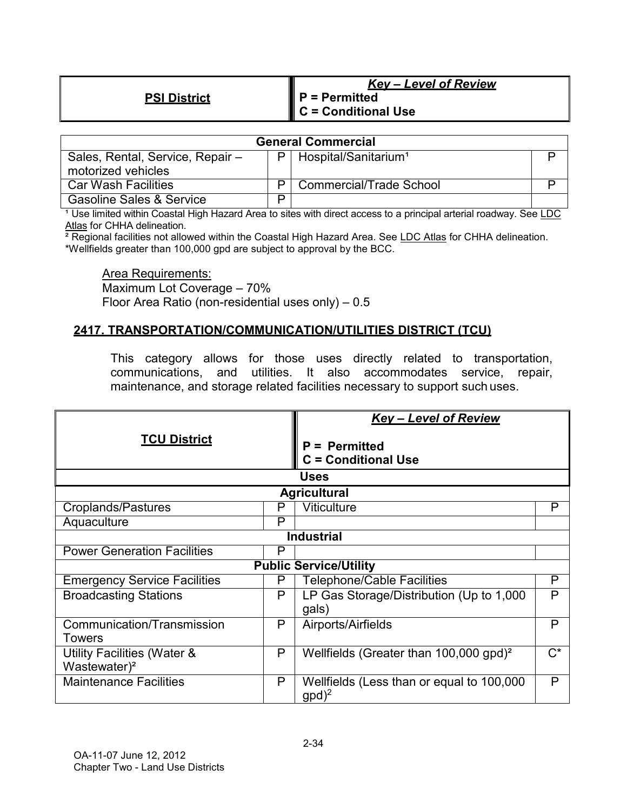|                     | <b>Key - Level of Review</b>        |
|---------------------|-------------------------------------|
| <b>PSI District</b> | $\parallel \parallel P =$ Permitted |
|                     | $\parallel$ C = Conditional Use     |

| <b>General Commercial</b>                              |   |                                  |  |  |
|--------------------------------------------------------|---|----------------------------------|--|--|
| Sales, Rental, Service, Repair -<br>motorized vehicles | Þ | Hospital/Sanitarium <sup>1</sup> |  |  |
| <b>Car Wash Facilities</b>                             | D | Commercial/Trade School          |  |  |
| <b>Gasoline Sales &amp; Service</b>                    | D |                                  |  |  |

<sup>1</sup> Use limited within Coastal High Hazard Area to sites with direct access to a principal arterial roadway. See [LDC](http://gis.citrusbocc.com/ccimap.html) [Atlas](http://gis.citrusbocc.com/ccimap.html) for CHHA delineation.

<span id="page-35-1"></span> $\overline{P}$  Regional facilities not allowed within the Coastal High Hazard Area. See [LDC Atlas](http://gis.citrusbocc.com/ccimap.html) for CHHA delineation. \*Wellfields greater than 100,000 gpd are subject to approval by the BCC.

**Area Requirements:** Maximum Lot Coverage – 70% Floor Area Ratio (non-residential uses only) – 0.5

### <span id="page-35-0"></span>**2417. TRANSPORTATION/COMMUNICATION/UTILITIES DISTRICT (TCU)**

This category allows for those uses directly related to transportation, communications, and utilities. It also accommodates service, repair, maintenance, and storage related facilities necessary to support such uses.

| <b>TCU District</b>                                     |   | <u> Key – Level of Review</u><br>$P = Permitted$<br><b>C</b> = Conditional Use |    |
|---------------------------------------------------------|---|--------------------------------------------------------------------------------|----|
|                                                         |   | <b>Uses</b>                                                                    |    |
|                                                         |   |                                                                                |    |
|                                                         |   | <b>Agricultural</b>                                                            |    |
| <b>Croplands/Pastures</b>                               | P | Viticulture                                                                    | P  |
| Aquaculture                                             | P |                                                                                |    |
|                                                         |   | <b>Industrial</b>                                                              |    |
| <b>Power Generation Facilities</b>                      | P |                                                                                |    |
| <b>Public Service/Utility</b>                           |   |                                                                                |    |
| <b>Emergency Service Facilities</b>                     | P | <b>Telephone/Cable Facilities</b>                                              | P  |
| <b>Broadcasting Stations</b>                            | P | LP Gas Storage/Distribution (Up to 1,000<br>gals)                              | P  |
| Communication/Transmission<br>Towers                    | P | Airports/Airfields                                                             | P  |
| Utility Facilities (Water &<br>Wastewater) <sup>2</sup> | P | Wellfields (Greater than $100,000$ gpd) <sup>2</sup>                           | C* |
| <b>Maintenance Facilities</b>                           | P | Wellfields (Less than or equal to 100,000<br>$gpd)^2$                          | Р  |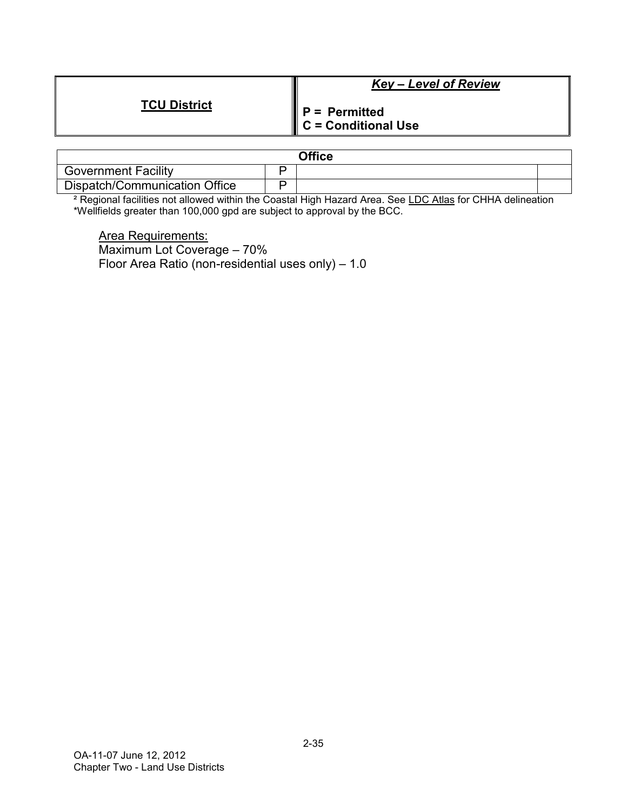|                     | <u> Key – Level of Review</u>                               |
|---------------------|-------------------------------------------------------------|
| <b>TCU District</b> | $\mathbf{P}$ = Permitted<br>$\parallel$ C = Conditional Use |

|                               | Office |  |
|-------------------------------|--------|--|
| <b>Government Facility</b>    |        |  |
| Dispatch/Communication Office |        |  |

<sup>2</sup> Regional facilities not allowed within the Coastal High Hazard Area. See <u>LDC Atlas</u> for CHHA delineation \*Wellfields greater than 100,000 gpd are subject to approval by the BCC.

Area Requirements: Maximum Lot Coverage – 70% Floor Area Ratio (non-residential uses only) – 1.0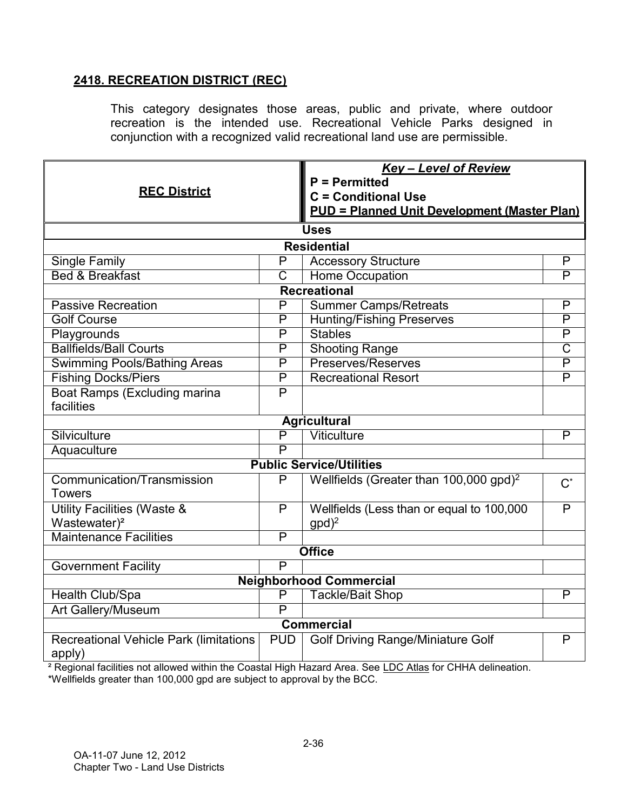# **2418. RECREATION DISTRICT (REC)**

This category designates those areas, public and private, where outdoor recreation is the intended use. Recreational Vehicle Parks designed in conjunction with a recognized valid recreational land use are permissible.

|                                               |                         | <b>Key - Level of Review</b>                        |                         |  |
|-----------------------------------------------|-------------------------|-----------------------------------------------------|-------------------------|--|
| <b>REC District</b>                           |                         | $P = Permitted$                                     |                         |  |
|                                               |                         | <b>C</b> = Conditional Use                          |                         |  |
|                                               |                         | <b>PUD = Planned Unit Development (Master Plan)</b> |                         |  |
|                                               |                         | <b>Uses</b>                                         |                         |  |
|                                               |                         | <b>Residential</b>                                  |                         |  |
| <b>Single Family</b>                          | P                       | <b>Accessory Structure</b>                          | P                       |  |
| <b>Bed &amp; Breakfast</b>                    | $\overline{\text{C}}$   | <b>Home Occupation</b>                              | P                       |  |
|                                               |                         | <b>Recreational</b>                                 |                         |  |
| <b>Passive Recreation</b>                     | $\overline{\mathsf{P}}$ | <b>Summer Camps/Retreats</b>                        | P                       |  |
| <b>Golf Course</b>                            | $\overline{\mathsf{P}}$ | <b>Hunting/Fishing Preserves</b>                    | $\overline{P}$          |  |
| Playgrounds                                   | P                       | <b>Stables</b>                                      | $\overline{P}$          |  |
| <b>Ballfields/Ball Courts</b>                 | P                       | <b>Shooting Range</b>                               | $\overline{\text{C}}$   |  |
| <b>Swimming Pools/Bathing Areas</b>           | P                       | <b>Preserves/Reserves</b>                           | $\overline{\mathsf{P}}$ |  |
| <b>Fishing Docks/Piers</b>                    | $\overline{\mathsf{P}}$ | <b>Recreational Resort</b>                          | $\overline{P}$          |  |
| <b>Boat Ramps (Excluding marina</b>           | $\overline{\mathsf{P}}$ |                                                     |                         |  |
| facilities                                    |                         |                                                     |                         |  |
|                                               |                         | <b>Agricultural</b>                                 |                         |  |
| Silviculture                                  | $\overline{\mathsf{P}}$ | Viticulture                                         | $\overline{P}$          |  |
| Aquaculture                                   | $\overline{\mathsf{P}}$ |                                                     |                         |  |
|                                               |                         | <b>Public Service/Utilities</b>                     |                         |  |
| Communication/Transmission                    | P                       | Wellfields (Greater than 100,000 gpd) <sup>2</sup>  | $C^*$                   |  |
| <b>Towers</b>                                 |                         |                                                     |                         |  |
| <b>Utility Facilities (Waste &amp;</b>        | P                       | Wellfields (Less than or equal to 100,000           | P                       |  |
| Wastewater) <sup>2</sup>                      |                         | $(qpd)^2$                                           |                         |  |
| <b>Maintenance Facilities</b>                 | $\overline{\mathsf{P}}$ |                                                     |                         |  |
|                                               |                         | <b>Office</b>                                       |                         |  |
| Government Facility                           | $\overline{\mathsf{P}}$ |                                                     |                         |  |
|                                               |                         | <b>Neighborhood Commercial</b>                      |                         |  |
| <b>Health Club/Spa</b>                        | $\overline{\mathsf{P}}$ | <b>Tackle/Bait Shop</b>                             | P                       |  |
| <b>Art Gallery/Museum</b>                     | $\overline{\mathsf{P}}$ |                                                     |                         |  |
|                                               |                         | <b>Commercial</b>                                   |                         |  |
| <b>Recreational Vehicle Park (limitations</b> | <b>PUD</b>              | <b>Golf Driving Range/Miniature Golf</b>            | P                       |  |
| apply)                                        |                         |                                                     |                         |  |

<sup>2</sup> Regional facilities not allowed within the Coastal High Hazard Area. See [LDC Atlas](http://gis.citrusbocc.com/ccimap.html) for CHHA delineation.

\*Wellfields greater than 100,000 gpd are subject to approval by the BCC.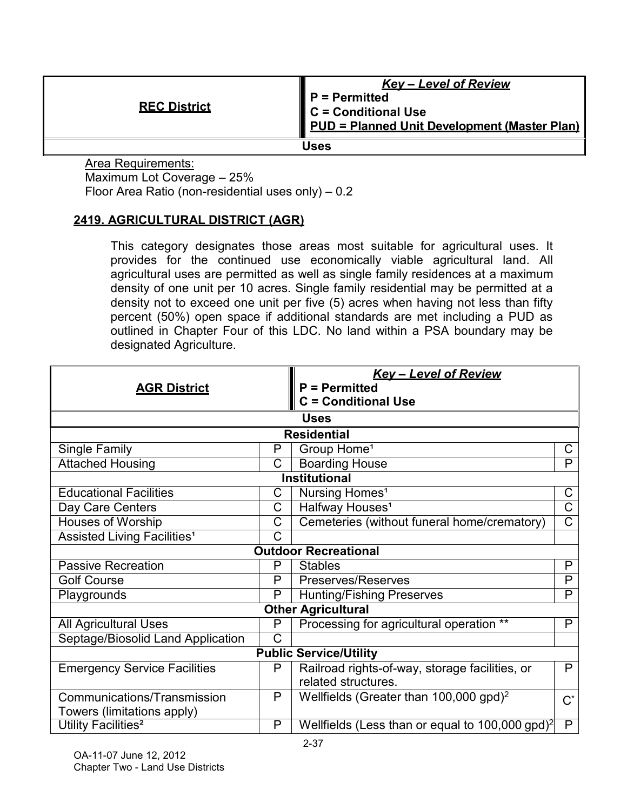| <b>REC District</b> | <u>Key – Level of Review</u><br>$\parallel$ P = Permitted<br>$\parallel$ C = Conditional Use<br>PUD = Planned Unit Development (Master Plan) |
|---------------------|----------------------------------------------------------------------------------------------------------------------------------------------|
|                     | Uses                                                                                                                                         |

Area Requirements:

Maximum Lot Coverage – 25%

Floor Area Ratio (non-residential uses only) – 0.2

### <span id="page-38-0"></span>**2419. AGRICULTURAL DISTRICT (AGR)**

This category designates those areas most suitable for agricultural uses. It provides for the continued use economically viable agricultural land. All agricultural uses are permitted as well as single family residences at a maximum density of one unit per 10 acres. Single family residential may be permitted at a density not to exceed one unit per five (5) acres when having not less than fifty percent (50%) open space if additional standards are met including a PUD as outlined in Chapter Four of this LDC. No land within a PSA boundary may be designated Agriculture.

| <b>AGR District</b>                           |                       | <u> Key – Level of Review</u>                                 |                         |  |
|-----------------------------------------------|-----------------------|---------------------------------------------------------------|-------------------------|--|
|                                               |                       | $P = Permitted$<br><b>C</b> = Conditional Use                 |                         |  |
|                                               |                       | <b>Uses</b>                                                   |                         |  |
|                                               |                       |                                                               |                         |  |
|                                               |                       | <b>Residential</b>                                            |                         |  |
| <b>Single Family</b>                          | P                     | Group Home <sup>1</sup>                                       | C                       |  |
| <b>Attached Housing</b>                       | С                     | <b>Boarding House</b>                                         | P                       |  |
|                                               |                       | <b>Institutional</b>                                          |                         |  |
| <b>Educational Facilities</b>                 | С                     | Nursing Homes <sup>1</sup>                                    | C                       |  |
| Day Care Centers                              | С                     | Halfway Houses <sup>1</sup>                                   | $\overline{\mathsf{C}}$ |  |
| <b>Houses of Worship</b>                      | С                     | Cemeteries (without funeral home/crematory)                   | $\overline{\text{C}}$   |  |
| <b>Assisted Living Facilities<sup>1</sup></b> | Ć                     |                                                               |                         |  |
| <b>Outdoor Recreational</b>                   |                       |                                                               |                         |  |
| <b>Passive Recreation</b>                     | Р                     | <b>Stables</b>                                                | P                       |  |
| <b>Golf Course</b>                            | P                     | <b>Preserves/Reserves</b>                                     | P                       |  |
| Playgrounds                                   | P                     | <b>Hunting/Fishing Preserves</b>                              | P                       |  |
|                                               |                       | <b>Other Agricultural</b>                                     |                         |  |
| <b>All Agricultural Uses</b>                  | P                     | Processing for agricultural operation **                      | P                       |  |
| Septage/Biosolid Land Application             | $\overline{\text{C}}$ |                                                               |                         |  |
|                                               |                       | <b>Public Service/Utility</b>                                 |                         |  |
| <b>Emergency Service Facilities</b>           | P                     | Railroad rights-of-way, storage facilities, or                | P                       |  |
|                                               |                       | related structures.                                           |                         |  |
| Communications/Transmission                   | P                     | Wellfields (Greater than $100,000$ gpd) <sup>2</sup>          | $C^*$                   |  |
| Towers (limitations apply)                    |                       |                                                               |                         |  |
| Utility Facilities <sup>2</sup>               | P                     | Wellfields (Less than or equal to $100,000$ gpd) <sup>2</sup> | P                       |  |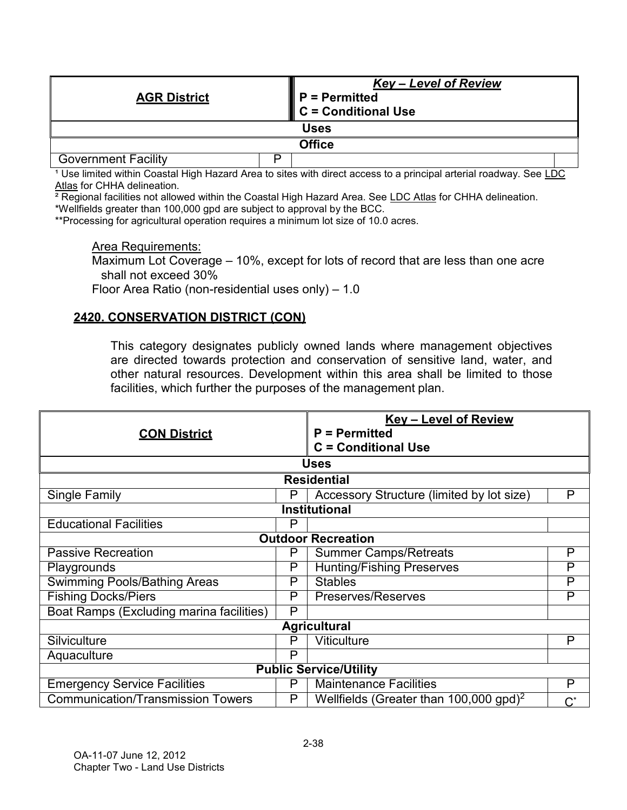|                            |  | <u>Key – Level of Review</u>    |
|----------------------------|--|---------------------------------|
| <b>AGR District</b>        |  | $\parallel$ P = Permitted       |
|                            |  | $\parallel$ C = Conditional Use |
|                            |  | <b>Uses</b>                     |
|                            |  | <b>Office</b>                   |
| <b>Government Facility</b> |  |                                 |

<sup>1</sup> Use limited within Coastal High Hazard Area to sites with direct access to a principal arterial roadway. See [LDC](http://gis.citrusbocc.com/ccimap.html) [Atlas](http://gis.citrusbocc.com/ccimap.html) for CHHA delineation.

<sup>2</sup> Regional facilities not allowed within the Coastal High Hazard Area. See [LDC Atlas](http://gis.citrusbocc.com/ccimap.html) for CHHA delineation.

\*Wellfields greater than 100,000 gpd are subject to approval by the BCC.

\*\*Processing for agricultural operation requires a minimum lot size of 10.0 acres.

#### Area Requirements:

Maximum Lot Coverage – 10%, except for lots of record that are less than one acre shall not exceed 30% Floor Area Ratio (non-residential uses only) – 1.0

### <span id="page-39-0"></span>**2420. CONSERVATION DISTRICT (CON)**

This category designates publicly owned lands where management objectives are directed towards protection and conservation of sensitive land, water, and other natural resources. Development within this area shall be limited to those facilities, which further the purposes of the management plan.

| <b>CON District</b>                             |   | <b>Key - Level of Review</b><br>$P = Permitted$<br><b>C</b> = Conditional Use |    |  |
|-------------------------------------------------|---|-------------------------------------------------------------------------------|----|--|
|                                                 |   | <b>Uses</b>                                                                   |    |  |
|                                                 |   | <b>Residential</b>                                                            |    |  |
| <b>Single Family</b>                            | Р | Accessory Structure (limited by lot size)                                     | P  |  |
|                                                 |   | <b>Institutional</b>                                                          |    |  |
| <b>Educational Facilities</b>                   | P |                                                                               |    |  |
|                                                 |   | <b>Outdoor Recreation</b>                                                     |    |  |
| <b>Passive Recreation</b>                       | P | <b>Summer Camps/Retreats</b>                                                  | P  |  |
| Playgrounds                                     | P | <b>Hunting/Fishing Preserves</b>                                              | P  |  |
| <b>Swimming Pools/Bathing Areas</b>             | P | <b>Stables</b>                                                                | P  |  |
| <b>Fishing Docks/Piers</b>                      | P | Preserves/Reserves                                                            | P  |  |
| <b>Boat Ramps (Excluding marina facilities)</b> | P |                                                                               |    |  |
|                                                 |   | <b>Agricultural</b>                                                           |    |  |
| Silviculture                                    | P | <b>Viticulture</b>                                                            | P  |  |
| Aquaculture                                     | P |                                                                               |    |  |
| <b>Public Service/Utility</b>                   |   |                                                                               |    |  |
| <b>Emergency Service Facilities</b>             | P | <b>Maintenance Facilities</b>                                                 | P  |  |
| <b>Communication/Transmission Towers</b>        | P | Wellfields (Greater than $100,000$ gpd) <sup>2</sup>                          | ⌒∗ |  |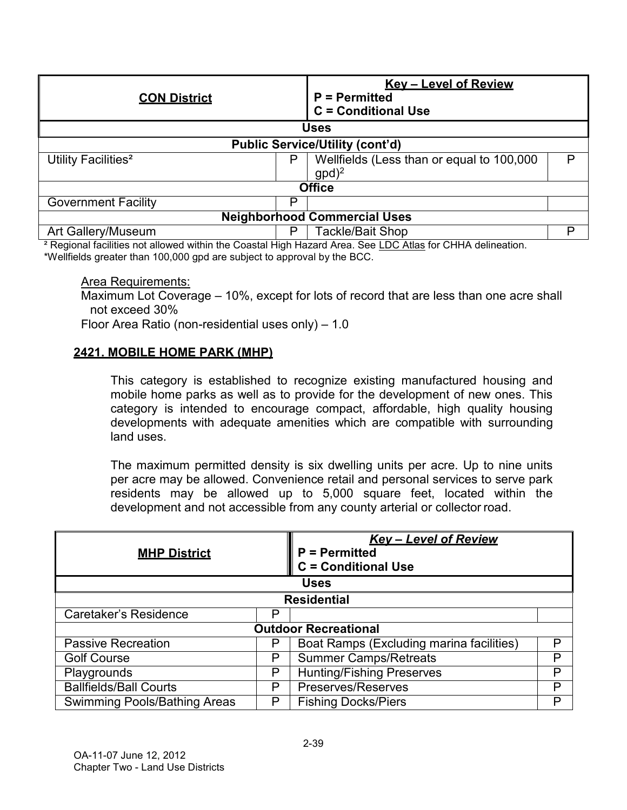| <b>CON District</b>                 |   | <b>Key - Level of Review</b><br>$P = Permitted$<br><b>C</b> = Conditional Use       |   |
|-------------------------------------|---|-------------------------------------------------------------------------------------|---|
|                                     |   | <b>Uses</b>                                                                         |   |
|                                     |   | <b>Public Service/Utility (cont'd)</b>                                              |   |
| Utility Facilities <sup>2</sup>     | Р | Wellfields (Less than or equal to 100,000                                           | P |
|                                     |   | $gpd)^2$                                                                            |   |
| <b>Office</b>                       |   |                                                                                     |   |
| <b>Government Facility</b>          | P |                                                                                     |   |
| <b>Neighborhood Commercial Uses</b> |   |                                                                                     |   |
| Art Gallery/Museum<br>.<br>.        |   | <b>Tackle/Bait Shop</b><br>$\sim$ $\sim$ $\sim$ $\sim$ $\sim$ $\sim$<br>___________ | P |

² Regional facilities not allowed within the Coastal High Hazard Area. See [LDC Atlas](http://gis.citrusbocc.com/ccimap.html) for CHHA delineation. \*Wellfields greater than 100,000 gpd are subject to approval by the BCC.

Area Requirements:

Maximum Lot Coverage – 10%, except for lots of record that are less than one acre shall not exceed 30%

Floor Area Ratio (non-residential uses only) – 1.0

#### <span id="page-40-0"></span>**2421. MOBILE HOME PARK (MHP)**

This category is established to recognize existing manufactured housing and mobile home parks as well as to provide for the development of new ones. This category is intended to encourage compact, affordable, high quality housing developments with adequate amenities which are compatible with surrounding land uses.

The maximum permitted density is six dwelling units per acre. Up to nine units per acre may be allowed. Convenience retail and personal services to serve park residents may be allowed up to 5,000 square feet, located within the development and not accessible from any county arterial or collector road.

| <b>MHP District</b>                 |   | <u> Key – Level of Review</u><br>$P = Permitted$<br><b>C</b> = Conditional Use |   |  |
|-------------------------------------|---|--------------------------------------------------------------------------------|---|--|
| <b>Uses</b>                         |   |                                                                                |   |  |
| <b>Residential</b>                  |   |                                                                                |   |  |
| Caretaker's Residence               | P |                                                                                |   |  |
| <b>Outdoor Recreational</b>         |   |                                                                                |   |  |
| <b>Passive Recreation</b>           | Р | Boat Ramps (Excluding marina facilities)                                       | P |  |
| <b>Golf Course</b>                  | P | <b>Summer Camps/Retreats</b>                                                   | P |  |
| Playgrounds                         | P | <b>Hunting/Fishing Preserves</b>                                               | P |  |
| <b>Ballfields/Ball Courts</b>       | P | Preserves/Reserves                                                             | P |  |
| <b>Swimming Pools/Bathing Areas</b> | P | <b>Fishing Docks/Piers</b>                                                     | P |  |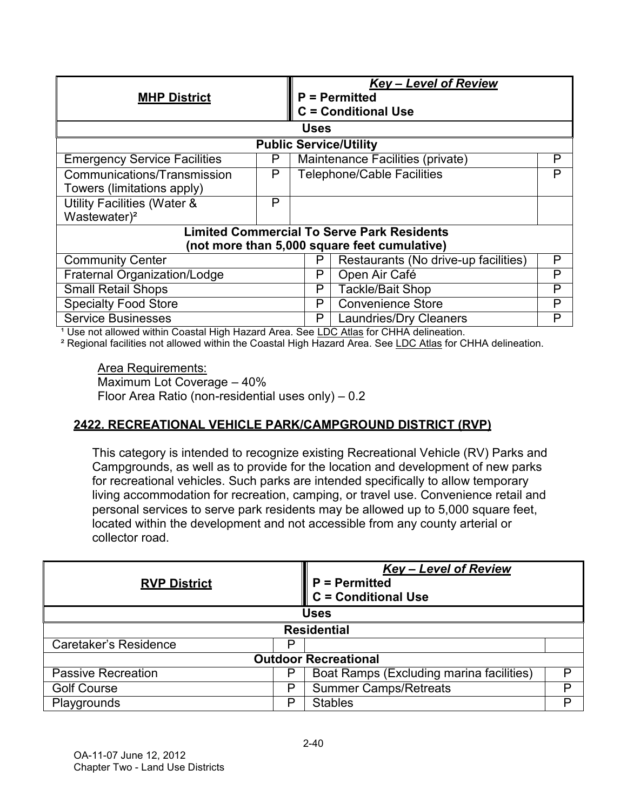| <b>MHP District</b>                                                |   |   | <u>Key – Level of Review</u><br>$P = Permitted$<br><b>C</b> = Conditional Use |   |  |
|--------------------------------------------------------------------|---|---|-------------------------------------------------------------------------------|---|--|
|                                                                    |   |   | <b>Uses</b>                                                                   |   |  |
| <b>Public Service/Utility</b>                                      |   |   |                                                                               |   |  |
| <b>Emergency Service Facilities</b>                                | Р |   | Maintenance Facilities (private)                                              | P |  |
| Communications/Transmission<br>Towers (limitations apply)          | P |   | <b>Telephone/Cable Facilities</b>                                             | P |  |
| <b>Utility Facilities (Water &amp;</b><br>Wastewater) <sup>2</sup> | P |   |                                                                               |   |  |
| <b>Limited Commercial To Serve Park Residents</b>                  |   |   |                                                                               |   |  |
| (not more than 5,000 square feet cumulative)                       |   |   |                                                                               |   |  |
| <b>Community Center</b>                                            |   | Ρ | Restaurants (No drive-up facilities)                                          | P |  |
| <b>Fraternal Organization/Lodge</b>                                |   | P | Open Air Café                                                                 | P |  |
| <b>Small Retail Shops</b>                                          |   | Р | <b>Tackle/Bait Shop</b>                                                       | P |  |
| <b>Specialty Food Store</b>                                        |   | P | <b>Convenience Store</b>                                                      | P |  |
| <b>Service Businesses</b>                                          |   | P | <b>Laundries/Dry Cleaners</b>                                                 | P |  |

<sup>1</sup> Use not allowed within Coastal High Hazard Area. See [LDC Atlas](http://gis.citrusbocc.com/ccimap.html) for CHHA delineation.

² Regional facilities not allowed within the Coastal High Hazard Area. See [LDC Atlas](http://gis.citrusbocc.com/ccimap.html) for CHHA delineation.

Area Requirements:

Maximum Lot Coverage – 40% Floor Area Ratio (non-residential uses only) – 0.2

## <span id="page-41-0"></span>**2422. RECREATIONAL VEHICLE PARK/CAMPGROUND DISTRICT (RVP)**

This category is intended to recognize existing Recreational Vehicle (RV) Parks and Campgrounds, as well as to provide for the location and development of new parks for recreational vehicles. Such parks are intended specifically to allow temporary living accommodation for recreation, camping, or travel use. Convenience retail and personal services to serve park residents may be allowed up to 5,000 square feet, located within the development and not accessible from any county arterial or collector road.

| <b>RVP District</b>         |   | <u>Key – Level of Review</u><br>$P = Permitted$<br>C = Conditional Use |   |  |
|-----------------------------|---|------------------------------------------------------------------------|---|--|
| Uses                        |   |                                                                        |   |  |
| <b>Residential</b>          |   |                                                                        |   |  |
| Caretaker's Residence       | P |                                                                        |   |  |
| <b>Outdoor Recreational</b> |   |                                                                        |   |  |
| <b>Passive Recreation</b>   | P | Boat Ramps (Excluding marina facilities)                               | P |  |
| <b>Golf Course</b>          | P | <b>Summer Camps/Retreats</b>                                           | P |  |
| Playgrounds                 | P | <b>Stables</b>                                                         | P |  |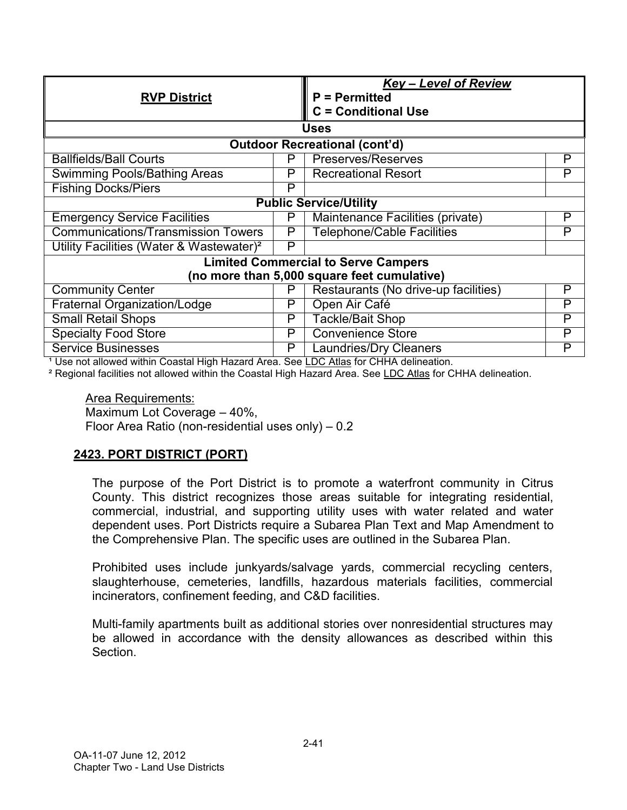| <b>RVP District</b>                                  |   | <u>Key – Level of Review</u><br>$P = Permitted$<br><b>C</b> = Conditional Use |   |  |
|------------------------------------------------------|---|-------------------------------------------------------------------------------|---|--|
| <b>Uses</b>                                          |   |                                                                               |   |  |
|                                                      |   | <b>Outdoor Recreational (cont'd)</b>                                          |   |  |
| <b>Ballfields/Ball Courts</b>                        | Р | Preserves/Reserves                                                            | P |  |
| <b>Swimming Pools/Bathing Areas</b>                  | P | <b>Recreational Resort</b>                                                    | P |  |
| <b>Fishing Docks/Piers</b>                           | P |                                                                               |   |  |
| <b>Public Service/Utility</b>                        |   |                                                                               |   |  |
| <b>Emergency Service Facilities</b>                  | Ρ | Maintenance Facilities (private)                                              | Р |  |
| <b>Communications/Transmission Towers</b>            | P | <b>Telephone/Cable Facilities</b>                                             | P |  |
| Utility Facilities (Water & Wastewater) <sup>2</sup> | P |                                                                               |   |  |
| <b>Limited Commercial to Serve Campers</b>           |   |                                                                               |   |  |
| (no more than 5,000 square feet cumulative)          |   |                                                                               |   |  |
| <b>Community Center</b>                              | Р | Restaurants (No drive-up facilities)                                          | P |  |
| <b>Fraternal Organization/Lodge</b>                  | P | Open Air Café                                                                 | P |  |
| <b>Small Retail Shops</b>                            | P | Tackle/Bait Shop                                                              | P |  |
| <b>Specialty Food Store</b>                          | Р | <b>Convenience Store</b>                                                      | P |  |
| <b>Service Businesses</b>                            | Р | <b>Laundries/Dry Cleaners</b>                                                 | P |  |

<sup>1</sup> Use not allowed within Coastal High Hazard Area. See [LDC Atlas](http://gis.citrusbocc.com/ccimap.html) for CHHA delineation.

² Regional facilities not allowed within the Coastal High Hazard Area. See [LDC Atlas](http://gis.citrusbocc.com/ccimap.html) for CHHA delineation.

Area Requirements: Maximum Lot Coverage – 40%, Floor Area Ratio (non-residential uses only) – 0.2

# <span id="page-42-0"></span>**2423. PORT DISTRICT (PORT)**

The purpose of the Port District is to promote a waterfront community in Citrus County. This district recognizes those areas suitable for integrating residential, commercial, industrial, and supporting utility uses with water related and water dependent uses. Port Districts require a Subarea Plan Text and Map Amendment to the Comprehensive Plan. The specific uses are outlined in the Subarea Plan.

Prohibited uses include junkyards/salvage yards, commercial recycling centers, slaughterhouse, cemeteries, landfills, hazardous materials facilities, commercial incinerators, confinement feeding, and C&D facilities.

Multi-family apartments built as additional stories over nonresidential structures may be allowed in accordance with the density allowances as described within this Section.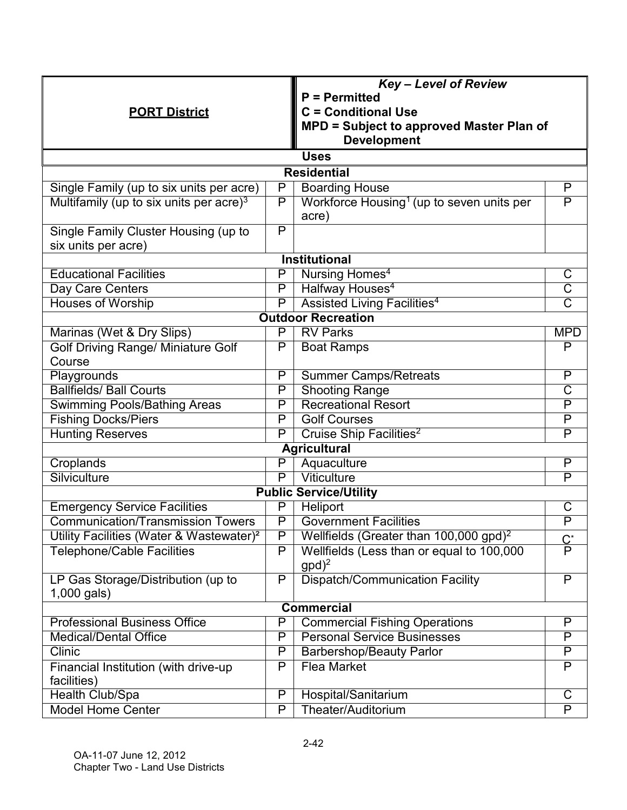| <b>PORT District</b>                                 |                         | Key - Level of Review                                 |                         |  |
|------------------------------------------------------|-------------------------|-------------------------------------------------------|-------------------------|--|
|                                                      |                         | $P = Permitted$                                       |                         |  |
|                                                      |                         | <b>C</b> = Conditional Use                            |                         |  |
|                                                      |                         | MPD = Subject to approved Master Plan of              |                         |  |
|                                                      |                         | <b>Development</b>                                    |                         |  |
|                                                      |                         | <b>Uses</b>                                           |                         |  |
|                                                      |                         | <b>Residential</b>                                    |                         |  |
| Single Family (up to six units per acre)             | $\overline{P}$          | <b>Boarding House</b>                                 | $\overline{P}$          |  |
| Multifamily (up to six units per acre) $3$           | P                       | Workforce Housing <sup>1</sup> (up to seven units per | P                       |  |
|                                                      |                         | acre)                                                 |                         |  |
| Single Family Cluster Housing (up to                 | P                       |                                                       |                         |  |
| six units per acre)                                  |                         |                                                       |                         |  |
|                                                      |                         | <b>Institutional</b>                                  |                         |  |
| <b>Educational Facilities</b>                        | $\overline{\mathsf{P}}$ | Nursing Homes <sup>4</sup>                            | $\overline{\text{C}}$   |  |
| Day Care Centers                                     | P                       | Halfway Houses <sup>4</sup>                           | $\overline{\text{C}}$   |  |
| <b>Houses of Worship</b>                             | $\overline{P}$          | <b>Assisted Living Facilities<sup>4</sup></b>         | $\overline{\text{C}}$   |  |
|                                                      |                         | <b>Outdoor Recreation</b>                             |                         |  |
| Marinas (Wet & Dry Slips)                            | P                       | <b>RV Parks</b>                                       | <b>MPD</b>              |  |
| <b>Golf Driving Range/ Miniature Golf</b>            | P                       | <b>Boat Ramps</b>                                     | P                       |  |
| Course                                               |                         |                                                       |                         |  |
| Playgrounds                                          | P                       | <b>Summer Camps/Retreats</b>                          | P                       |  |
| <b>Ballfields/ Ball Courts</b>                       | $\overline{\mathsf{P}}$ | <b>Shooting Range</b>                                 | $\overline{\text{C}}$   |  |
| <b>Swimming Pools/Bathing Areas</b>                  | $\overline{P}$          | <b>Recreational Resort</b>                            | $\overline{P}$          |  |
| <b>Fishing Docks/Piers</b>                           | $\overline{P}$          | <b>Golf Courses</b>                                   | $\overline{\mathsf{P}}$ |  |
| <b>Hunting Reserves</b>                              | P                       | Cruise Ship Facilities <sup>2</sup>                   | P                       |  |
|                                                      |                         | <b>Agricultural</b>                                   |                         |  |
| Croplands                                            | P                       | Aquaculture                                           | $\overline{P}$          |  |
| Silviculture                                         | $\overline{P}$          | Viticulture                                           | $\overline{P}$          |  |
|                                                      |                         | <b>Public Service/Utility</b>                         |                         |  |
| <b>Emergency Service Facilities</b>                  | P                       | Heliport                                              | $\overline{C}$          |  |
| <b>Communication/Transmission Towers</b>             | P                       | <b>Government Facilities</b>                          | P                       |  |
| Utility Facilities (Water & Wastewater) <sup>2</sup> | Ρ                       | Wellfields (Greater than $100,000$ gpd) <sup>2</sup>  | $\overline{\text{C}}^*$ |  |
| <b>Telephone/Cable Facilities</b>                    | P                       | Wellfields (Less than or equal to 100,000             | $\overline{P}$          |  |
|                                                      |                         | $gpd)^2$                                              |                         |  |
| LP Gas Storage/Distribution (up to                   | P                       | <b>Dispatch/Communication Facility</b>                | P                       |  |
| 1,000 gals)                                          |                         |                                                       |                         |  |
| <b>Commercial</b>                                    |                         |                                                       |                         |  |
| <b>Professional Business Office</b>                  | P                       | <b>Commercial Fishing Operations</b>                  | P                       |  |
| <b>Medical/Dental Office</b>                         | $\overline{P}$          | <b>Personal Service Businesses</b>                    | P                       |  |
| Clinic                                               | P                       | <b>Barbershop/Beauty Parlor</b>                       | P                       |  |
| Financial Institution (with drive-up                 | P                       | <b>Flea Market</b>                                    | $\overline{P}$          |  |
| facilities)                                          |                         |                                                       |                         |  |
| <b>Health Club/Spa</b>                               | P                       | Hospital/Sanitarium                                   | C                       |  |
| <b>Model Home Center</b>                             | P                       | Theater/Auditorium                                    | P                       |  |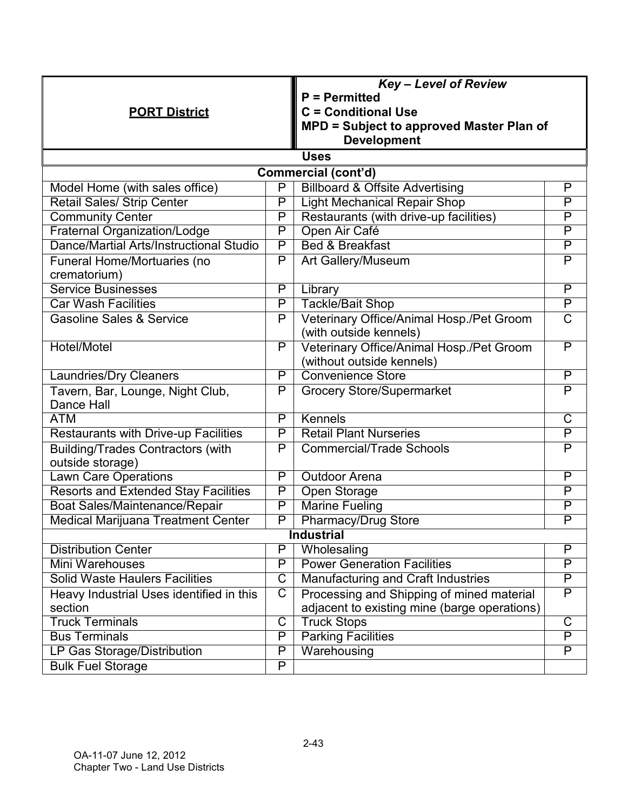|                                                |                         | Key - Level of Review                        |                         |  |
|------------------------------------------------|-------------------------|----------------------------------------------|-------------------------|--|
| <b>PORT District</b>                           |                         | $P = Permitted$                              |                         |  |
|                                                |                         | <b>C</b> = Conditional Use                   |                         |  |
|                                                |                         | MPD = Subject to approved Master Plan of     |                         |  |
|                                                |                         | <b>Development</b>                           |                         |  |
| <b>Uses</b>                                    |                         |                                              |                         |  |
|                                                |                         | <b>Commercial (cont'd)</b>                   |                         |  |
| Model Home (with sales office)                 | P                       | <b>Billboard &amp; Offsite Advertising</b>   | P                       |  |
| <b>Retail Sales/ Strip Center</b>              | P                       | <b>Light Mechanical Repair Shop</b>          | P                       |  |
| <b>Community Center</b>                        | P                       | Restaurants (with drive-up facilities)       | P                       |  |
| <b>Fraternal Organization/Lodge</b>            | $\overline{\mathsf{P}}$ | Open Air Café                                | P                       |  |
| <b>Dance/Martial Arts/Instructional Studio</b> | $\overline{P}$          | <b>Bed &amp; Breakfast</b>                   | P                       |  |
| Funeral Home/Mortuaries (no                    | P                       | Art Gallery/Museum                           | $\overline{P}$          |  |
| crematorium)                                   |                         |                                              |                         |  |
| <b>Service Businesses</b>                      | $\overline{P}$          | Library                                      | P                       |  |
| <b>Car Wash Facilities</b>                     | $\overline{P}$          | <b>Tackle/Bait Shop</b>                      | P                       |  |
| <b>Gasoline Sales &amp; Service</b>            | P                       | Veterinary Office/Animal Hosp./Pet Groom     | $\overline{\mathsf{C}}$ |  |
|                                                |                         | (with outside kennels)                       |                         |  |
| <b>Hotel/Motel</b>                             | P                       | Veterinary Office/Animal Hosp./Pet Groom     | $\overline{P}$          |  |
|                                                |                         | (without outside kennels)                    |                         |  |
| <b>Laundries/Dry Cleaners</b>                  | P                       | <b>Convenience Store</b>                     | P                       |  |
| Tavern, Bar, Lounge, Night Club,               | P                       | <b>Grocery Store/Supermarket</b>             | $\overline{P}$          |  |
| <b>Dance Hall</b>                              |                         |                                              |                         |  |
| <b>ATM</b>                                     | P                       | Kennels                                      | C                       |  |
| <b>Restaurants with Drive-up Facilities</b>    | $\overline{P}$          | <b>Retail Plant Nurseries</b>                | P                       |  |
| <b>Building/Trades Contractors (with</b>       | P                       | <b>Commercial/Trade Schools</b>              | P                       |  |
| outside storage)                               |                         |                                              |                         |  |
| <b>Lawn Care Operations</b>                    | $\overline{P}$          | <b>Outdoor Arena</b>                         | P                       |  |
| <b>Resorts and Extended Stay Facilities</b>    | P                       | Open Storage                                 | P                       |  |
| <b>Boat Sales/Maintenance/Repair</b>           | $\overline{P}$          | <b>Marine Fueling</b>                        | P                       |  |
| <b>Medical Marijuana Treatment Center</b>      | $\overline{P}$          | <b>Pharmacy/Drug Store</b>                   | P                       |  |
| <b>Industrial</b>                              |                         |                                              |                         |  |
| <b>Distribution Center</b>                     | P                       | Wholesaling                                  | P                       |  |
| <b>Mini Warehouses</b>                         | P                       | <b>Power Generation Facilities</b>           | P                       |  |
| <b>Solid Waste Haulers Facilities</b>          | C                       | <b>Manufacturing and Craft Industries</b>    | P                       |  |
| Heavy Industrial Uses identified in this       | C                       | Processing and Shipping of mined material    | $\overline{\mathsf{P}}$ |  |
| section                                        |                         | adjacent to existing mine (barge operations) |                         |  |
| <b>Truck Terminals</b>                         | $\overline{C}$          | <b>Truck Stops</b>                           | C                       |  |
| <b>Bus Terminals</b>                           | P                       | <b>Parking Facilities</b>                    | P                       |  |
| LP Gas Storage/Distribution                    | $\overline{P}$          | Warehousing                                  | $\overline{\mathsf{P}}$ |  |
| <b>Bulk Fuel Storage</b>                       | $\overline{P}$          |                                              |                         |  |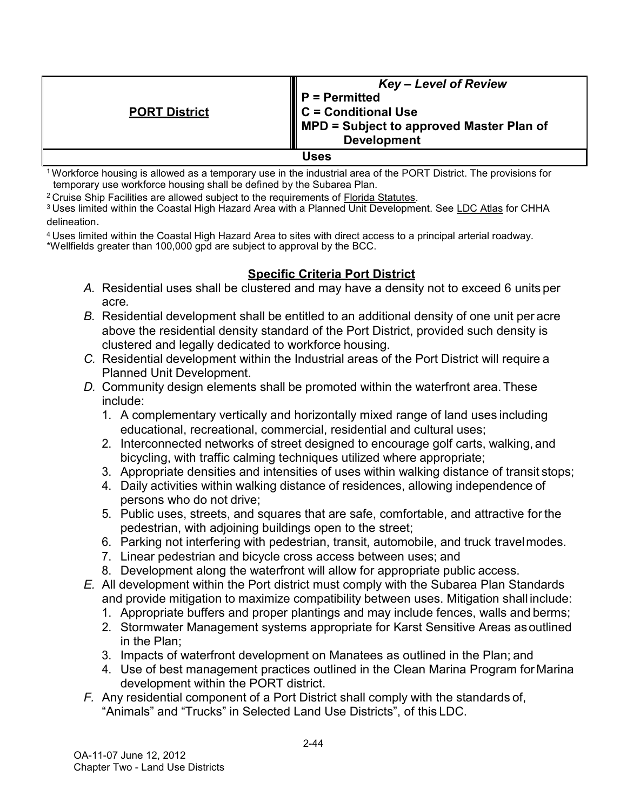|                      | Key - Level of Review                    |
|----------------------|------------------------------------------|
|                      | $\parallel$ P = Permitted                |
| <b>PORT District</b> | $\parallel$ C = Conditional Use          |
|                      | MPD = Subject to approved Master Plan of |
|                      | <b>Development</b>                       |
|                      | <b>Uses</b>                              |

<sup>1</sup>Workforce housing is allowed as a temporary use in the industrial area of the PORT District. The provisions for temporary use workforce housing shall be defined by the Subarea Plan.

<sup>2</sup> Cruise Ship Facilities are allowed subject to the requirements of [Florida Statutes.](http://www.flsenate.gov/Laws/Statutes)

<sup>3</sup> Uses limited within the Coastal High Hazard Area with a Planned Unit Development. See [LDC Atlas](http://gis.citrusbocc.com/ccimap.html) for CHHA delineation.

<sup>4</sup>Uses limited within the Coastal High Hazard Area to sites with direct access to a principal arterial roadway. \*Wellfields greater than 100,000 gpd are subject to approval by the BCC.

# **Specific Criteria Port District**

- *A.* Residential uses shall be clustered and may have a density not to exceed 6 units per acre*.*
- *B.* Residential development shall be entitled to an additional density of one unit per acre above the residential density standard of the Port District, provided such density is clustered and legally dedicated to workforce housing.
- *C.* Residential development within the Industrial areas of the Port District will require a Planned Unit Development.
- *D.* Community design elements shall be promoted within the waterfront area.These include:
	- 1. A complementary vertically and horizontally mixed range of land uses including educational, recreational, commercial, residential and cultural uses;
	- 2. Interconnected networks of street designed to encourage golf carts, walking, and bicycling, with traffic calming techniques utilized where appropriate;
	- 3. Appropriate densities and intensities of uses within walking distance of transit stops;
	- 4. Daily activities within walking distance of residences, allowing independence of persons who do not drive;
	- 5. Public uses, streets, and squares that are safe, comfortable, and attractive for the pedestrian, with adjoining buildings open to the street;
	- 6. Parking not interfering with pedestrian, transit, automobile, and truck travelmodes.
	- 7. Linear pedestrian and bicycle cross access between uses; and
	- 8. Development along the waterfront will allow for appropriate public access.
- *E.* All development within the Port district must comply with the Subarea Plan Standards and provide mitigation to maximize compatibility between uses. Mitigation shall include:
	- 1. Appropriate buffers and proper plantings and may include fences, walls and berms;
	- 2. Stormwater Management systems appropriate for Karst Sensitive Areas asoutlined in the Plan;
	- 3. Impacts of waterfront development on Manatees as outlined in the Plan; and
	- 4. Use of best management practices outlined in the Clean Marina Program for Marina development within the PORT district.
- *F.* Any residential component of a Port District shall comply with the standards of, "Animals" and "Trucks" in Selected Land Use Districts", of this LDC.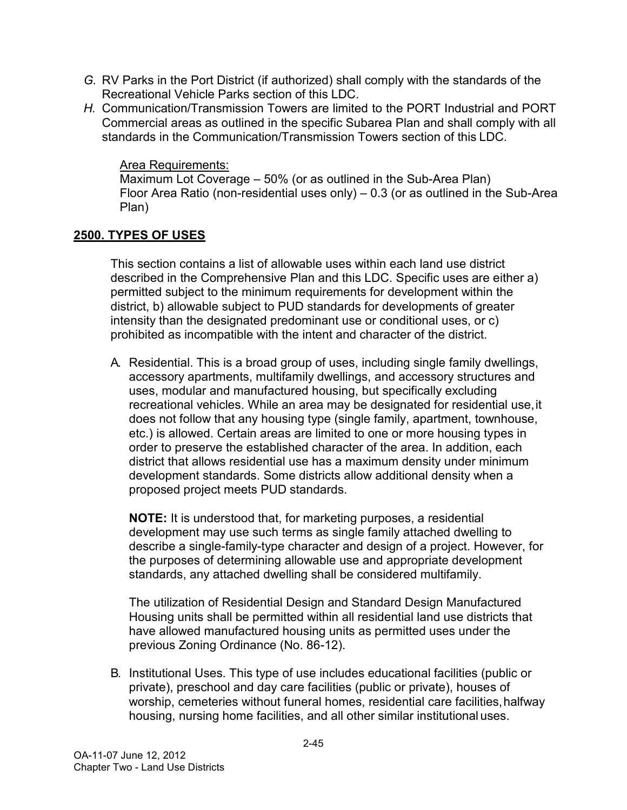- *G.* RV Parks in the Port District (if authorized) shall comply with the standards of the Recreational Vehicle Parks section of this LDC.
- *H.* Communication/Transmission Towers are limited to the PORT Industrial and PORT Commercial areas as outlined in the specific Subarea Plan and shall comply with all standards in the Communication/Transmission Towers section of this LDC.

### Area Requirements:

Maximum Lot Coverage – 50% (or as outlined in the Sub-Area Plan) Floor Area Ratio (non-residential uses only) – 0.3 (or as outlined in the Sub-Area Plan)

### <span id="page-46-0"></span>**2500. TYPES OF USES**

This section contains a list of allowable uses within each land use district described in the Comprehensive Plan and this LDC. Specific uses are either a) permitted subject to the minimum requirements for development within the district, b) allowable subject to PUD standards for developments of greater intensity than the designated predominant use or conditional uses, or c) prohibited as incompatible with the intent and character of the district.

A. Residential. This is a broad group of uses, including single family dwellings, accessory apartments, multifamily dwellings, and accessory structures and uses, modular and manufactured housing, but specifically excluding recreational vehicles. While an area may be designated for residential use,it does not follow that any housing type (single family, apartment, townhouse, etc.) is allowed. Certain areas are limited to one or more housing types in order to preserve the established character of the area. In addition, each district that allows residential use has a maximum density under minimum development standards. Some districts allow additional density when a proposed project meets PUD standards.

**NOTE:** It is understood that, for marketing purposes, a residential development may use such terms as single family attached dwelling to describe a single-family-type character and design of a project. However, for the purposes of determining allowable use and appropriate development standards, any attached dwelling shall be considered multifamily.

The utilization of Residential Design and Standard Design Manufactured Housing units shall be permitted within all residential land use districts that have allowed manufactured housing units as permitted uses under the previous Zoning Ordinance (No. 86-12).

B. Institutional Uses. This type of use includes educational facilities (public or private), preschool and day care facilities (public or private), houses of worship, cemeteries without funeral homes, residential care facilities,halfway housing, nursing home facilities, and all other similar institutional uses.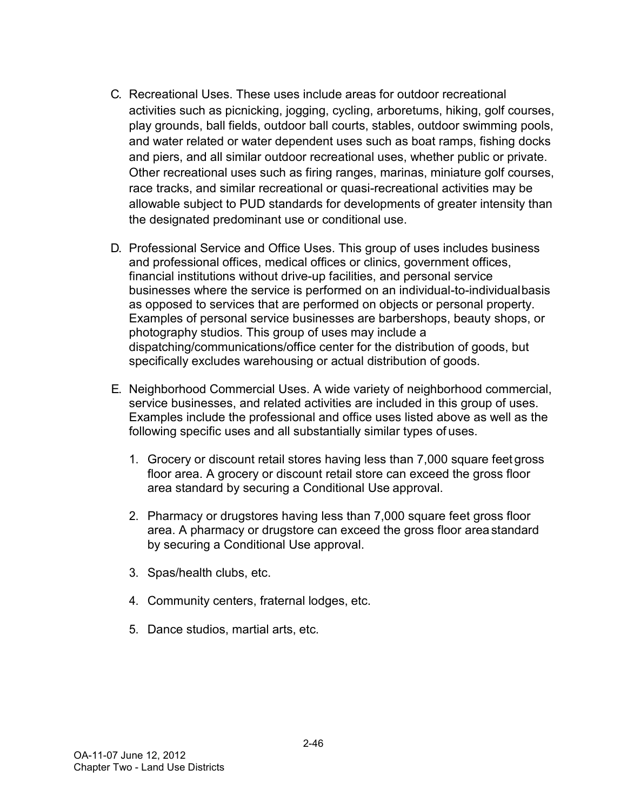- C. Recreational Uses. These uses include areas for outdoor recreational activities such as picnicking, jogging, cycling, arboretums, hiking, golf courses, play grounds, ball fields, outdoor ball courts, stables, outdoor swimming pools, and water related or water dependent uses such as boat ramps, fishing docks and piers, and all similar outdoor recreational uses, whether public or private. Other recreational uses such as firing ranges, marinas, miniature golf courses, race tracks, and similar recreational or quasi-recreational activities may be allowable subject to PUD standards for developments of greater intensity than the designated predominant use or conditional use.
- D. Professional Service and Office Uses. This group of uses includes business and professional offices, medical offices or clinics, government offices, financial institutions without drive-up facilities, and personal service businesses where the service is performed on an individual-to-individualbasis as opposed to services that are performed on objects or personal property. Examples of personal service businesses are barbershops, beauty shops, or photography studios. This group of uses may include a dispatching/communications/office center for the distribution of goods, but specifically excludes warehousing or actual distribution of goods.
- E. Neighborhood Commercial Uses. A wide variety of neighborhood commercial, service businesses, and related activities are included in this group of uses. Examples include the professional and office uses listed above as well as the following specific uses and all substantially similar types of uses.
	- 1. Grocery or discount retail stores having less than 7,000 square feet gross floor area. A grocery or discount retail store can exceed the gross floor area standard by securing a Conditional Use approval.
	- 2. Pharmacy or drugstores having less than 7,000 square feet gross floor area. A pharmacy or drugstore can exceed the gross floor area standard by securing a Conditional Use approval.
	- 3. Spas/health clubs, etc.
	- 4. Community centers, fraternal lodges, etc.
	- 5. Dance studios, martial arts, etc.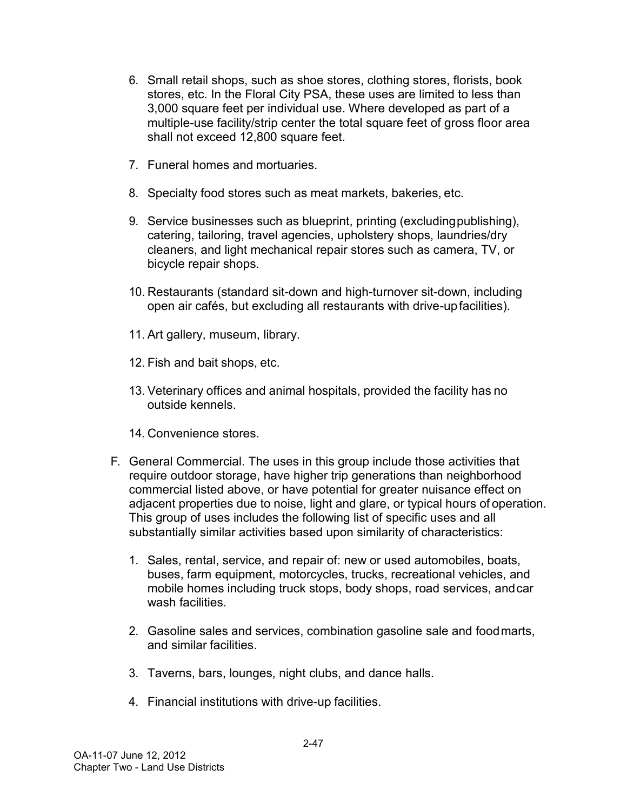- 6. Small retail shops, such as shoe stores, clothing stores, florists, book stores, etc. In the Floral City PSA, these uses are limited to less than 3,000 square feet per individual use. Where developed as part of a multiple-use facility/strip center the total square feet of gross floor area shall not exceed 12,800 square feet.
- 7. Funeral homes and mortuaries.
- 8. Specialty food stores such as meat markets, bakeries, etc.
- 9. Service businesses such as blueprint, printing (excludingpublishing), catering, tailoring, travel agencies, upholstery shops, laundries/dry cleaners, and light mechanical repair stores such as camera, TV, or bicycle repair shops.
- 10. Restaurants (standard sit-down and high-turnover sit-down, including open air cafés, but excluding all restaurants with drive-upfacilities).
- 11. Art gallery, museum, library.
- 12. Fish and bait shops, etc.
- 13. Veterinary offices and animal hospitals, provided the facility has no outside kennels.
- 14. Convenience stores.
- F. General Commercial. The uses in this group include those activities that require outdoor storage, have higher trip generations than neighborhood commercial listed above, or have potential for greater nuisance effect on adjacent properties due to noise, light and glare, or typical hours of operation. This group of uses includes the following list of specific uses and all substantially similar activities based upon similarity of characteristics:
	- 1. Sales, rental, service, and repair of: new or used automobiles, boats, buses, farm equipment, motorcycles, trucks, recreational vehicles, and mobile homes including truck stops, body shops, road services, andcar wash facilities
	- 2. Gasoline sales and services, combination gasoline sale and foodmarts, and similar facilities.
	- 3. Taverns, bars, lounges, night clubs, and dance halls.
	- 4. Financial institutions with drive-up facilities.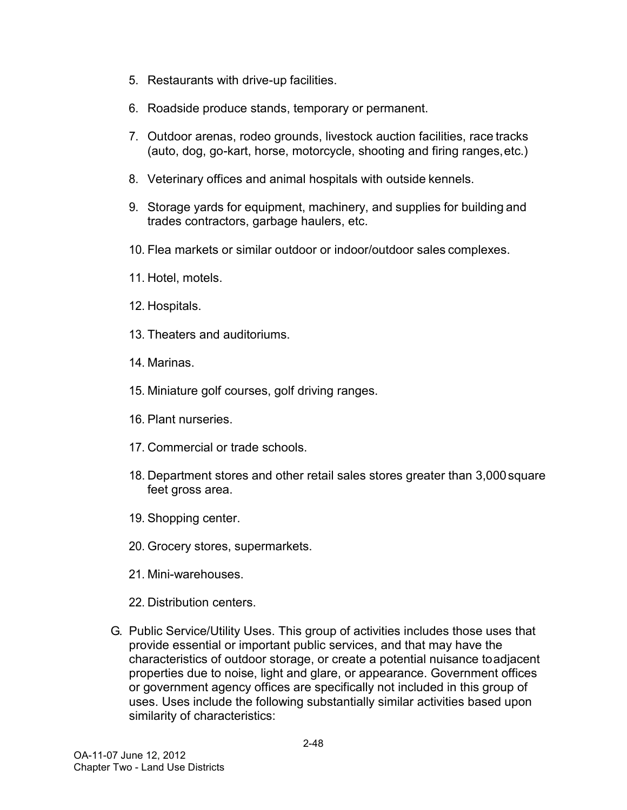- 5. Restaurants with drive-up facilities.
- 6. Roadside produce stands, temporary or permanent.
- 7. Outdoor arenas, rodeo grounds, livestock auction facilities, race tracks (auto, dog, go-kart, horse, motorcycle, shooting and firing ranges,etc.)
- 8. Veterinary offices and animal hospitals with outside kennels.
- 9. Storage yards for equipment, machinery, and supplies for building and trades contractors, garbage haulers, etc.
- 10. Flea markets or similar outdoor or indoor/outdoor sales complexes.
- 11. Hotel, motels.
- 12. Hospitals.
- 13. Theaters and auditoriums.
- 14. Marinas.
- 15. Miniature golf courses, golf driving ranges.
- 16. Plant nurseries.
- 17. Commercial or trade schools.
- 18. Department stores and other retail sales stores greater than 3,000square feet gross area.
- 19. Shopping center.
- 20. Grocery stores, supermarkets.
- 21. Mini-warehouses.
- 22. Distribution centers.
- G. Public Service/Utility Uses. This group of activities includes those uses that provide essential or important public services, and that may have the characteristics of outdoor storage, or create a potential nuisance toadjacent properties due to noise, light and glare, or appearance. Government offices or government agency offices are specifically not included in this group of uses. Uses include the following substantially similar activities based upon similarity of characteristics: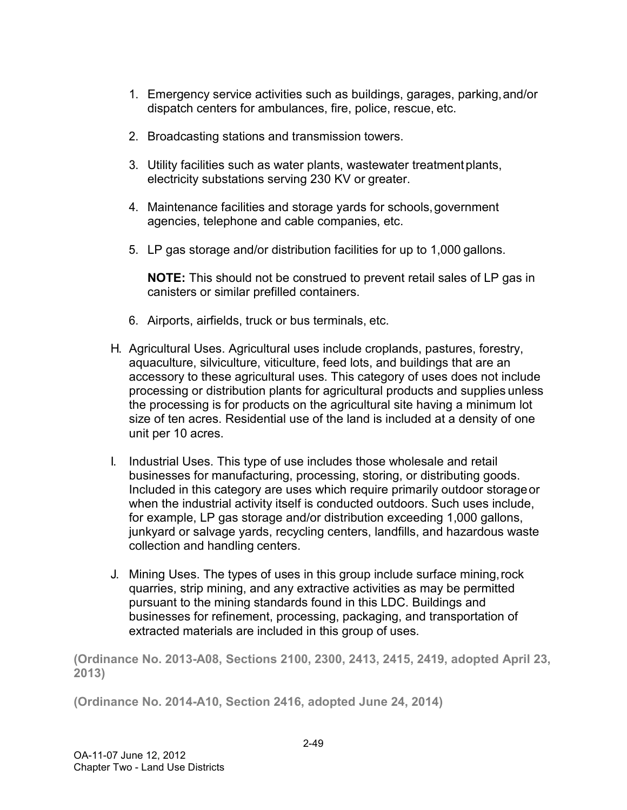- 1. Emergency service activities such as buildings, garages, parking,and/or dispatch centers for ambulances, fire, police, rescue, etc.
- 2. Broadcasting stations and transmission towers.
- 3. Utility facilities such as water plants, wastewater treatmentplants, electricity substations serving 230 KV or greater.
- 4. Maintenance facilities and storage yards for schools,government agencies, telephone and cable companies, etc.
- 5. LP gas storage and/or distribution facilities for up to 1,000 gallons.

**NOTE:** This should not be construed to prevent retail sales of LP gas in canisters or similar prefilled containers.

- 6. Airports, airfields, truck or bus terminals, etc.
- H. Agricultural Uses. Agricultural uses include croplands, pastures, forestry, aquaculture, silviculture, viticulture, feed lots, and buildings that are an accessory to these agricultural uses. This category of uses does not include processing or distribution plants for agricultural products and supplies unless the processing is for products on the agricultural site having a minimum lot size of ten acres. Residential use of the land is included at a density of one unit per 10 acres.
- I. Industrial Uses. This type of use includes those wholesale and retail businesses for manufacturing, processing, storing, or distributing goods. Included in this category are uses which require primarily outdoor storageor when the industrial activity itself is conducted outdoors. Such uses include, for example, LP gas storage and/or distribution exceeding 1,000 gallons, junkyard or salvage yards, recycling centers, landfills, and hazardous waste collection and handling centers.
- J. Mining Uses. The types of uses in this group include surface mining,rock quarries, strip mining, and any extractive activities as may be permitted pursuant to the mining standards found in this LDC. Buildings and businesses for refinement, processing, packaging, and transportation of extracted materials are included in this group of uses.

**(Ordinance No. 2013-A08, Sections 2100, 2300, 2413, 2415, 2419, adopted April 23, 2013)**

**(Ordinance No. 2014-A10, Section 2416, adopted June 24, 2014)**